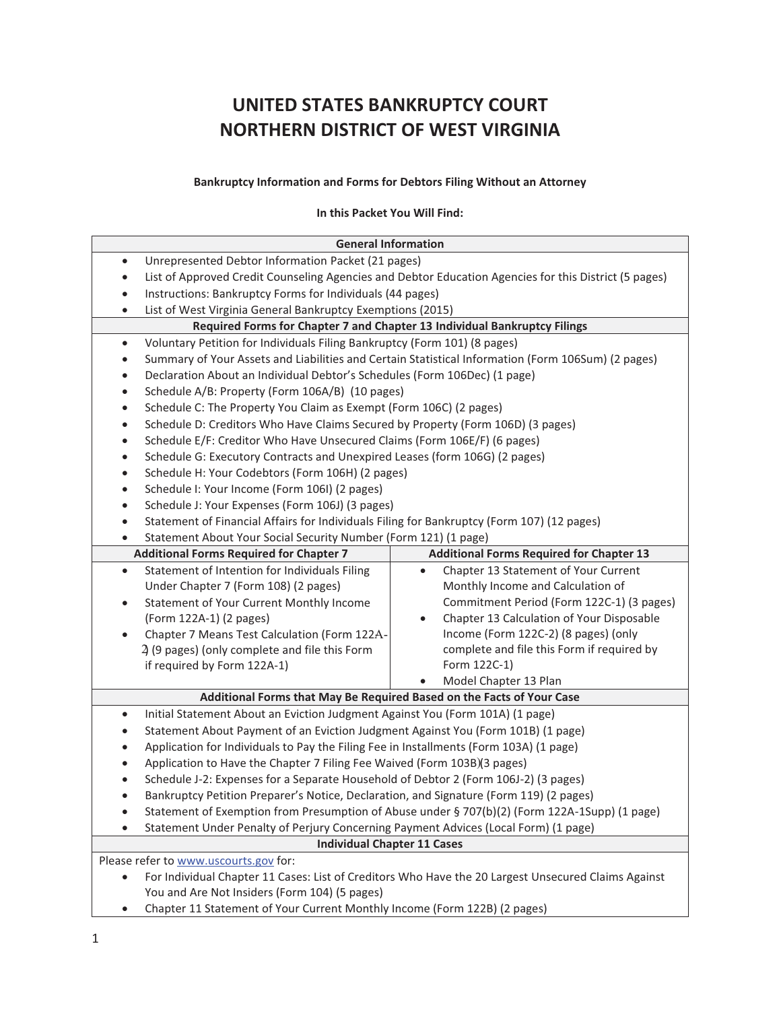### **UNITED STATES BANKRUPTCY COURT NORTHERN DISTRICT OF WEST VIRGINIA**

#### **Bankruptcy Information and Forms for Debtors Filing Without an Attorney**

#### **In this Packet You Will Find:**

|                                                                                                                    | <b>General Information</b>                                                                         |  |
|--------------------------------------------------------------------------------------------------------------------|----------------------------------------------------------------------------------------------------|--|
| Unrepresented Debtor Information Packet (21 pages)<br>$\bullet$                                                    |                                                                                                    |  |
| List of Approved Credit Counseling Agencies and Debtor Education Agencies for this District (5 pages)<br>$\bullet$ |                                                                                                    |  |
| Instructions: Bankruptcy Forms for Individuals (44 pages)<br>$\bullet$                                             |                                                                                                    |  |
| List of West Virginia General Bankruptcy Exemptions (2015)<br>$\bullet$                                            |                                                                                                    |  |
|                                                                                                                    | Required Forms for Chapter 7 and Chapter 13 Individual Bankruptcy Filings                          |  |
| Voluntary Petition for Individuals Filing Bankruptcy (Form 101) (8 pages)<br>$\bullet$                             |                                                                                                    |  |
| $\bullet$                                                                                                          | Summary of Your Assets and Liabilities and Certain Statistical Information (Form 106Sum) (2 pages) |  |
| Declaration About an Individual Debtor's Schedules (Form 106Dec) (1 page)<br>$\bullet$                             |                                                                                                    |  |
| Schedule A/B: Property (Form 106A/B) (10 pages)<br>$\bullet$                                                       |                                                                                                    |  |
| Schedule C: The Property You Claim as Exempt (Form 106C) (2 pages)<br>$\bullet$                                    |                                                                                                    |  |
| Schedule D: Creditors Who Have Claims Secured by Property (Form 106D) (3 pages)<br>$\bullet$                       |                                                                                                    |  |
| Schedule E/F: Creditor Who Have Unsecured Claims (Form 106E/F) (6 pages)<br>$\bullet$                              |                                                                                                    |  |
| Schedule G: Executory Contracts and Unexpired Leases (form 106G) (2 pages)<br>$\bullet$                            |                                                                                                    |  |
| Schedule H: Your Codebtors (Form 106H) (2 pages)<br>$\bullet$                                                      |                                                                                                    |  |
| Schedule I: Your Income (Form 106I) (2 pages)<br>$\bullet$                                                         |                                                                                                    |  |
| Schedule J: Your Expenses (Form 106J) (3 pages)<br>$\bullet$                                                       |                                                                                                    |  |
| Statement of Financial Affairs for Individuals Filing for Bankruptcy (Form 107) (12 pages)<br>$\bullet$            |                                                                                                    |  |
| Statement About Your Social Security Number (Form 121) (1 page)<br>$\bullet$                                       |                                                                                                    |  |
| <b>Additional Forms Required for Chapter 7</b>                                                                     | <b>Additional Forms Required for Chapter 13</b>                                                    |  |
| Statement of Intention for Individuals Filing<br>$\bullet$                                                         | Chapter 13 Statement of Your Current<br>$\bullet$                                                  |  |
| Under Chapter 7 (Form 108) (2 pages)                                                                               | Monthly Income and Calculation of                                                                  |  |
| Commitment Period (Form 122C-1) (3 pages)<br>Statement of Your Current Monthly Income<br>$\bullet$                 |                                                                                                    |  |
| (Form 122A-1) (2 pages)<br>Chapter 13 Calculation of Your Disposable<br>$\bullet$                                  |                                                                                                    |  |
| Chapter 7 Means Test Calculation (Form 122A-<br>$\bullet$                                                          | Income (Form 122C-2) (8 pages) (only                                                               |  |
| $2$ (9 pages) (only complete and file this Form                                                                    | complete and file this Form if required by                                                         |  |
| if required by Form 122A-1)                                                                                        | Form 122C-1)                                                                                       |  |
|                                                                                                                    | Model Chapter 13 Plan<br>$\bullet$                                                                 |  |
|                                                                                                                    | Additional Forms that May Be Required Based on the Facts of Your Case                              |  |
| Initial Statement About an Eviction Judgment Against You (Form 101A) (1 page)<br>$\bullet$                         |                                                                                                    |  |
| Statement About Payment of an Eviction Judgment Against You (Form 101B) (1 page)<br>$\bullet$                      |                                                                                                    |  |
| Application for Individuals to Pay the Filing Fee in Installments (Form 103A) (1 page)<br>$\bullet$                |                                                                                                    |  |
| Application to Have the Chapter 7 Filing Fee Waived (Form 103B)(3 pages)<br>$\bullet$                              |                                                                                                    |  |
| Schedule J-2: Expenses for a Separate Household of Debtor 2 (Form 106J-2) (3 pages)<br>$\bullet$                   |                                                                                                    |  |
| Bankruptcy Petition Preparer's Notice, Declaration, and Signature (Form 119) (2 pages)<br>$\bullet$                |                                                                                                    |  |
| Statement of Exemption from Presumption of Abuse under § 707(b)(2) (Form 122A-1Supp) (1 page)<br>$\bullet$         |                                                                                                    |  |
| Statement Under Penalty of Perjury Concerning Payment Advices (Local Form) (1 page)<br>$\bullet$                   |                                                                                                    |  |
| <b>Individual Chapter 11 Cases</b>                                                                                 |                                                                                                    |  |
| Please refer to www.uscourts.gov for:                                                                              |                                                                                                    |  |
| For Individual Chapter 11 Cases: List of Creditors Who Have the 20 Largest Unsecured Claims Against                |                                                                                                    |  |
| You and Are Not Insiders (Form 104) (5 pages)                                                                      |                                                                                                    |  |

- Chapter 11 Statement of Your Current Monthly Income (Form 122B) (2 pages)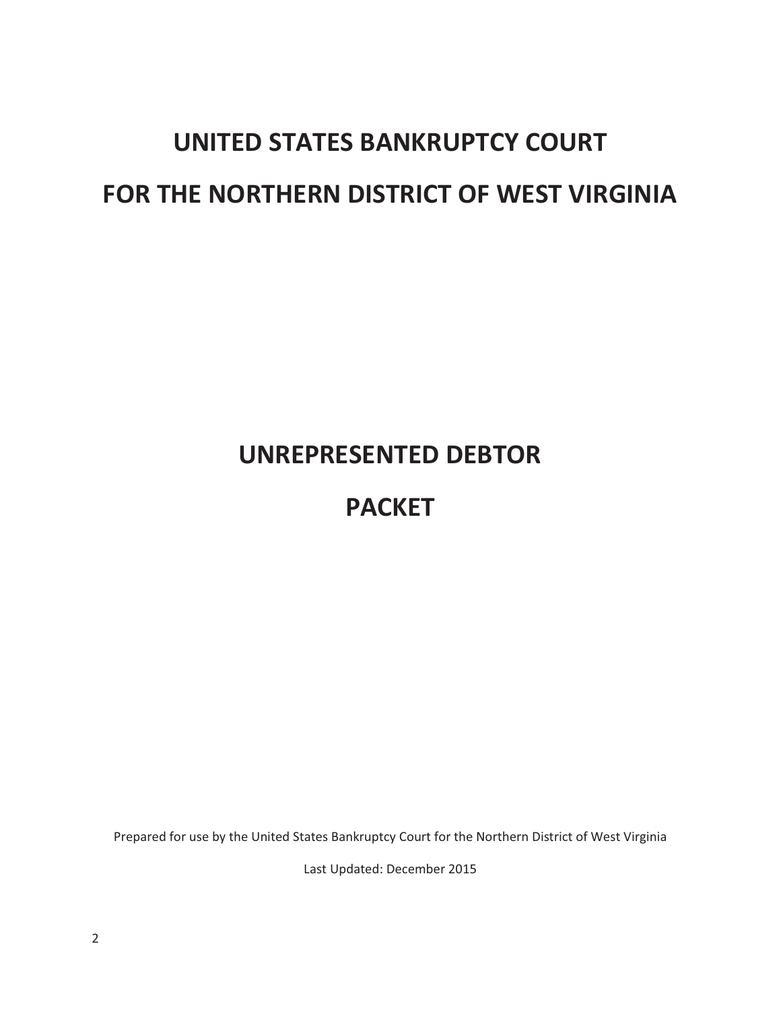# **UNITED STATES BANKRUPTCY COURT FOR THE NORTHERN DISTRICT OF WEST VIRGINIA**

# **UNREPRESENTED DEBTOR PACKET**

Prepared for use by the United States Bankruptcy Court for the Northern District of West Virginia

Last Updated: December 2015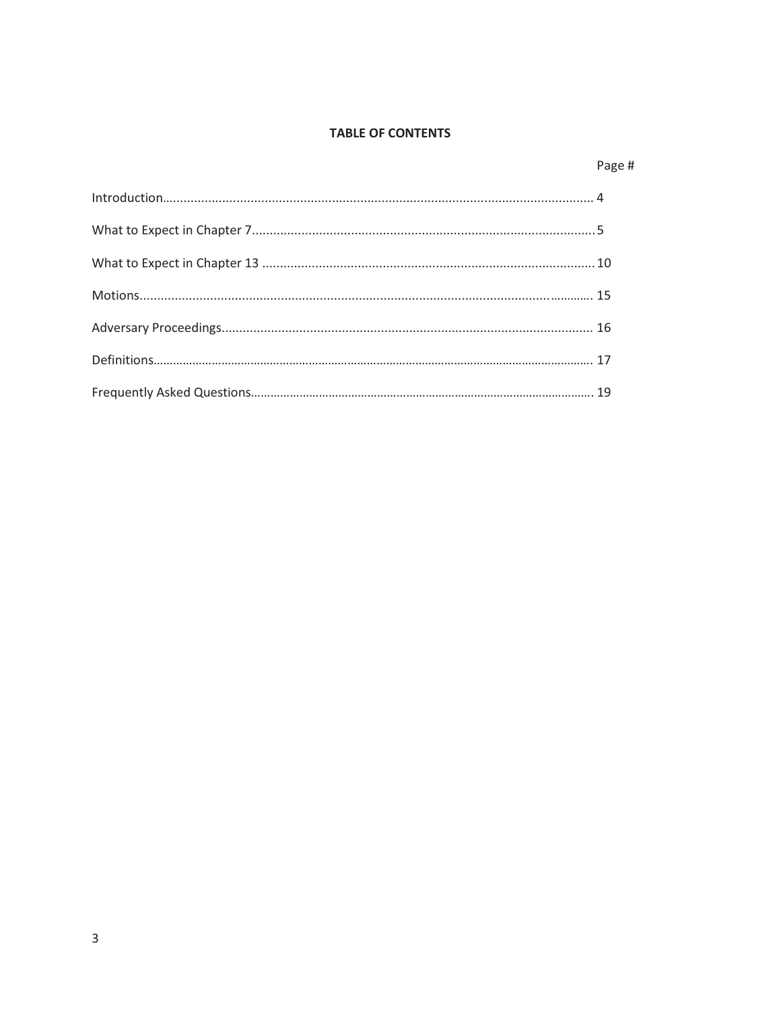#### **TABLE OF CONTENTS**

#### Page #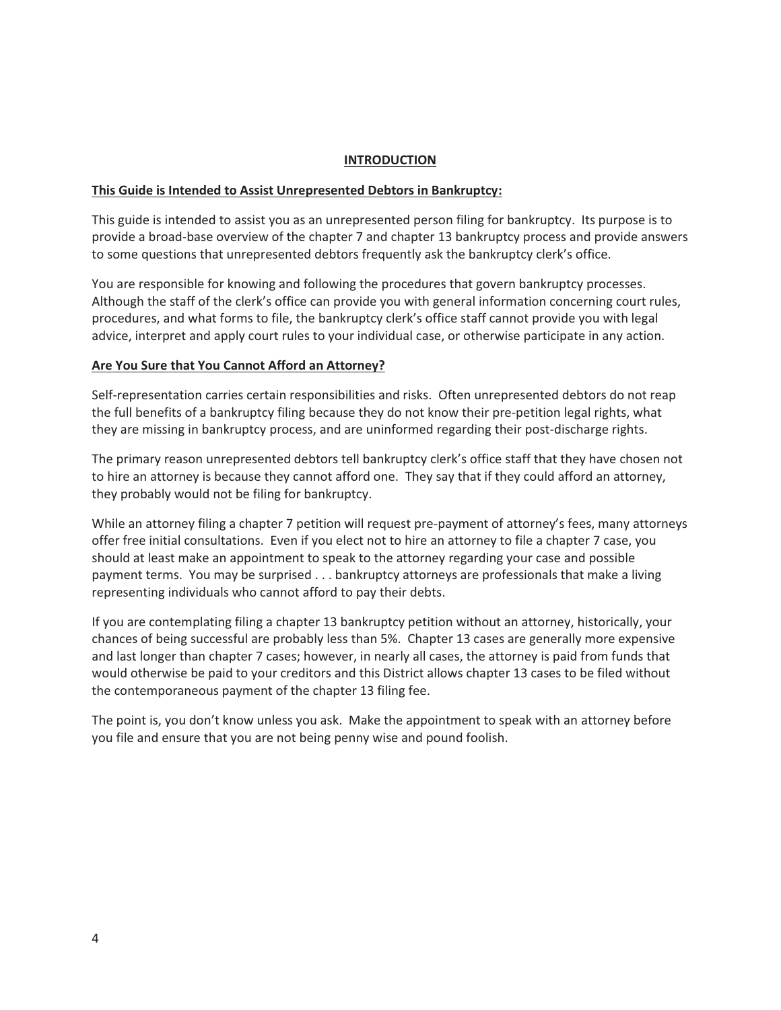#### **INTRODUCTION**

#### **This Guide is Intended to Assist Unrepresented Debtors in Bankruptcy:**

This guide is intended to assist you as an unrepresented person filing for bankruptcy. Its purpose is to provide a broad-base overview of the chapter 7 and chapter 13 bankruptcy process and provide answers to some questions that unrepresented debtors frequently ask the bankruptcy clerk's office.

You are responsible for knowing and following the procedures that govern bankruptcy processes. Although the staff of the clerk's office can provide you with general information concerning court rules, procedures, and what forms to file, the bankruptcy clerk's office staff cannot provide you with legal advice, interpret and apply court rules to your individual case, or otherwise participate in any action.

#### **Are You Sure that You Cannot Afford an Attorney?**

Self-representation carries certain responsibilities and risks. Often unrepresented debtors do not reap the full benefits of a bankruptcy filing because they do not know their pre-petition legal rights, what they are missing in bankruptcy process, and are uninformed regarding their post-discharge rights.

The primary reason unrepresented debtors tell bankruptcy clerk's office staff that they have chosen not to hire an attorney is because they cannot afford one. They say that if they could afford an attorney, they probably would not be filing for bankruptcy.

While an attorney filing a chapter 7 petition will request pre-payment of attorney's fees, many attorneys offer free initial consultations. Even if you elect not to hire an attorney to file a chapter 7 case, you should at least make an appointment to speak to the attorney regarding your case and possible payment terms. You may be surprised . . . bankruptcy attorneys are professionals that make a living representing individuals who cannot afford to pay their debts.

If you are contemplating filing a chapter 13 bankruptcy petition without an attorney, historically, your chances of being successful are probably less than 5%. Chapter 13 cases are generally more expensive and last longer than chapter 7 cases; however, in nearly all cases, the attorney is paid from funds that would otherwise be paid to your creditors and this District allows chapter 13 cases to be filed without the contemporaneous payment of the chapter 13 filing fee.

The point is, you don't know unless you ask. Make the appointment to speak with an attorney before you file and ensure that you are not being penny wise and pound foolish.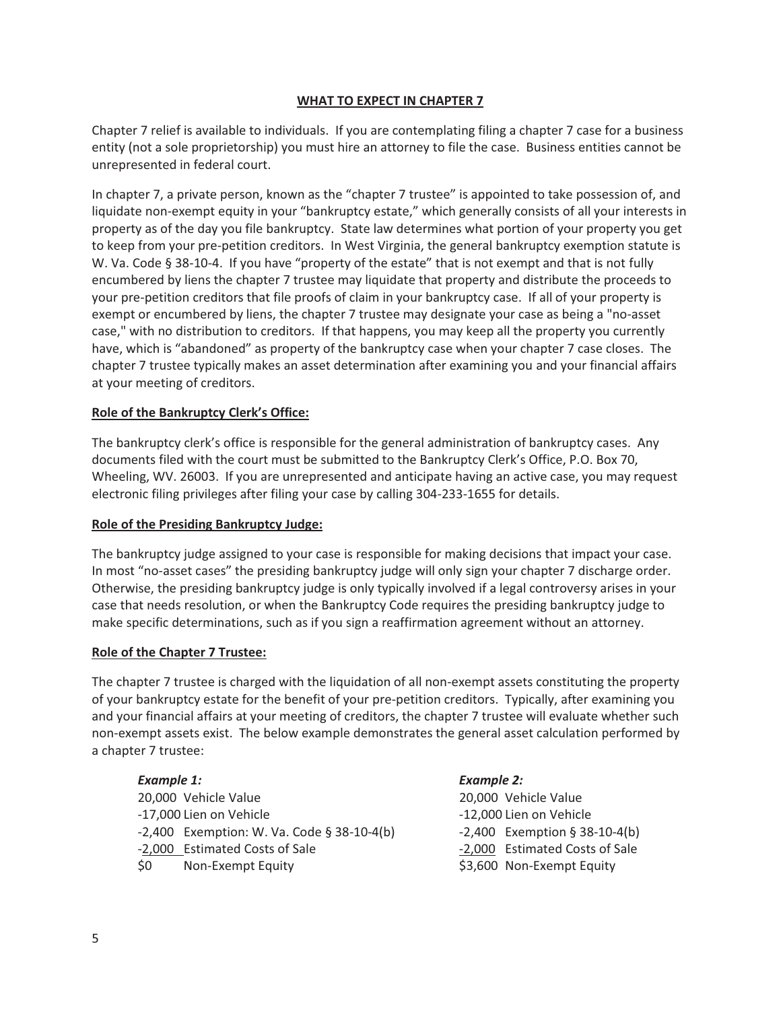#### **WHAT TO EXPECT IN CHAPTER 7**

Chapter 7 relief is available to individuals. If you are contemplating filing a chapter 7 case for a business entity (not a sole proprietorship) you must hire an attorney to file the case. Business entities cannot be unrepresented in federal court.

In chapter 7, a private person, known as the "chapter 7 trustee" is appointed to take possession of, and liquidate non-exempt equity in your "bankruptcy estate," which generally consists of all your interests in property as of the day you file bankruptcy. State law determines what portion of your property you get to keep from your pre-petition creditors. In West Virginia, the general bankruptcy exemption statute is W. Va. Code § 38-10-4. If you have "property of the estate" that is not exempt and that is not fully encumbered by liens the chapter 7 trustee may liquidate that property and distribute the proceeds to your pre-petition creditors that file proofs of claim in your bankruptcy case. If all of your property is exempt or encumbered by liens, the chapter 7 trustee may designate your case as being a "no-asset case," with no distribution to creditors. If that happens, you may keep all the property you currently have, which is "abandoned" as property of the bankruptcy case when your chapter 7 case closes. The chapter 7 trustee typically makes an asset determination after examining you and your financial affairs at your meeting of creditors.

#### **Role of the Bankruptcy Clerk's Office:**

The bankruptcy clerk's office is responsible for the general administration of bankruptcy cases. Any documents filed with the court must be submitted to the Bankruptcy Clerk's Office, P.O. Box 70, Wheeling, WV. 26003. If you are unrepresented and anticipate having an active case, you may request electronic filing privileges after filing your case by calling 304-233-1655 for details.

#### **Role of the Presiding Bankruptcy Judge:**

The bankruptcy judge assigned to your case is responsible for making decisions that impact your case. In most "no-asset cases" the presiding bankruptcy judge will only sign your chapter 7 discharge order. Otherwise, the presiding bankruptcy judge is only typically involved if a legal controversy arises in your case that needs resolution, or when the Bankruptcy Code requires the presiding bankruptcy judge to make specific determinations, such as if you sign a reaffirmation agreement without an attorney.

#### **Role of the Chapter 7 Trustee:**

The chapter 7 trustee is charged with the liquidation of all non-exempt assets constituting the property of your bankruptcy estate for the benefit of your pre-petition creditors. Typically, after examining you and your financial affairs at your meeting of creditors, the chapter 7 trustee will evaluate whether such non-exempt assets exist. The below example demonstrates the general asset calculation performed by a chapter 7 trustee:

 20,000 Vehicle Value 20,000 Vehicle Value -17,000 Lien on Vehicle -12,000 Lien on Vehicle  $-2,400$  Exemption: W. Va. Code § 38-10-4(b)  $-2,400$  Exemption § 38-10-4(b) -2,000 Estimated Costs of Sale -2,000 Estimated Costs of Sale \$0 Non-Exempt Equity 63,600 Non-Exempt Equity

#### *Example 1: Example 2:*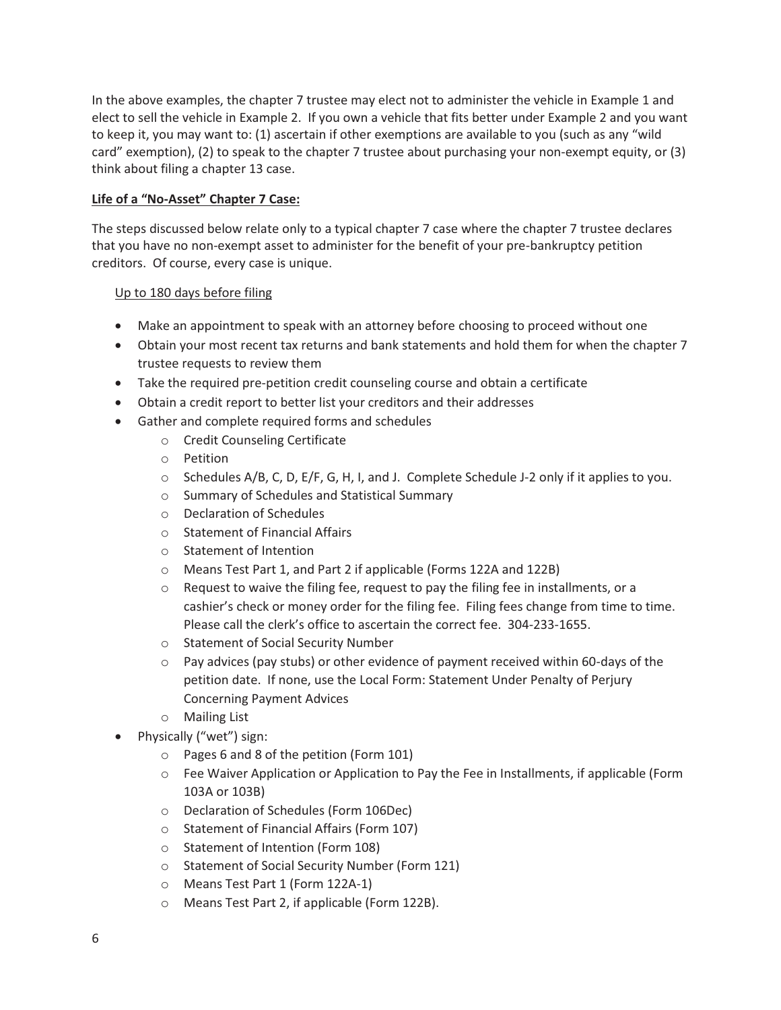In the above examples, the chapter 7 trustee may elect not to administer the vehicle in Example 1 and elect to sell the vehicle in Example 2. If you own a vehicle that fits better under Example 2 and you want to keep it, you may want to: (1) ascertain if other exemptions are available to you (such as any "wild card" exemption), (2) to speak to the chapter 7 trustee about purchasing your non-exempt equity, or (3) think about filing a chapter 13 case.

#### **Life of a "No-Asset" Chapter 7 Case:**

The steps discussed below relate only to a typical chapter 7 case where the chapter 7 trustee declares that you have no non-exempt asset to administer for the benefit of your pre-bankruptcy petition creditors. Of course, every case is unique.

#### Up to 180 days before filing

- Make an appointment to speak with an attorney before choosing to proceed without one
- Obtain your most recent tax returns and bank statements and hold them for when the chapter 7 trustee requests to review them
- Take the required pre-petition credit counseling course and obtain a certificate
- Obtain a credit report to better list your creditors and their addresses
- Gather and complete required forms and schedules
	- o Credit Counseling Certificate
	- o Petition
	- $\circ$  Schedules A/B, C, D, E/F, G, H, I, and J. Complete Schedule J-2 only if it applies to you.
	- o Summary of Schedules and Statistical Summary
	- o Declaration of Schedules
	- o Statement of Financial Affairs
	- o Statement of Intention
	- o Means Test Part 1, and Part 2 if applicable (Forms 122A and 122B)
	- o Request to waive the filing fee, request to pay the filing fee in installments, or a cashier's check or money order for the filing fee. Filing fees change from time to time. Please call the clerk's office to ascertain the correct fee. 304-233-1655.
	- o Statement of Social Security Number
	- $\circ$  Pay advices (pay stubs) or other evidence of payment received within 60-days of the petition date. If none, use the Local Form: Statement Under Penalty of Perjury Concerning Payment Advices
	- o Mailing List
- - Physically ("wet") sign:
	- o Pages 6 and 8 of the petition (Form 101)
	- $\circ$  Fee Waiver Application or Application to Pay the Fee in Installments, if applicable (Form 103A or 103B)
	- o Declaration of Schedules (Form 106Dec)
	- o Statement of Financial Affairs (Form 107)
	- o Statement of Intention (Form 108)
	- o Statement of Social Security Number (Form 121)
	- o Means Test Part 1 (Form 122A-1)
	- o Means Test Part 2, if applicable (Form 122B).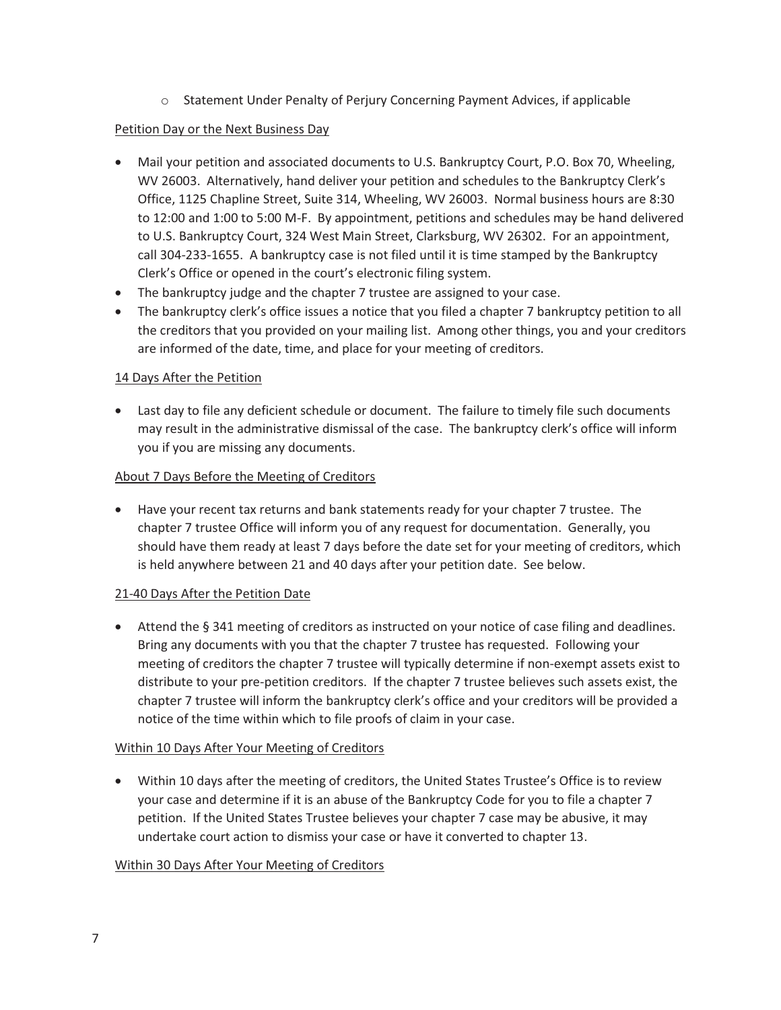o Statement Under Penalty of Perjury Concerning Payment Advices, if applicable

#### Petition Day or the Next Business Day

- Mail your petition and associated documents to U.S. Bankruptcy Court, P.O. Box 70, Wheeling, WV 26003. Alternatively, hand deliver your petition and schedules to the Bankruptcy Clerk's Office, 1125 Chapline Street, Suite 314, Wheeling, WV 26003. Normal business hours are 8:30 to 12:00 and 1:00 to 5:00 M-F. By appointment, petitions and schedules may be hand delivered to U.S. Bankruptcy Court, 324 West Main Street, Clarksburg, WV 26302. For an appointment, call 304-233-1655. A bankruptcy case is not filed until it is time stamped by the Bankruptcy Clerk's Office or opened in the court's electronic filing system.
- The bankruptcy judge and the chapter 7 trustee are assigned to your case.
- The bankruptcy clerk's office issues a notice that you filed a chapter 7 bankruptcy petition to all the creditors that you provided on your mailing list. Among other things, you and your creditors are informed of the date, time, and place for your meeting of creditors.

#### 14 Days After the Petition

• Last day to file any deficient schedule or document. The failure to timely file such documents may result in the administrative dismissal of the case. The bankruptcy clerk's office will inform you if you are missing any documents.

#### About 7 Days Before the Meeting of Creditors

- Have your recent tax returns and bank statements ready for your chapter 7 trustee. The chapter 7 trustee Office will inform you of any request for documentation. Generally, you should have them ready at least 7 days before the date set for your meeting of creditors, which is held anywhere between 21 and 40 days after your petition date. See below.

#### 21-40 Days After the Petition Date

• Attend the § 341 meeting of creditors as instructed on your notice of case filing and deadlines. Bring any documents with you that the chapter 7 trustee has requested. Following your meeting of creditors the chapter 7 trustee will typically determine if non-exempt assets exist to distribute to your pre-petition creditors. If the chapter 7 trustee believes such assets exist, the chapter 7 trustee will inform the bankruptcy clerk's office and your creditors will be provided a notice of the time within which to file proofs of claim in your case.

#### Within 10 Days After Your Meeting of Creditors

- Within 10 days after the meeting of creditors, the United States Trustee's Office is to review your case and determine if it is an abuse of the Bankruptcy Code for you to file a chapter 7 petition. If the United States Trustee believes your chapter 7 case may be abusive, it may undertake court action to dismiss your case or have it converted to chapter 13.

#### Within 30 Days After Your Meeting of Creditors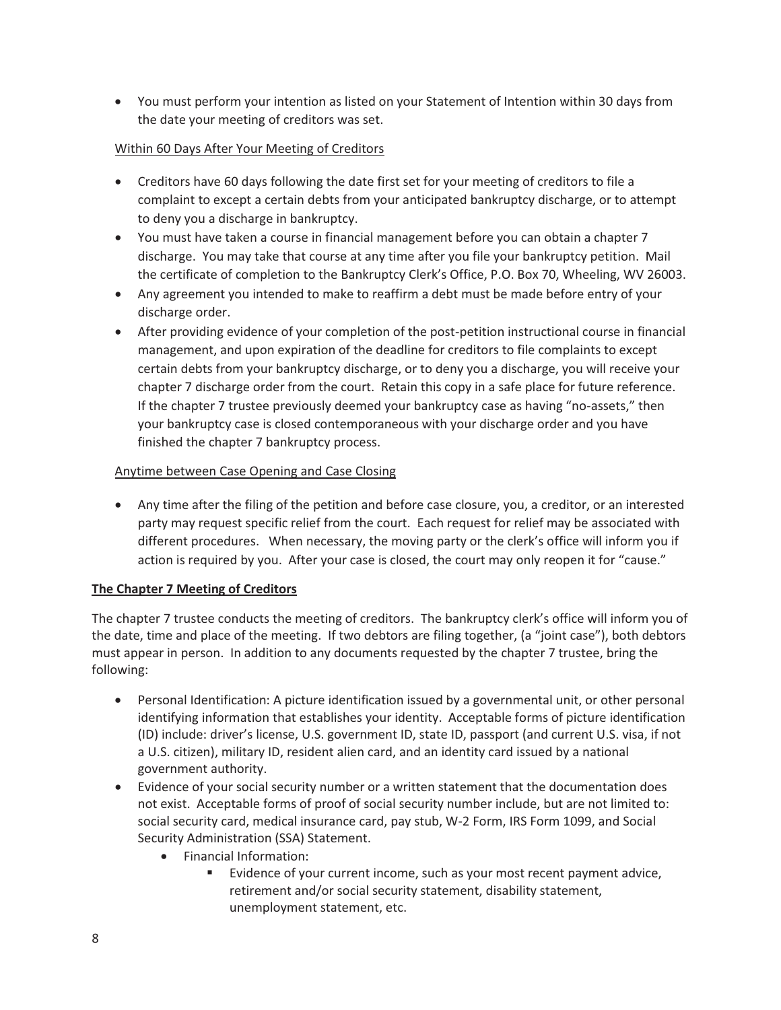- You must perform your intention as listed on your Statement of Intention within 30 days from the date your meeting of creditors was set.

#### Within 60 Days After Your Meeting of Creditors

- Creditors have 60 days following the date first set for your meeting of creditors to file a complaint to except a certain debts from your anticipated bankruptcy discharge, or to attempt to deny you a discharge in bankruptcy.
- You must have taken a course in financial management before you can obtain a chapter 7 discharge. You may take that course at any time after you file your bankruptcy petition. Mail the certificate of completion to the Bankruptcy Clerk's Office, P.O. Box 70, Wheeling, WV 26003.
- Any agreement you intended to make to reaffirm a debt must be made before entry of your discharge order.
- After providing evidence of your completion of the post-petition instructional course in financial management, and upon expiration of the deadline for creditors to file complaints to except certain debts from your bankruptcy discharge, or to deny you a discharge, you will receive your chapter 7 discharge order from the court. Retain this copy in a safe place for future reference. If the chapter 7 trustee previously deemed your bankruptcy case as having "no-assets," then your bankruptcy case is closed contemporaneous with your discharge order and you have finished the chapter 7 bankruptcy process.

#### Anytime between Case Opening and Case Closing

• Any time after the filing of the petition and before case closure, you, a creditor, or an interested party may request specific relief from the court. Each request for relief may be associated with different procedures. When necessary, the moving party or the clerk's office will inform you if action is required by you. After your case is closed, the court may only reopen it for "cause."

#### **The Chapter 7 Meeting of Creditors**

The chapter 7 trustee conducts the meeting of creditors. The bankruptcy clerk's office will inform you of the date, time and place of the meeting. If two debtors are filing together, (a "joint case"), both debtors must appear in person. In addition to any documents requested by the chapter 7 trustee, bring the following:

- Personal Identification: A picture identification issued by a governmental unit, or other personal identifying information that establishes your identity. Acceptable forms of picture identification (ID) include: driver's license, U.S. government ID, state ID, passport (and current U.S. visa, if not a U.S. citizen), military ID, resident alien card, and an identity card issued by a national government authority.
- Evidence of your social security number or a written statement that the documentation does not exist. Acceptable forms of proof of social security number include, but are not limited to: social security card, medical insurance card, pay stub, W-2 Form, IRS Form 1099, and Social Security Administration (SSA) Statement.
	- Financial Information:
		- - Evidence of your current income, such as your most recent payment advice, retirement and/or social security statement, disability statement, unemployment statement, etc.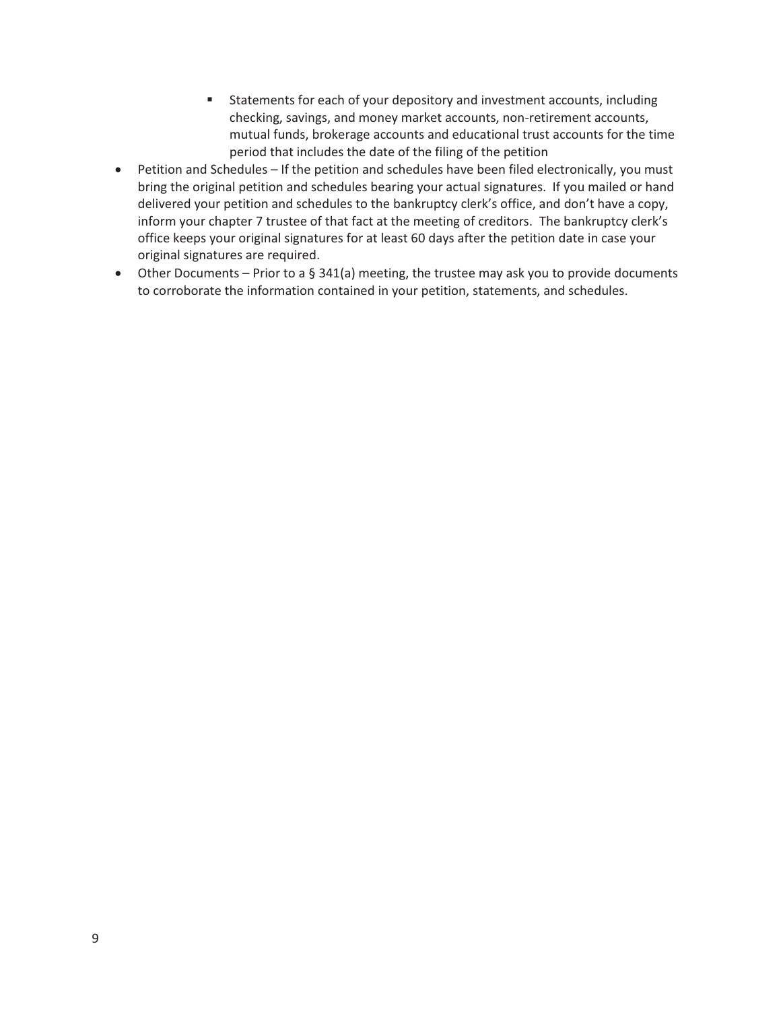- **EXECT** Statements for each of your depository and investment accounts, including checking, savings, and money market accounts, non-retirement accounts, mutual funds, brokerage accounts and educational trust accounts for the time period that includes the date of the filing of the petition
- Petition and Schedules If the petition and schedules have been filed electronically, you must bring the original petition and schedules bearing your actual signatures. If you mailed or hand delivered your petition and schedules to the bankruptcy clerk's office, and don't have a copy, inform your chapter 7 trustee of that fact at the meeting of creditors. The bankruptcy clerk's office keeps your original signatures for at least 60 days after the petition date in case your original signatures are required.
- Other Documents Prior to a § 341(a) meeting, the trustee may ask you to provide documents to corroborate the information contained in your petition, statements, and schedules.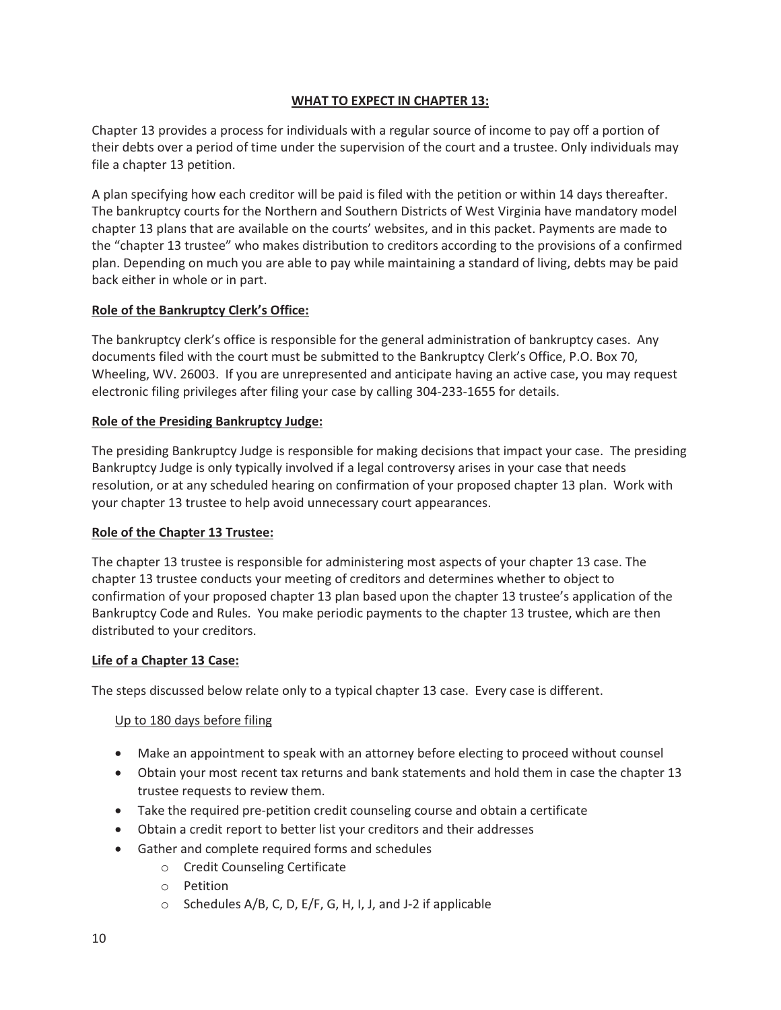#### **WHAT TO EXPECT IN CHAPTER 13:**

Chapter 13 provides a process for individuals with a regular source of income to pay off a portion of their debts over a period of time under the supervision of the court and a trustee. Only individuals may file a chapter 13 petition.

A plan specifying how each creditor will be paid is filed with the petition or within 14 days thereafter. The bankruptcy courts for the Northern and Southern Districts of West Virginia have mandatory model chapter 13 plans that are available on the courts' websites, and in this packet. Payments are made to the "chapter 13 trustee" who makes distribution to creditors according to the provisions of a confirmed plan. Depending on much you are able to pay while maintaining a standard of living, debts may be paid back either in whole or in part.

#### **Role of the Bankruptcy Clerk's Office:**

The bankruptcy clerk's office is responsible for the general administration of bankruptcy cases. Any documents filed with the court must be submitted to the Bankruptcy Clerk's Office, P.O. Box 70, Wheeling, WV. 26003. If you are unrepresented and anticipate having an active case, you may request electronic filing privileges after filing your case by calling 304-233-1655 for details.

#### **Role of the Presiding Bankruptcy Judge:**

The presiding Bankruptcy Judge is responsible for making decisions that impact your case. The presiding Bankruptcy Judge is only typically involved if a legal controversy arises in your case that needs resolution, or at any scheduled hearing on confirmation of your proposed chapter 13 plan. Work with your chapter 13 trustee to help avoid unnecessary court appearances.

#### **Role of the Chapter 13 Trustee:**

The chapter 13 trustee is responsible for administering most aspects of your chapter 13 case. The chapter 13 trustee conducts your meeting of creditors and determines whether to object to confirmation of your proposed chapter 13 plan based upon the chapter 13 trustee's application of the Bankruptcy Code and Rules. You make periodic payments to the chapter 13 trustee, which are then distributed to your creditors.

#### **Life of a Chapter 13 Case:**

The steps discussed below relate only to a typical chapter 13 case. Every case is different.

#### Up to 180 days before filing

- Make an appointment to speak with an attorney before electing to proceed without counsel
- Obtain your most recent tax returns and bank statements and hold them in case the chapter 13 trustee requests to review them.
- Take the required pre-petition credit counseling course and obtain a certificate
- Obtain a credit report to better list your creditors and their addresses
- Gather and complete required forms and schedules
	- o Credit Counseling Certificate
	- o Petition
	- o Schedules A/B, C, D, E/F, G, H, I, J, and J-2 if applicable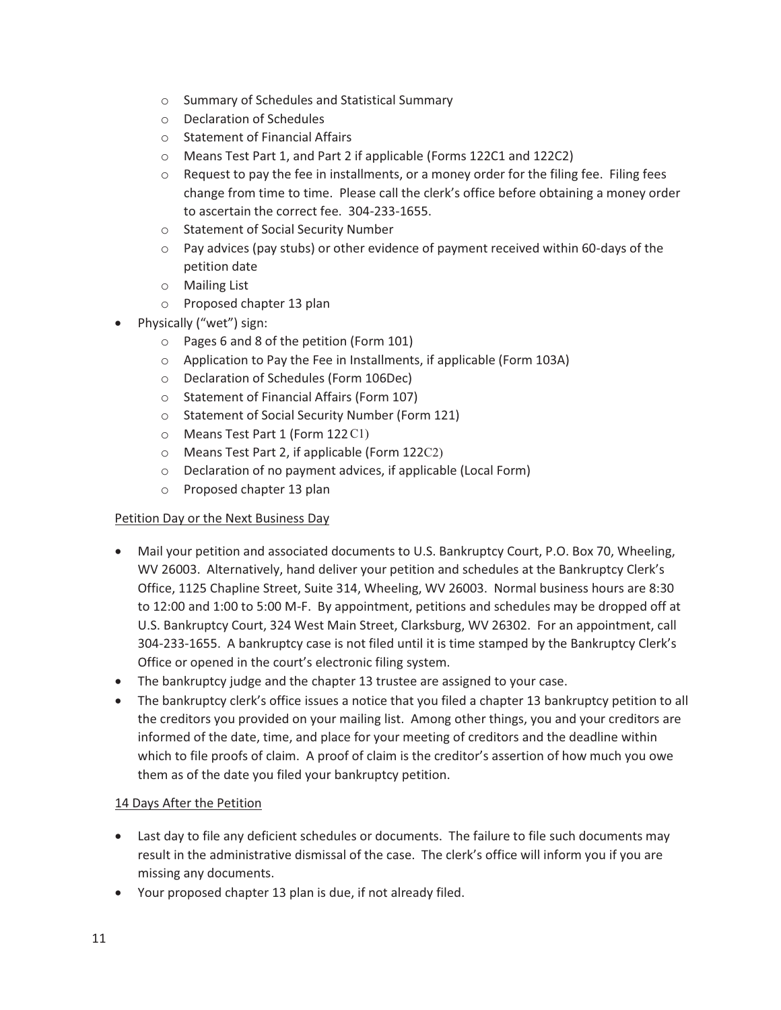- o Summary of Schedules and Statistical Summary
- o Declaration of Schedules
- o Statement of Financial Affairs
- o Means Test Part 1, and Part 2 if applicable (Forms 122C1 and 122C2)
- $\circ$  Request to pay the fee in installments, or a money order for the filing fee. Filing fees change from time to time. Please call the clerk's office before obtaining a money order to ascertain the correct fee. 304-233-1655.
- o Statement of Social Security Number
- $\circ$  Pay advices (pay stubs) or other evidence of payment received within 60-days of the petition date
- o Mailing List
- o Proposed chapter 13 plan
- Physically ("wet") sign:
	- o Pages 6 and 8 of the petition (Form 101)
	- o Application to Pay the Fee in Installments, if applicable (Form 103A)
	- o Declaration of Schedules (Form 106Dec)
	- o Statement of Financial Affairs (Form 107)
	- o Statement of Social Security Number (Form 121)
	- o Means Test Part 1 (Form 122C1)
	- o Means Test Part 2, if applicable (Form 122C2)
	- o Declaration of no payment advices, if applicable (Local Form)
	- o Proposed chapter 13 plan

#### Petition Day or the Next Business Day

- Mail your petition and associated documents to U.S. Bankruptcy Court, P.O. Box 70, Wheeling, WV 26003. Alternatively, hand deliver your petition and schedules at the Bankruptcy Clerk's Office, 1125 Chapline Street, Suite 314, Wheeling, WV 26003. Normal business hours are 8:30 to 12:00 and 1:00 to 5:00 M-F. By appointment, petitions and schedules may be dropped off at U.S. Bankruptcy Court, 324 West Main Street, Clarksburg, WV 26302. For an appointment, call 304-233-1655. A bankruptcy case is not filed until it is time stamped by the Bankruptcy Clerk's Office or opened in the court's electronic filing system.
- The bankruptcy judge and the chapter 13 trustee are assigned to your case.
- The bankruptcy clerk's office issues a notice that you filed a chapter 13 bankruptcy petition to all the creditors you provided on your mailing list. Among other things, you and your creditors are informed of the date, time, and place for your meeting of creditors and the deadline within which to file proofs of claim. A proof of claim is the creditor's assertion of how much you owe them as of the date you filed your bankruptcy petition.

#### 14 Days After the Petition

- Last day to file any deficient schedules or documents. The failure to file such documents may result in the administrative dismissal of the case. The clerk's office will inform you if you are missing any documents.
- Your proposed chapter 13 plan is due, if not already filed.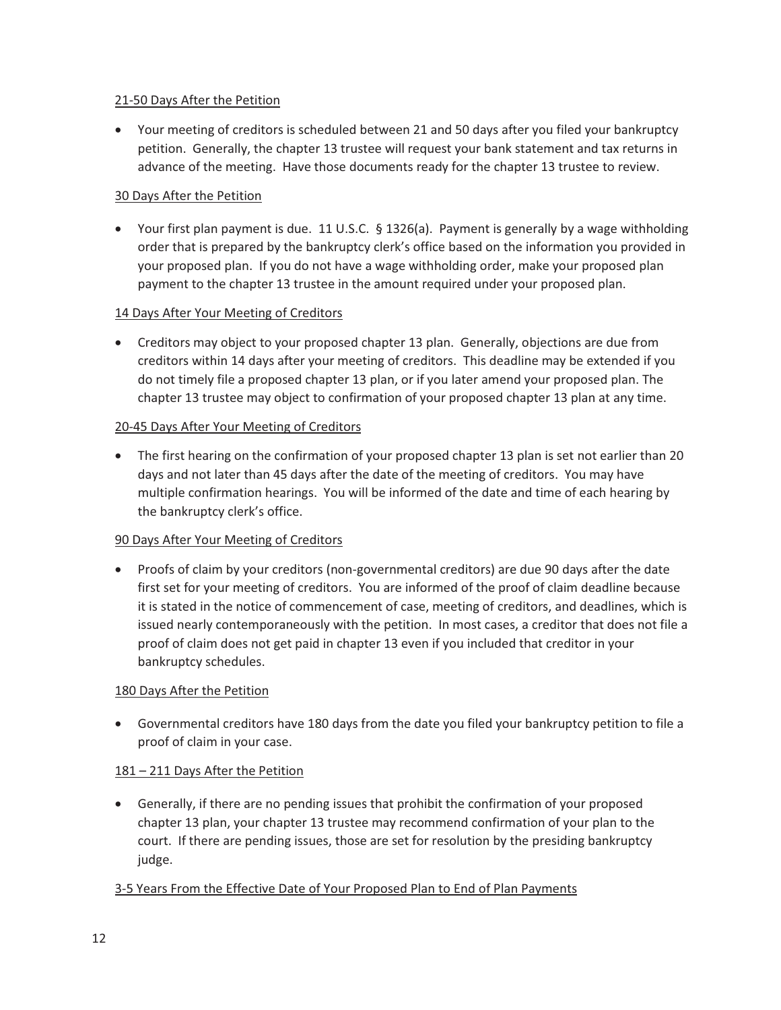#### 21-50 Days After the Petition

• Your meeting of creditors is scheduled between 21 and 50 days after you filed your bankruptcy petition. Generally, the chapter 13 trustee will request your bank statement and tax returns in advance of the meeting. Have those documents ready for the chapter 13 trustee to review.

#### 30 Days After the Petition

• Your first plan payment is due. 11 U.S.C. § 1326(a). Payment is generally by a wage withholding order that is prepared by the bankruptcy clerk's office based on the information you provided in your proposed plan. If you do not have a wage withholding order, make your proposed plan payment to the chapter 13 trustee in the amount required under your proposed plan.

#### 14 Days After Your Meeting of Creditors

- Creditors may object to your proposed chapter 13 plan. Generally, objections are due from creditors within 14 days after your meeting of creditors. This deadline may be extended if you do not timely file a proposed chapter 13 plan, or if you later amend your proposed plan. The chapter 13 trustee may object to confirmation of your proposed chapter 13 plan at any time.

#### 20-45 Days After Your Meeting of Creditors

• The first hearing on the confirmation of your proposed chapter 13 plan is set not earlier than 20 days and not later than 45 days after the date of the meeting of creditors. You may have multiple confirmation hearings. You will be informed of the date and time of each hearing by the bankruptcy clerk's office.

#### 90 Days After Your Meeting of Creditors

- Proofs of claim by your creditors (non-governmental creditors) are due 90 days after the date first set for your meeting of creditors. You are informed of the proof of claim deadline because it is stated in the notice of commencement of case, meeting of creditors, and deadlines, which is issued nearly contemporaneously with the petition. In most cases, a creditor that does not file a proof of claim does not get paid in chapter 13 even if you included that creditor in your bankruptcy schedules.

#### 180 Days After the Petition

- Governmental creditors have 180 days from the date you filed your bankruptcy petition to file a proof of claim in your case.

#### 181 – 211 Days After the Petition

- Generally, if there are no pending issues that prohibit the confirmation of your proposed chapter 13 plan, your chapter 13 trustee may recommend confirmation of your plan to the court. If there are pending issues, those are set for resolution by the presiding bankruptcy judge.

#### 3-5 Years From the Effective Date of Your Proposed Plan to End of Plan Payments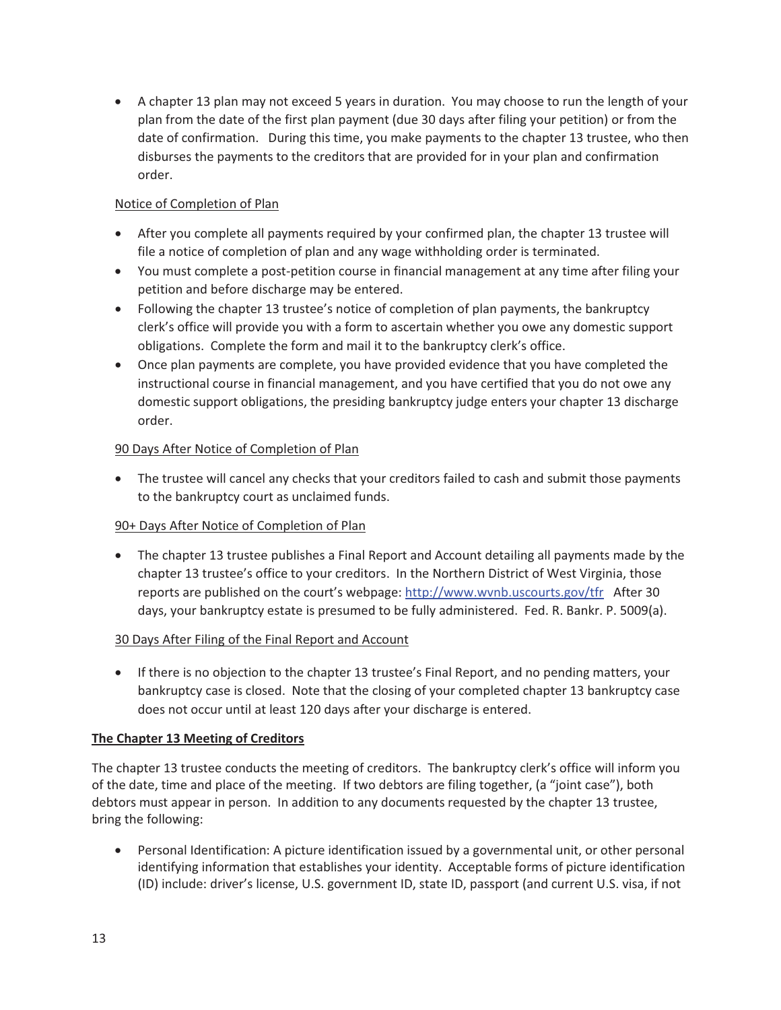- A chapter 13 plan may not exceed 5 years in duration. You may choose to run the length of your plan from the date of the first plan payment (due 30 days after filing your petition) or from the date of confirmation. During this time, you make payments to the chapter 13 trustee, who then disburses the payments to the creditors that are provided for in your plan and confirmation order.

#### Notice of Completion of Plan

- After you complete all payments required by your confirmed plan, the chapter 13 trustee will file a notice of completion of plan and any wage withholding order is terminated.
- You must complete a post-petition course in financial management at any time after filing your petition and before discharge may be entered.
- Following the chapter 13 trustee's notice of completion of plan payments, the bankruptcy clerk's office will provide you with a form to ascertain whether you owe any domestic support obligations. Complete the form and mail it to the bankruptcy clerk's office.
- Once plan payments are complete, you have provided evidence that you have completed the instructional course in financial management, and you have certified that you do not owe any domestic support obligations, the presiding bankruptcy judge enters your chapter 13 discharge order.

#### 90 Days After Notice of Completion of Plan

- The trustee will cancel any checks that your creditors failed to cash and submit those payments to the bankruptcy court as unclaimed funds.

#### 90+ Days After Notice of Completion of Plan

- The chapter 13 trustee publishes a Final Report and Account detailing all payments made by the chapter 13 trustee's office to your creditors. In the Northern District of West Virginia, those reports are published on the court's webpage: http://www.wvnb.uscourts.gov/tfr After 30 days, your bankruptcy estate is presumed to be fully administered. Fed. R. Bankr. P. 5009(a).

#### 30 Days After Filing of the Final Report and Account

- If there is no objection to the chapter 13 trustee's Final Report, and no pending matters, your bankruptcy case is closed. Note that the closing of your completed chapter 13 bankruptcy case does not occur until at least 120 days after your discharge is entered.

#### **The Chapter 13 Meeting of Creditors**

The chapter 13 trustee conducts the meeting of creditors. The bankruptcy clerk's office will inform you of the date, time and place of the meeting. If two debtors are filing together, (a "joint case"), both debtors must appear in person. In addition to any documents requested by the chapter 13 trustee, bring the following:

- Personal Identification: A picture identification issued by a governmental unit, or other personal identifying information that establishes your identity. Acceptable forms of picture identification (ID) include: driver's license, U.S. government ID, state ID, passport (and current U.S. visa, if not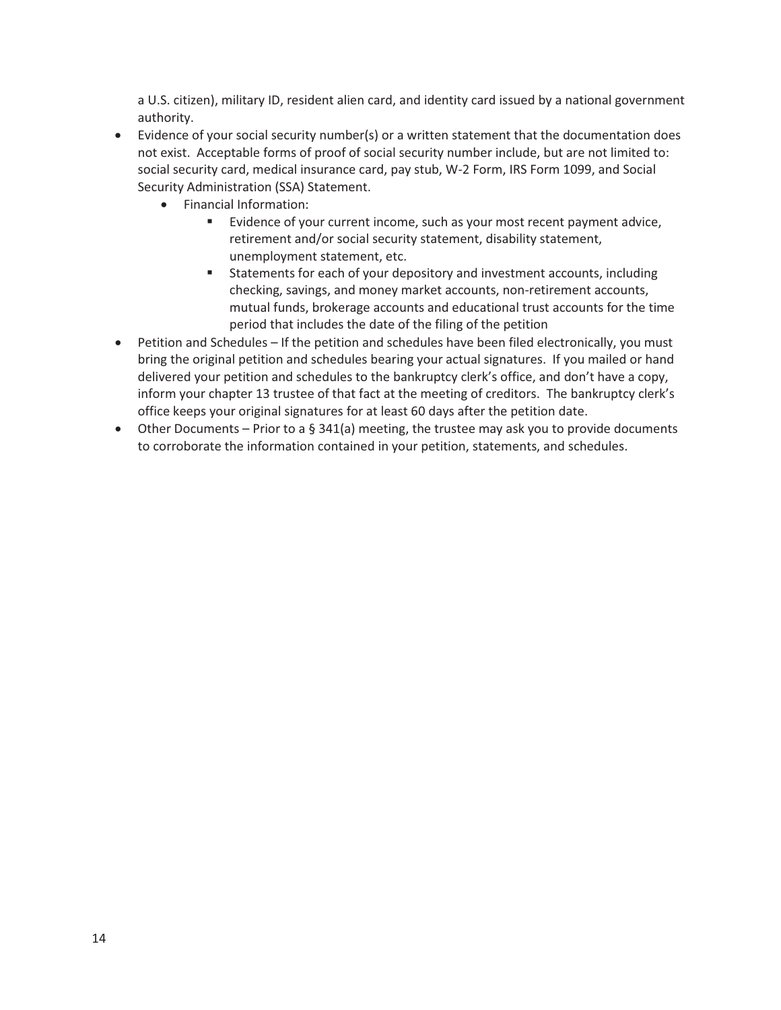a U.S. citizen), military ID, resident alien card, and identity card issued by a national government authority.

- Evidence of your social security number(s) or a written statement that the documentation does not exist. Acceptable forms of proof of social security number include, but are not limited to: social security card, medical insurance card, pay stub, W-2 Form, IRS Form 1099, and Social Security Administration (SSA) Statement.
	- Financial Information:
		- - Evidence of your current income, such as your most recent payment advice, retirement and/or social security statement, disability statement, unemployment statement, etc.
		- - Statements for each of your depository and investment accounts, including checking, savings, and money market accounts, non-retirement accounts, mutual funds, brokerage accounts and educational trust accounts for the time period that includes the date of the filing of the petition
- Petition and Schedules If the petition and schedules have been filed electronically, you must bring the original petition and schedules bearing your actual signatures. If you mailed or hand delivered your petition and schedules to the bankruptcy clerk's office, and don't have a copy, inform your chapter 13 trustee of that fact at the meeting of creditors. The bankruptcy clerk's office keeps your original signatures for at least 60 days after the petition date.
- $\bullet$ Other Documents – Prior to a § 341(a) meeting, the trustee may ask you to provide documents to corroborate the information contained in your petition, statements, and schedules.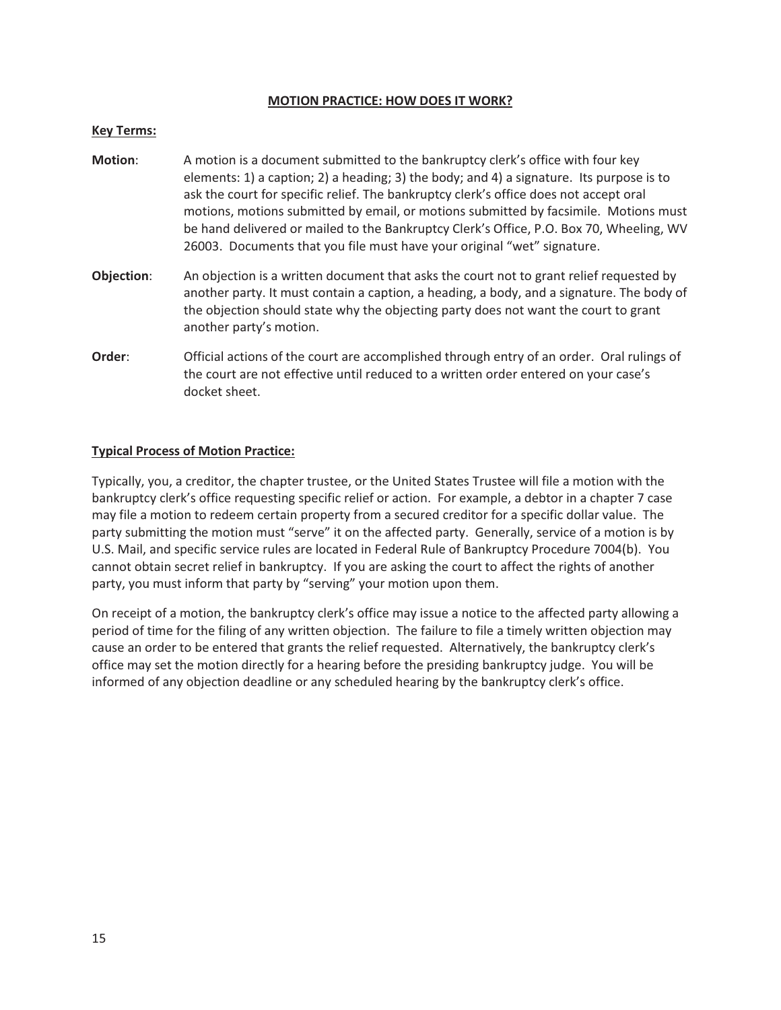#### **MOTION PRACTICE: HOW DOES IT WORK?**

#### **Key Terms:**

- **Motion**: A motion is a document submitted to the bankruptcy clerk's office with four key elements: 1) a caption; 2) a heading; 3) the body; and 4) a signature. Its purpose is to ask the court for specific relief. The bankruptcy clerk's office does not accept oral motions, motions submitted by email, or motions submitted by facsimile. Motions must be hand delivered or mailed to the Bankruptcy Clerk's Office, P.O. Box 70, Wheeling, WV 26003. Documents that you file must have your original "wet" signature.
- **Objection**: An objection is a written document that asks the court not to grant relief requested by another party. It must contain a caption, a heading, a body, and a signature. The body of the objection should state why the objecting party does not want the court to grant another party's motion.
- **Order**: Official actions of the court are accomplished through entry of an order. Oral rulings of the court are not effective until reduced to a written order entered on your case's docket sheet.

#### **Typical Process of Motion Practice:**

Typically, you, a creditor, the chapter trustee, or the United States Trustee will file a motion with the bankruptcy clerk's office requesting specific relief or action. For example, a debtor in a chapter 7 case may file a motion to redeem certain property from a secured creditor for a specific dollar value. The party submitting the motion must "serve" it on the affected party. Generally, service of a motion is by U.S. Mail, and specific service rules are located in Federal Rule of Bankruptcy Procedure 7004(b). You cannot obtain secret relief in bankruptcy. If you are asking the court to affect the rights of another party, you must inform that party by "serving" your motion upon them.

On receipt of a motion, the bankruptcy clerk's office may issue a notice to the affected party allowing a period of time for the filing of any written objection. The failure to file a timely written objection may cause an order to be entered that grants the relief requested. Alternatively, the bankruptcy clerk's office may set the motion directly for a hearing before the presiding bankruptcy judge. You will be informed of any objection deadline or any scheduled hearing by the bankruptcy clerk's office.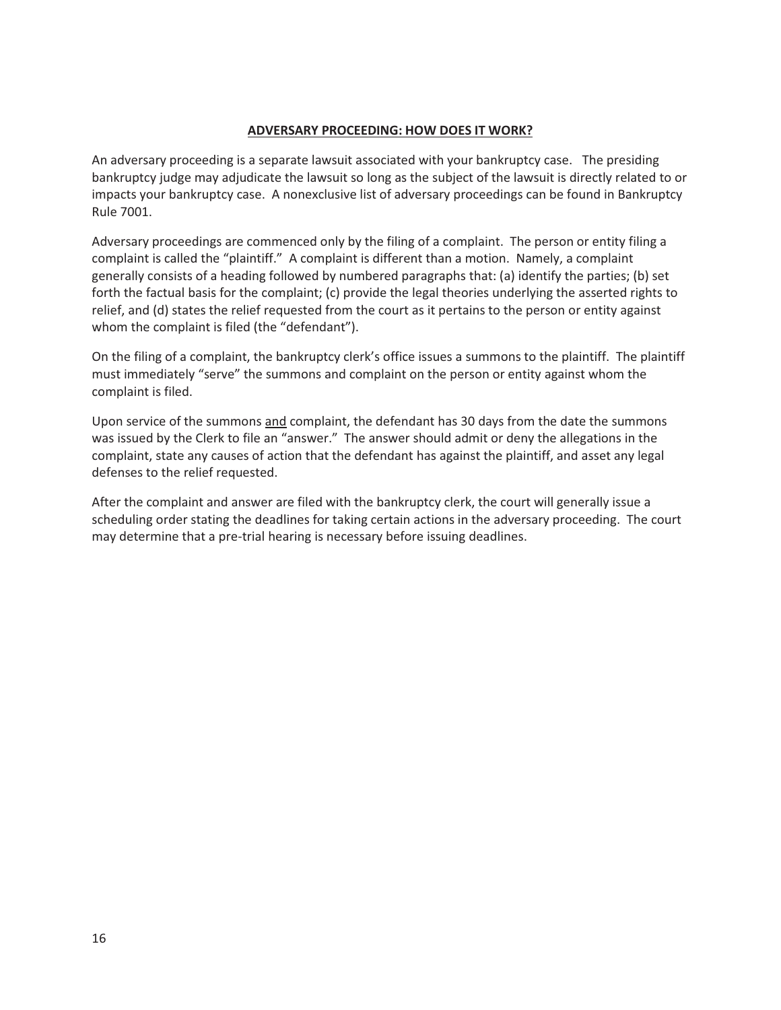#### **ADVERSARY PROCEEDING: HOW DOES IT WORK?**

An adversary proceeding is a separate lawsuit associated with your bankruptcy case. The presiding bankruptcy judge may adjudicate the lawsuit so long as the subject of the lawsuit is directly related to or impacts your bankruptcy case. A nonexclusive list of adversary proceedings can be found in Bankruptcy Rule 7001.

Adversary proceedings are commenced only by the filing of a complaint. The person or entity filing a complaint is called the "plaintiff." A complaint is different than a motion. Namely, a complaint generally consists of a heading followed by numbered paragraphs that: (a) identify the parties; (b) set forth the factual basis for the complaint; (c) provide the legal theories underlying the asserted rights to relief, and (d) states the relief requested from the court as it pertains to the person or entity against whom the complaint is filed (the "defendant").

On the filing of a complaint, the bankruptcy clerk's office issues a summons to the plaintiff. The plaintiff must immediately "serve" the summons and complaint on the person or entity against whom the complaint is filed.

Upon service of the summons and complaint, the defendant has 30 days from the date the summons was issued by the Clerk to file an "answer." The answer should admit or deny the allegations in the complaint, state any causes of action that the defendant has against the plaintiff, and asset any legal defenses to the relief requested.

After the complaint and answer are filed with the bankruptcy clerk, the court will generally issue a scheduling order stating the deadlines for taking certain actions in the adversary proceeding. The court may determine that a pre-trial hearing is necessary before issuing deadlines.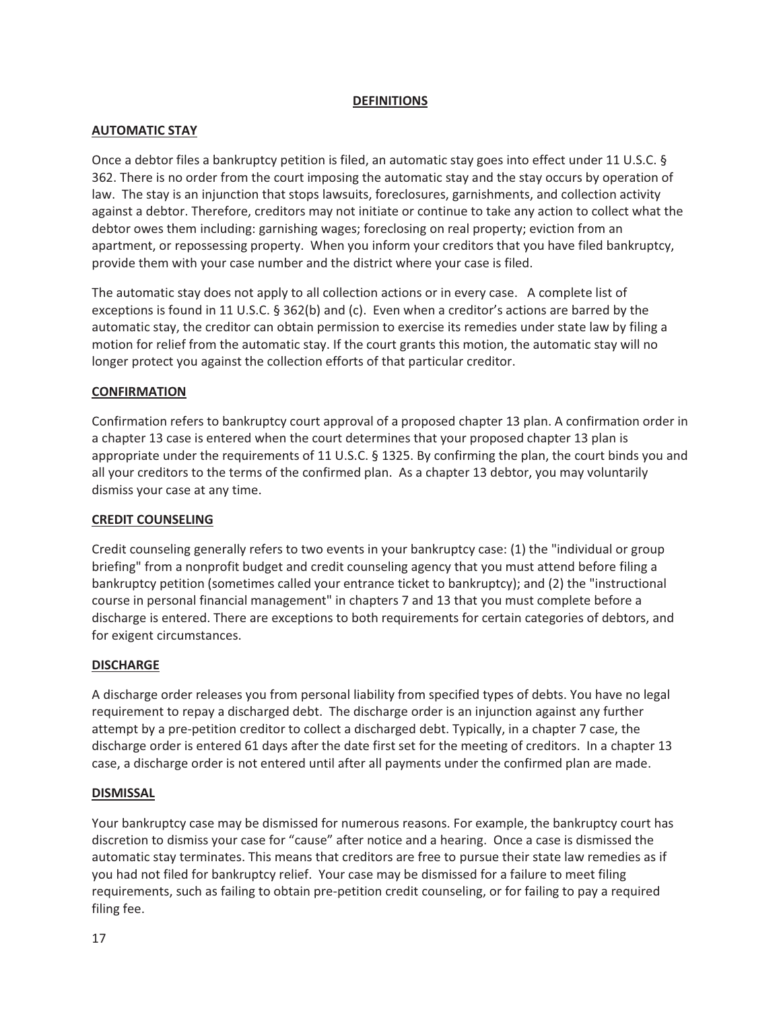#### **DEFINITIONS**

#### **AUTOMATIC STAY**

Once a debtor files a bankruptcy petition is filed, an automatic stay goes into effect under 11 U.S.C. § 362. There is no order from the court imposing the automatic stay and the stay occurs by operation of law. The stay is an injunction that stops lawsuits, foreclosures, garnishments, and collection activity against a debtor. Therefore, creditors may not initiate or continue to take any action to collect what the debtor owes them including: garnishing wages; foreclosing on real property; eviction from an apartment, or repossessing property. When you inform your creditors that you have filed bankruptcy, provide them with your case number and the district where your case is filed.

The automatic stay does not apply to all collection actions or in every case. A complete list of exceptions is found in 11 U.S.C. § 362(b) and (c). Even when a creditor's actions are barred by the automatic stay, the creditor can obtain permission to exercise its remedies under state law by filing a motion for relief from the automatic stay. If the court grants this motion, the automatic stay will no longer protect you against the collection efforts of that particular creditor.

#### **CONFIRMATION**

Confirmation refers to bankruptcy court approval of a proposed chapter 13 plan. A confirmation order in a chapter 13 case is entered when the court determines that your proposed chapter 13 plan is appropriate under the requirements of 11 U.S.C. § 1325. By confirming the plan, the court binds you and all your creditors to the terms of the confirmed plan. As a chapter 13 debtor, you may voluntarily dismiss your case at any time.

#### **CREDIT COUNSELING**

Credit counseling generally refers to two events in your bankruptcy case: (1) the "individual or group briefing" from a nonprofit budget and credit counseling agency that you must attend before filing a bankruptcy petition (sometimes called your entrance ticket to bankruptcy); and (2) the "instructional course in personal financial management" in chapters 7 and 13 that you must complete before a discharge is entered. There are exceptions to both requirements for certain categories of debtors, and for exigent circumstances.

#### **DISCHARGE**

A discharge order releases you from personal liability from specified types of debts. You have no legal requirement to repay a discharged debt. The discharge order is an injunction against any further attempt by a pre-petition creditor to collect a discharged debt. Typically, in a chapter 7 case, the discharge order is entered 61 days after the date first set for the meeting of creditors. In a chapter 13 case, a discharge order is not entered until after all payments under the confirmed plan are made.

#### **DISMISSAL**

Your bankruptcy case may be dismissed for numerous reasons. For example, the bankruptcy court has discretion to dismiss your case for "cause" after notice and a hearing. Once a case is dismissed the automatic stay terminates. This means that creditors are free to pursue their state law remedies as if you had not filed for bankruptcy relief. Your case may be dismissed for a failure to meet filing requirements, such as failing to obtain pre-petition credit counseling, or for failing to pay a required filing fee.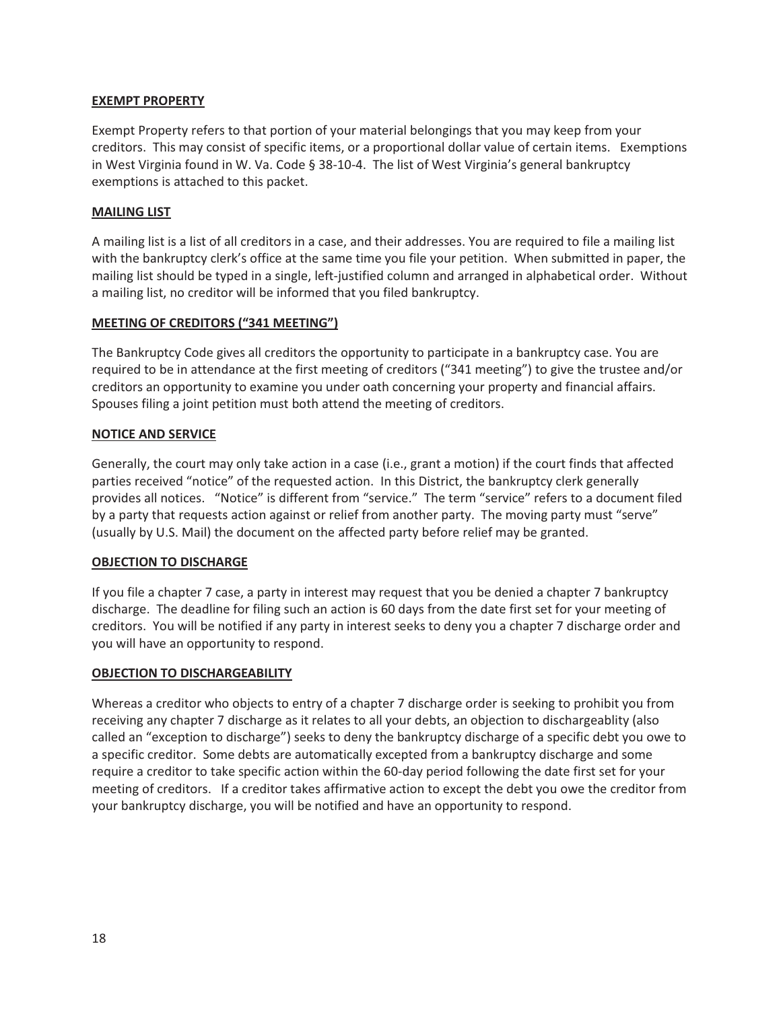#### **EXEMPT PROPERTY**

Exempt Property refers to that portion of your material belongings that you may keep from your creditors. This may consist of specific items, or a proportional dollar value of certain items. Exemptions in West Virginia found in W. Va. Code § 38-10-4. The list of West Virginia's general bankruptcy exemptions is attached to this packet.

#### **MAILING LIST**

A mailing list is a list of all creditors in a case, and their addresses. You are required to file a mailing list with the bankruptcy clerk's office at the same time you file your petition. When submitted in paper, the mailing list should be typed in a single, left-justified column and arranged in alphabetical order. Without a mailing list, no creditor will be informed that you filed bankruptcy.

#### **MEETING OF CREDITORS ("341 MEETING")**

The Bankruptcy Code gives all creditors the opportunity to participate in a bankruptcy case. You are required to be in attendance at the first meeting of creditors ("341 meeting") to give the trustee and/or creditors an opportunity to examine you under oath concerning your property and financial affairs. Spouses filing a joint petition must both attend the meeting of creditors.

#### **NOTICE AND SERVICE**

Generally, the court may only take action in a case (i.e., grant a motion) if the court finds that affected parties received "notice" of the requested action. In this District, the bankruptcy clerk generally provides all notices. "Notice" is different from "service." The term "service" refers to a document filed by a party that requests action against or relief from another party. The moving party must "serve" (usually by U.S. Mail) the document on the affected party before relief may be granted.

#### **OBJECTION TO DISCHARGE**

If you file a chapter 7 case, a party in interest may request that you be denied a chapter 7 bankruptcy discharge. The deadline for filing such an action is 60 days from the date first set for your meeting of creditors. You will be notified if any party in interest seeks to deny you a chapter 7 discharge order and you will have an opportunity to respond.

#### **OBJECTION TO DISCHARGEABILITY**

Whereas a creditor who objects to entry of a chapter 7 discharge order is seeking to prohibit you from receiving any chapter 7 discharge as it relates to all your debts, an objection to dischargeablity (also called an "exception to discharge") seeks to deny the bankruptcy discharge of a specific debt you owe to a specific creditor. Some debts are automatically excepted from a bankruptcy discharge and some require a creditor to take specific action within the 60-day period following the date first set for your meeting of creditors. If a creditor takes affirmative action to except the debt you owe the creditor from your bankruptcy discharge, you will be notified and have an opportunity to respond.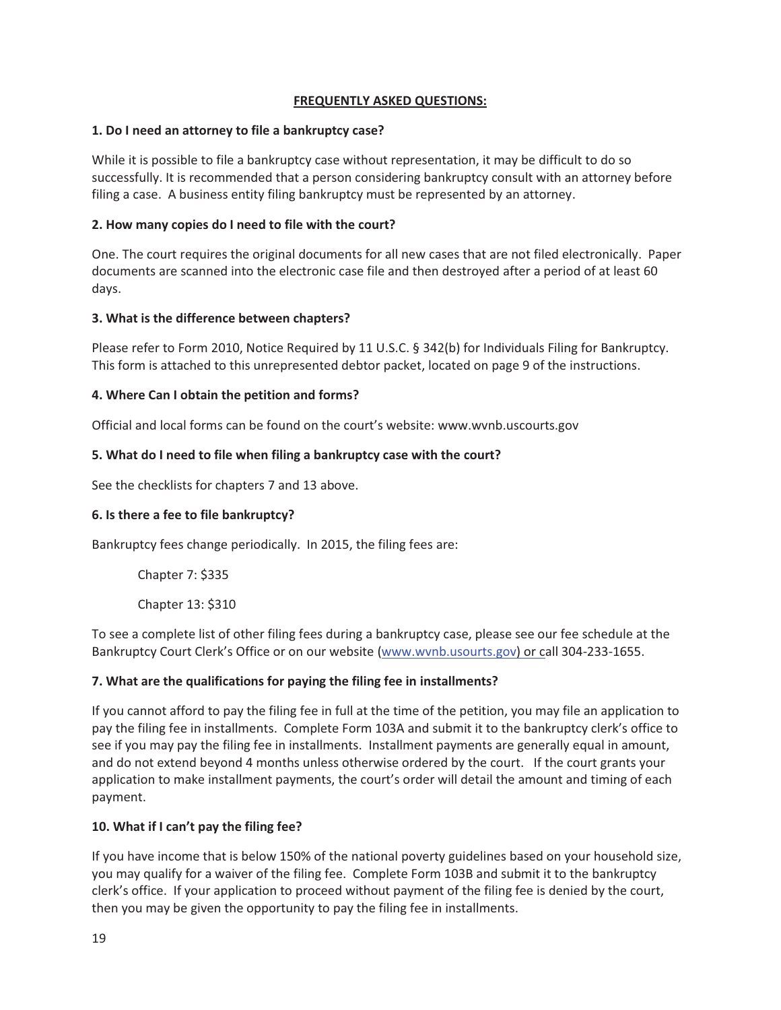#### **FREQUENTLY ASKED QUESTIONS:**

#### **1. Do I need an attorney to file a bankruptcy case?**

While it is possible to file a bankruptcy case without representation, it may be difficult to do so successfully. It is recommended that a person considering bankruptcy consult with an attorney before filing a case. A business entity filing bankruptcy must be represented by an attorney.

#### **2. How many copies do I need to file with the court?**

One. The court requires the original documents for all new cases that are not filed electronically. Paper documents are scanned into the electronic case file and then destroyed after a period of at least 60 days.

#### **3. What is the difference between chapters?**

Please refer to Form 2010, Notice Required by 11 U.S.C. § 342(b) for Individuals Filing for Bankruptcy. This form is attached to this unrepresented debtor packet, located on page 9 of the instructions.

#### **4. Where Can I obtain the petition and forms?**

Official and local forms can be found on the court's website: www.wvnb.uscourts.gov

#### **5. What do I need to file when filing a bankruptcy case with the court?**

See the checklists for chapters 7 and 13 above.

#### **6. Is there a fee to file bankruptcy?**

Bankruptcy fees change periodically. In 2015, the filing fees are:

Chapter 7: \$335

Chapter 13: \$310

To see a complete list of other filing fees during a bankruptcy case, please see our fee schedule at the Bankruptcy Court Clerk's Office or on our website (www.wvnb.usourts.gov) or call 304-233-1655.

#### **7. What are the qualifications for paying the filing fee in installments?**

If you cannot afford to pay the filing fee in full at the time of the petition, you may file an application to pay the filing fee in installments. Complete Form 103A and submit it to the bankruptcy clerk's office to see if you may pay the filing fee in installments. Installment payments are generally equal in amount, and do not extend beyond 4 months unless otherwise ordered by the court. If the court grants your application to make installment payments, the court's order will detail the amount and timing of each payment.

#### **10. What if I can't pay the filing fee?**

If you have income that is below 150% of the national poverty guidelines based on your household size, you may qualify for a waiver of the filing fee. Complete Form 103B and submit it to the bankruptcy clerk's office. If your application to proceed without payment of the filing fee is denied by the court, then you may be given the opportunity to pay the filing fee in installments.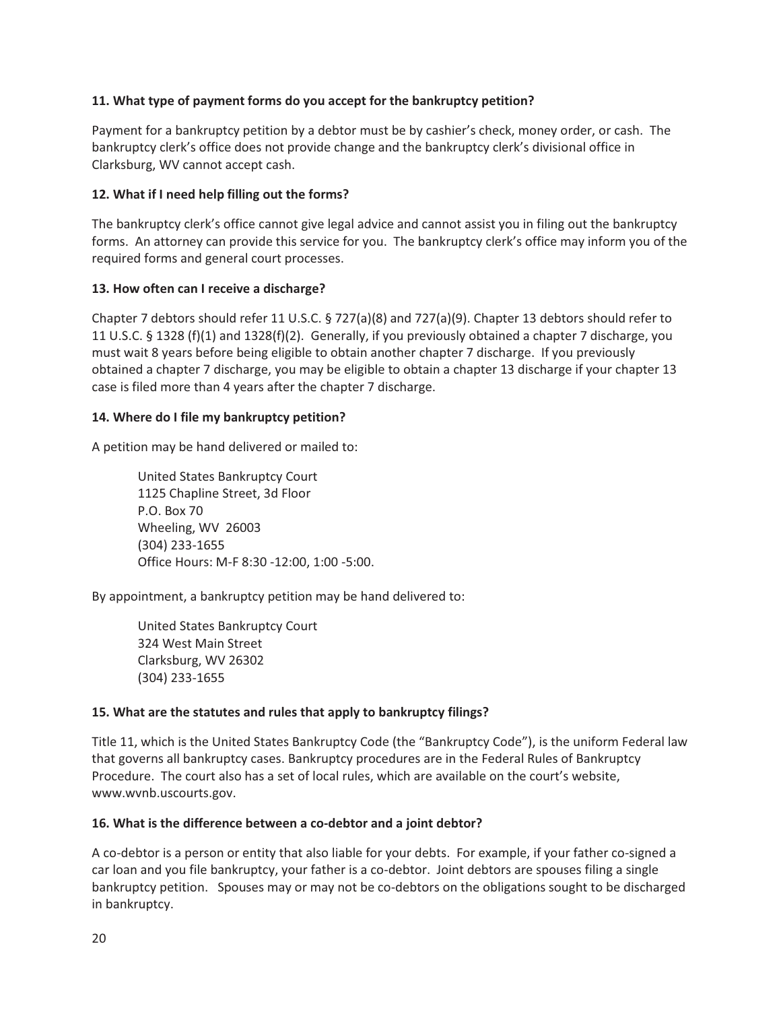#### **11. What type of payment forms do you accept for the bankruptcy petition?**

Payment for a bankruptcy petition by a debtor must be by cashier's check, money order, or cash. The bankruptcy clerk's office does not provide change and the bankruptcy clerk's divisional office in Clarksburg, WV cannot accept cash.

#### **12. What if I need help filling out the forms?**

The bankruptcy clerk's office cannot give legal advice and cannot assist you in filing out the bankruptcy forms. An attorney can provide this service for you. The bankruptcy clerk's office may inform you of the required forms and general court processes.

#### **13. How often can I receive a discharge?**

Chapter 7 debtors should refer 11 U.S.C. § 727(a)(8) and 727(a)(9). Chapter 13 debtors should refer to 11 U.S.C. § 1328 (f)(1) and 1328(f)(2). Generally, if you previously obtained a chapter 7 discharge, you must wait 8 years before being eligible to obtain another chapter 7 discharge. If you previously obtained a chapter 7 discharge, you may be eligible to obtain a chapter 13 discharge if your chapter 13 case is filed more than 4 years after the chapter 7 discharge.

#### **14. Where do I file my bankruptcy petition?**

A petition may be hand delivered or mailed to:

United States Bankruptcy Court 1125 Chapline Street, 3d Floor P.O. Box 70 Wheeling, WV 26003 (304) 233-1655 Office Hours: M-F 8:30 -12:00, 1:00 -5:00.

By appointment, a bankruptcy petition may be hand delivered to:

United States Bankruptcy Court 324 West Main Street Clarksburg, WV 26302 (304) 233-1655

#### **15. What are the statutes and rules that apply to bankruptcy filings?**

Title 11, which is the United States Bankruptcy Code (the "Bankruptcy Code"), is the uniform Federal law that governs all bankruptcy cases. Bankruptcy procedures are in the Federal Rules of Bankruptcy Procedure. The court also has a set of local rules, which are available on the court's website, www.wvnb.uscourts.gov.

#### **16. What is the difference between a co-debtor and a joint debtor?**

A co-debtor is a person or entity that also liable for your debts. For example, if your father co-signed a car loan and you file bankruptcy, your father is a co-debtor. Joint debtors are spouses filing a single bankruptcy petition. Spouses may or may not be co-debtors on the obligations sought to be discharged in bankruptcy.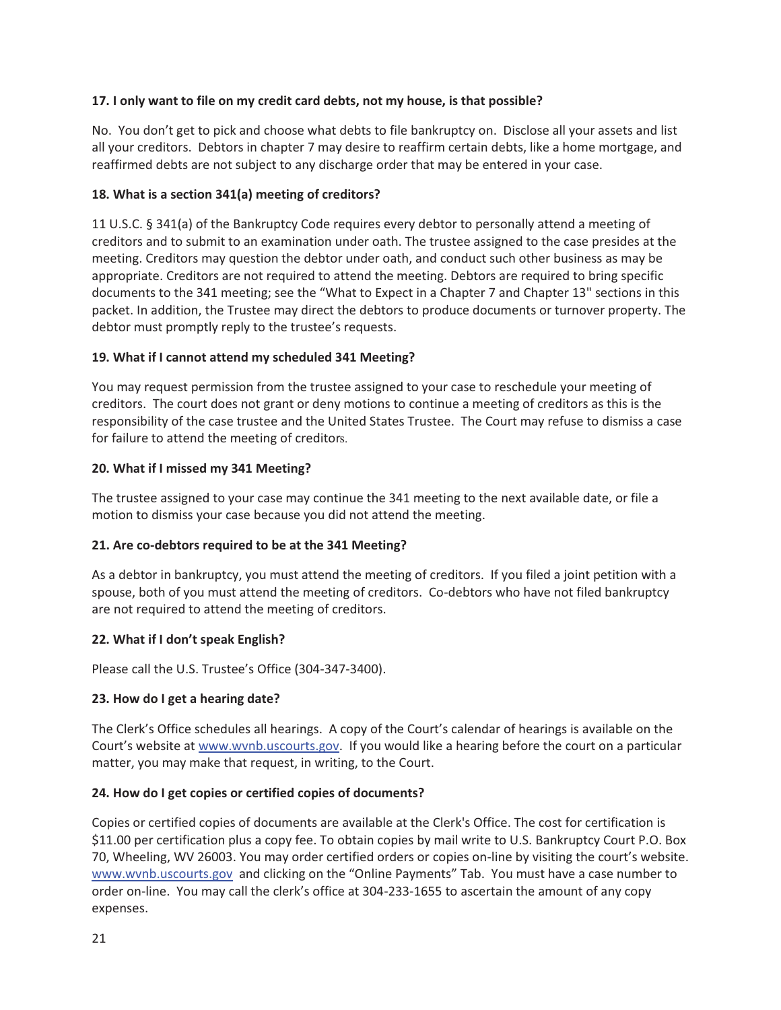#### **17. I only want to file on my credit card debts, not my house, is that possible?**

No. You don't get to pick and choose what debts to file bankruptcy on. Disclose all your assets and list all your creditors. Debtors in chapter 7 may desire to reaffirm certain debts, like a home mortgage, and reaffirmed debts are not subject to any discharge order that may be entered in your case.

#### **18. What is a section 341(a) meeting of creditors?**

11 U.S.C. § 341(a) of the Bankruptcy Code requires every debtor to personally attend a meeting of creditors and to submit to an examination under oath. The trustee assigned to the case presides at the meeting. Creditors may question the debtor under oath, and conduct such other business as may be appropriate. Creditors are not required to attend the meeting. Debtors are required to bring specific documents to the 341 meeting; see the "What to Expect in a Chapter 7 and Chapter 13" sections in this packet. In addition, the Trustee may direct the debtors to produce documents or turnover property. The debtor must promptly reply to the trustee's requests.

#### **19. What if I cannot attend my scheduled 341 Meeting?**

You may request permission from the trustee assigned to your case to reschedule your meeting of creditors. The court does not grant or deny motions to continue a meeting of creditors as this is the responsibility of the case trustee and the United States Trustee. The Court may refuse to dismiss a case for failure to attend the meeting of creditors.

#### **20. What if I missed my 341 Meeting?**

The trustee assigned to your case may continue the 341 meeting to the next available date, or file a motion to dismiss your case because you did not attend the meeting.

#### **21. Are co-debtors required to be at the 341 Meeting?**

As a debtor in bankruptcy, you must attend the meeting of creditors. If you filed a joint petition with a spouse, both of you must attend the meeting of creditors. Co-debtors who have not filed bankruptcy are not required to attend the meeting of creditors.

#### **22. What if I don't speak English?**

Please call the U.S. Trustee's Office (304-347-3400).

#### **23. How do I get a hearing date?**

The Clerk's Office schedules all hearings. A copy of the Court's calendar of hearings is available on the Court's website at www.wvnb.uscourts.gov. If you would like a hearing before the court on a particular matter, you may make that request, in writing, to the Court.

#### **24. How do I get copies or certified copies of documents?**

Copies or certified copies of documents are available at the Clerk's Office. The cost for certification is \$11.00 per certification plus a copy fee. To obtain copies by mail write to U.S. Bankruptcy Court P.O. Box 70, Wheeling, WV 26003. You may order certified orders or copies on-line by visiting the court's website. www.wvnb.uscourts.gov and clicking on the "Online Payments" Tab. You must have a case number to order on-line. You may call the clerk's office at 304-233-1655 to ascertain the amount of any copy expenses.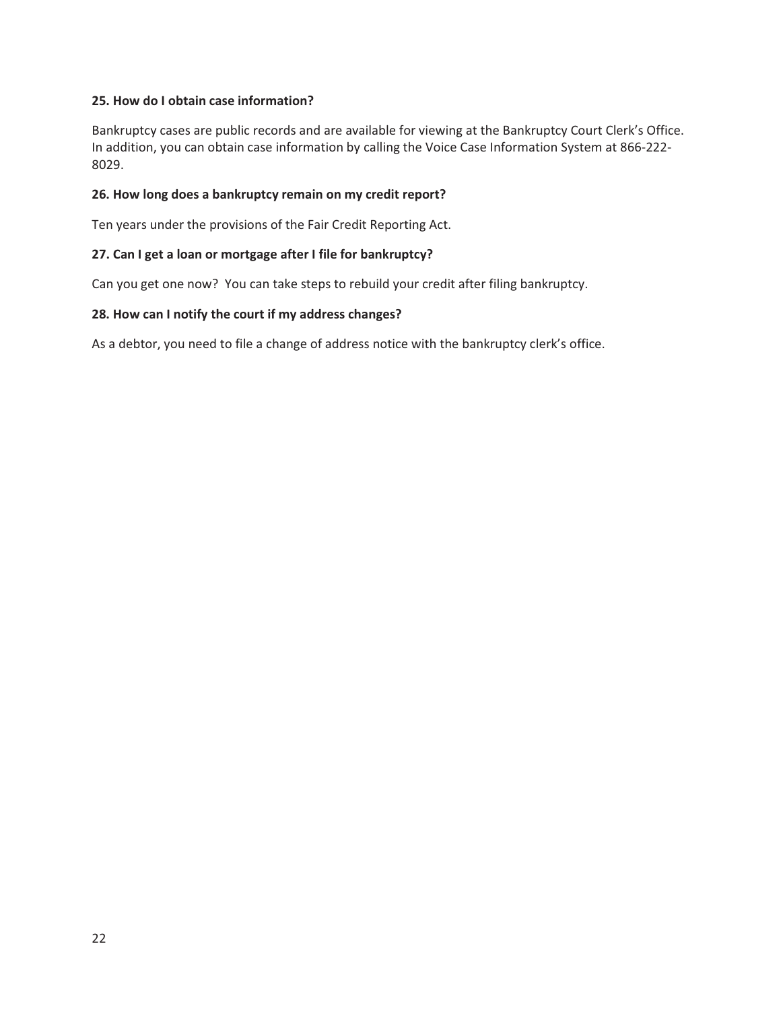#### **25. How do I obtain case information?**

Bankruptcy cases are public records and are available for viewing at the Bankruptcy Court Clerk's Office. In addition, you can obtain case information by calling the Voice Case Information System at 866-222- 8029.

#### **26. How long does a bankruptcy remain on my credit report?**

Ten years under the provisions of the Fair Credit Reporting Act.

#### **27. Can I get a loan or mortgage after I file for bankruptcy?**

Can you get one now? You can take steps to rebuild your credit after filing bankruptcy.

#### **28. How can I notify the court if my address changes?**

As a debtor, you need to file a change of address notice with the bankruptcy clerk's office.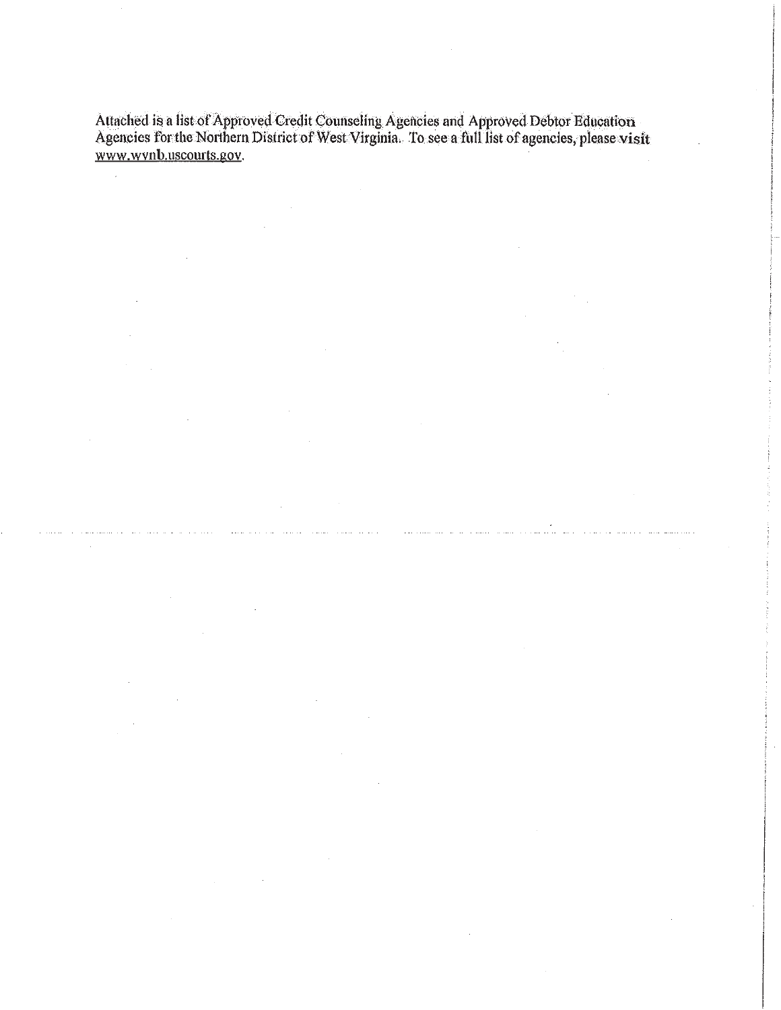Attached is a list of Approved Credit Counseling Agencies and Approved Debtor Education<br>Agencies for the Northern District of West Virginia. To see a full list of agencies, please visit www.wynb.uscourts.gov.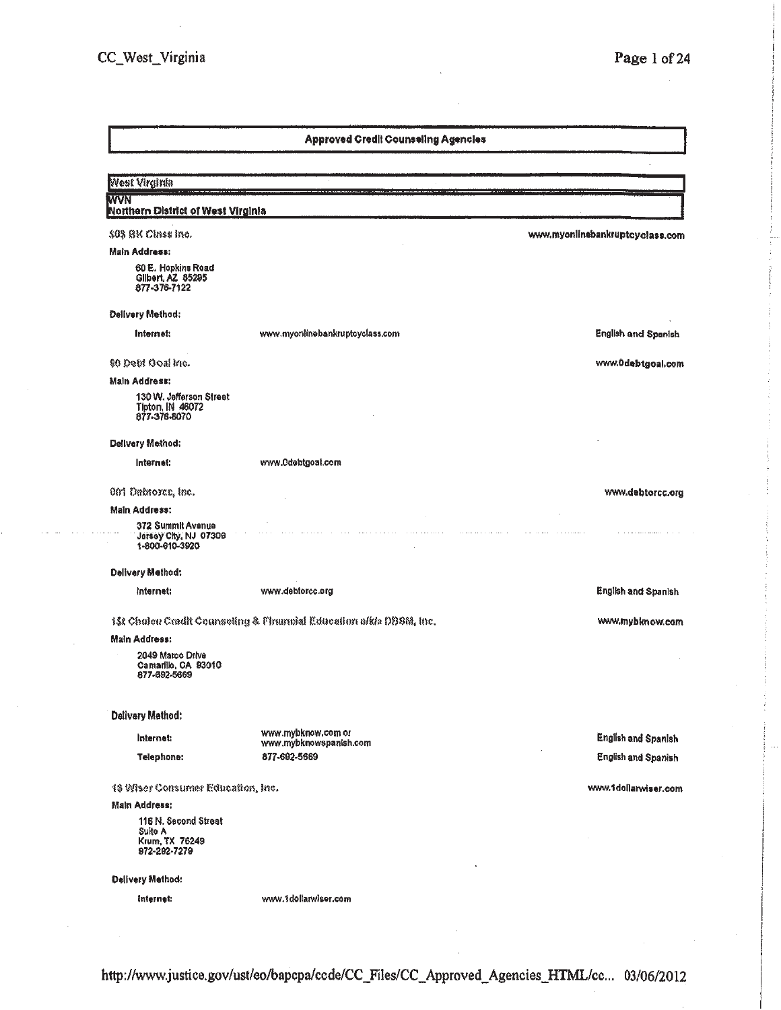#### Approved Credit Counseling Agencies

| West Virginia                                                     |                                                                    |                                 |
|-------------------------------------------------------------------|--------------------------------------------------------------------|---------------------------------|
| <b>WVN</b><br>Northern District of West Virginia                  |                                                                    |                                 |
| \$0\$ SK Class inc.                                               |                                                                    | www.myonlinebankruptcyclass.com |
| Main Address:                                                     |                                                                    |                                 |
| 60 E. Hopkins Road<br>Gilbert, AZ 85295<br>877-376-7122           |                                                                    |                                 |
| Delivery Method:                                                  |                                                                    |                                 |
| Internet:                                                         | www.myonlinebankruptcyclass.com                                    | <b>English and Spanish</b>      |
| 80 Dett Goal Inc.                                                 |                                                                    | www.0debtgoal.com               |
| Main Address:                                                     |                                                                    |                                 |
| 130 W. Jefferson Street<br>Tipton, IN 46072<br>877-376-8070       |                                                                    |                                 |
| <b>Delivery Method:</b>                                           |                                                                    |                                 |
| Internet:                                                         | www.0debtgoal.com                                                  |                                 |
| 001 Onbioran, inc.                                                |                                                                    | www.debtorcc.org                |
| Main Address:                                                     |                                                                    |                                 |
| 372 Summit Avenue<br>Jersey City, NJ 07308<br>1-800-610-3920      |                                                                    |                                 |
| <b>Delivery Method:</b>                                           |                                                                    |                                 |
| Internet:                                                         | www.debtorcc.org                                                   | English and Spanish             |
|                                                                   | 15t Cholee Credit Counseling & Firancial Education alka DBSM, inc. | www.mybknow.com                 |
| Main Address:                                                     |                                                                    |                                 |
| 2049 Marco Drive<br>Camarillo, CA 93010<br>877-692-5669           |                                                                    |                                 |
| <b>Delivery Method:</b>                                           |                                                                    |                                 |
| Internet:                                                         | www.mybknow.com or<br>www.mybknowspanish.com                       | English and Spanish             |
| Telephone:                                                        | 877-692-5669                                                       | English and Spanish             |
| 18 Wiser Consumer Education, Inc.                                 |                                                                    | www.1dollarwiser.com            |
| Main Address:                                                     |                                                                    |                                 |
| 116 N. Second Street<br>Suite A<br>Krum, TX 76249<br>972-292-7279 |                                                                    |                                 |
| <b>Delivery Method:</b>                                           |                                                                    |                                 |
| internet:                                                         | www.1dollarwiser.com                                               |                                 |
|                                                                   |                                                                    |                                 |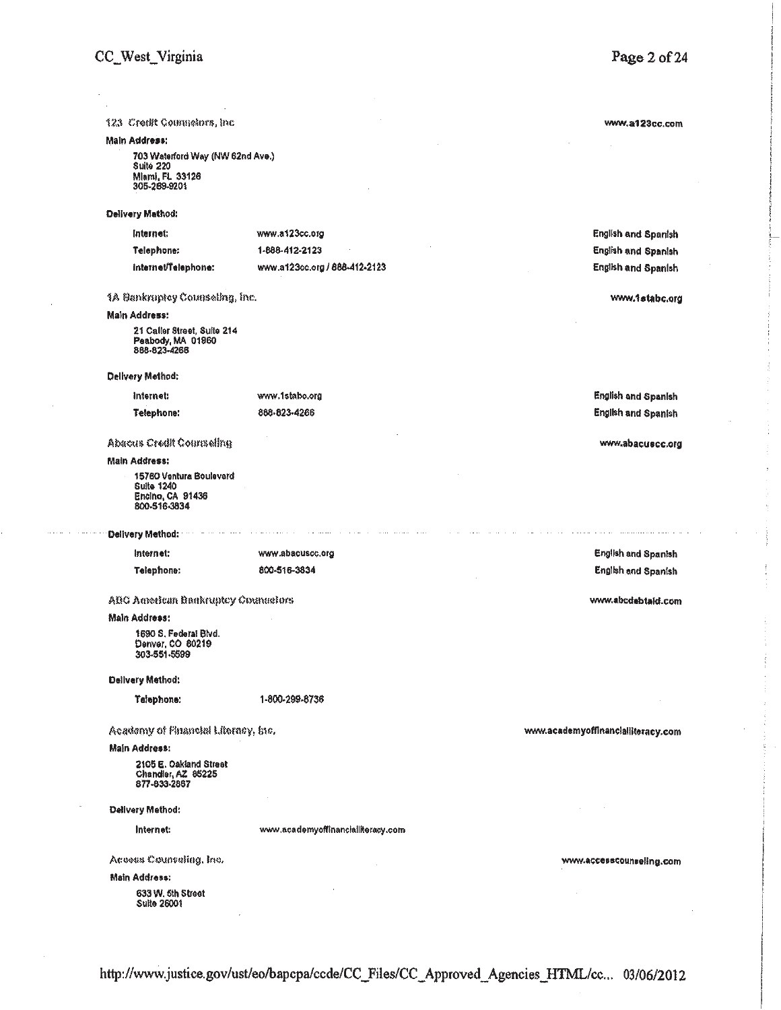| 123 Credit Counnelors, Inc.                                                      |                                   | www.a123cc.com                     |
|----------------------------------------------------------------------------------|-----------------------------------|------------------------------------|
| Main Address:                                                                    |                                   |                                    |
| 703 Waterford Way (NW 62nd Ave.)<br>Suite 220<br>Mlami, FL 33126<br>305-269-9201 |                                   |                                    |
| Delivery Mathod:                                                                 |                                   |                                    |
| <b>Internet:</b>                                                                 | www.a123cc.org                    | English and Spanish                |
| Telephone:                                                                       | 1-888-412-2123                    | English and Spanish                |
| internet/Telephone:                                                              | www.a123cc.org / 688-412-2123     | <b>English and Spanish</b>         |
| 18 Sankraptey Counseling, Inc.                                                   |                                   | www.1stabc.org                     |
| Main Address:                                                                    |                                   |                                    |
| 21 Caller Street, Suite 214<br>Peabody, MA 01960<br>888-823-4266                 |                                   |                                    |
| Delivery Method:                                                                 |                                   |                                    |
| Internet:                                                                        | www.1stabc.org                    | <b>English and Spanish</b>         |
| Telephone:                                                                       | 888-823-4266                      | <b>English and Spanish</b>         |
| Abscus Credit Counseling                                                         |                                   | www.abacuscc.org                   |
| <b>Main Address:</b>                                                             |                                   |                                    |
| 15760 Ventura Boulevard<br><b>Suite 1240</b><br>Encino, CA 91436<br>800-516-3834 |                                   |                                    |
| Delivery Method:                                                                 |                                   |                                    |
| Internet:                                                                        | www.abacuscc.org                  | English and Spanish                |
| Telephone:                                                                       | 800-516-3834                      | English and Spanish                |
| ABC Amedican Bankruptcy Counsistors                                              |                                   | www.abcdebtaid.com                 |
| Main Address:                                                                    |                                   |                                    |
| 1690 S. Federal Blvd.<br>Denver, CO 80219<br>303-551-5599                        |                                   |                                    |
| Delivery Method:                                                                 |                                   |                                    |
| Telephone:                                                                       | 1-800-299-8736                    |                                    |
| Academy of Financial Literacy, inc.                                              |                                   | www.academyoffinancialiiteracy.com |
| Main Address:                                                                    |                                   |                                    |
| 2105 E. Oakland Street<br>Chandler, AZ 85225<br>877-833-2867                     |                                   |                                    |
| Delivery Method:                                                                 |                                   |                                    |
| Internet:                                                                        | www.academyoffinancialiteracy.com |                                    |
| Access Counseling, Inc.                                                          |                                   | www.accesscounseling.com           |
| Main Address:                                                                    |                                   |                                    |
| 633 W. 5th Street<br><b>Sulte 26001</b>                                          |                                   |                                    |
|                                                                                  |                                   |                                    |

http://www.justice.gov/ust/eo/bapcpa/ccde/CC\_Files/CC\_Approved\_Agencies\_HTML/cc... 03/06/2012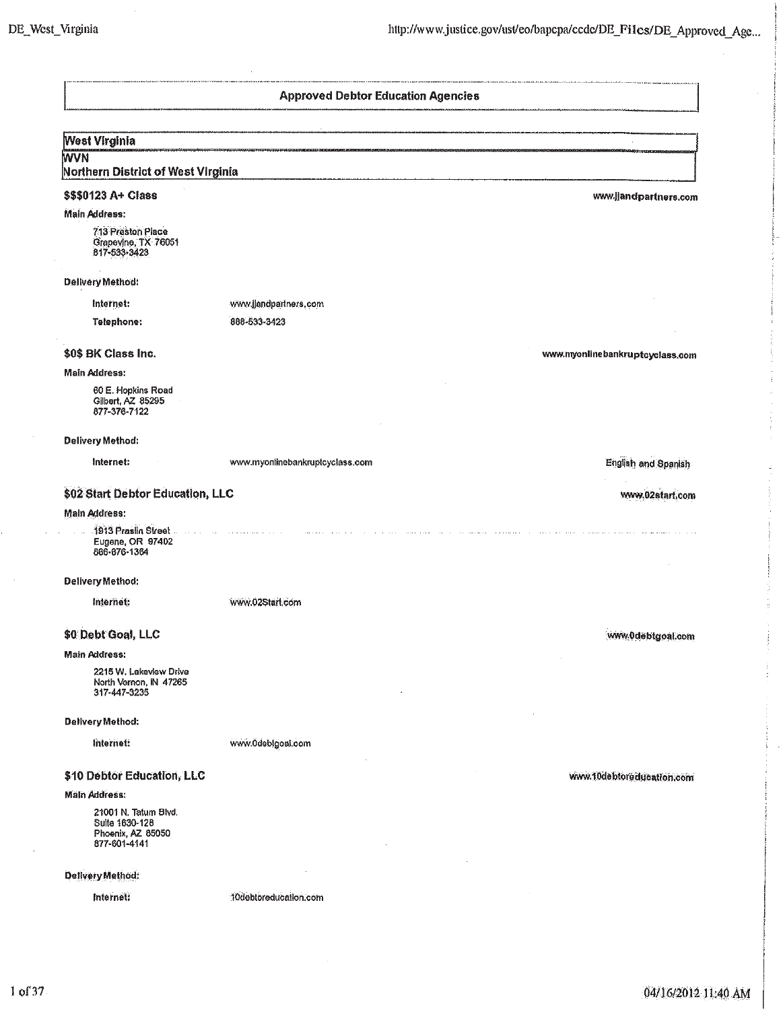#### **Approved Debtor Education Agencies**

| West Virginia                                                               |                                 |                                 |
|-----------------------------------------------------------------------------|---------------------------------|---------------------------------|
| <b>WVN</b><br>Northern District of West Virginia                            |                                 |                                 |
| \$\$\$0123 A+ Class                                                         |                                 | www.jjandpartners.com           |
| <b>Main Address:</b>                                                        |                                 |                                 |
| 713 Preston Place<br>Grapevine, TX 76051<br>817-533-3423                    |                                 |                                 |
| Delivery Method:                                                            |                                 |                                 |
| Internet:                                                                   | www.jjandpartners.com           |                                 |
| Telephone:                                                                  | 888-533-3423                    |                                 |
| \$0\$ BK Class Inc.                                                         |                                 | www.myonlinebankruptcyclass.com |
| <b>Main Address:</b>                                                        |                                 |                                 |
| 60 E. Hopkins Road<br>Gilbert, AZ 85295<br>877-376-7122                     |                                 |                                 |
| Delivery Method:                                                            |                                 |                                 |
| Internet:                                                                   | www.myonlinebankruptcyclass.com | English and Spanish             |
| \$02 Start Debtor Education, LLC                                            |                                 | www.02start.com                 |
| Main Address:                                                               |                                 |                                 |
| 1913 Praslin Street<br>Eugene, OR 97402<br>866-676-1364                     |                                 |                                 |
| Delivery Method:                                                            |                                 |                                 |
| Internet:                                                                   | www.02Start.com                 |                                 |
| \$0 Debt Goal, LLC                                                          |                                 | www.0debtgoal.com               |
| Main Address:                                                               |                                 |                                 |
| 2216 W. Lakeview Drive<br>North Vernon, IN 47265<br>317-447-3235            |                                 |                                 |
| <b>Delivery Method:</b>                                                     |                                 |                                 |
| Internet:                                                                   | www.0debigoal.com               |                                 |
| \$10 Debtor Education, LLC                                                  |                                 | www.10debtoreducation.com       |
| <b>Main Address:</b>                                                        |                                 |                                 |
| 21001 N. Tatum Blvd.<br>Suite 1630-128<br>Phoenix, AZ 85050<br>877-601-4141 |                                 |                                 |
| Delivery Method:                                                            |                                 |                                 |
| Internet:                                                                   | 10debtoreducation.com           |                                 |
|                                                                             |                                 |                                 |
|                                                                             |                                 |                                 |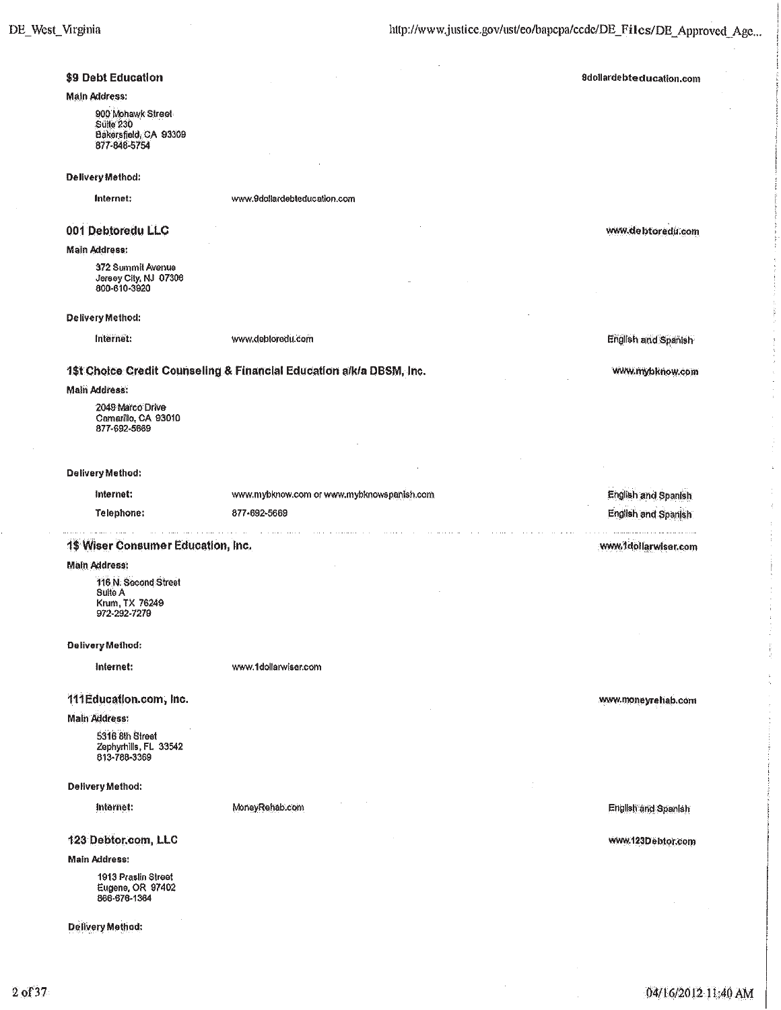| \$9 Debt Education                                         |                                                                      | 9dollardebte ducation.com |
|------------------------------------------------------------|----------------------------------------------------------------------|---------------------------|
| Main Address:                                              |                                                                      |                           |
| 900 Mohawk Street<br>Suite 230                             |                                                                      |                           |
| Bakersfield, CA 93309<br>877-848-5754                      |                                                                      |                           |
|                                                            |                                                                      |                           |
| <b>Delivery Method:</b>                                    |                                                                      |                           |
| Internet:                                                  | www.9dollardebteducation.com                                         |                           |
| 001 Debtoredu LLC                                          |                                                                      | www.debtoredu.com         |
| Main Address:                                              |                                                                      |                           |
| 372 Summit Avenue<br>Jersey City, NJ 07306<br>800-610-3920 |                                                                      |                           |
| Delivery Method:                                           |                                                                      |                           |
| Internet:                                                  | www.debtoredu.com                                                    | English and Spanish       |
|                                                            | 1\$t Choice Credit Counseling & Financial Education a/k/a DBSM, Inc. | www.mybknow.com           |
| <b>Main Address:</b>                                       |                                                                      |                           |
| 2049 Marco Drive<br>Camarillo, CA 93010<br>877-692-5669    |                                                                      |                           |
| Delivery Method:                                           |                                                                      |                           |
| Internet:                                                  | www.mybknow.com or www.mybknowspanish.com                            | English and Spanish       |
| Telephone:                                                 | 877-692-5669                                                         | English and Spanish       |
| 1\$ Wiser Consumer Education, Inc.                         |                                                                      | www.1dollarwiser.com      |
| Main Address:                                              |                                                                      |                           |
| 116 N: Second Street                                       |                                                                      |                           |
| Suite A<br>Krum, TX 76249                                  |                                                                      |                           |
| 972-292-7279                                               |                                                                      |                           |
| Delivery Method:                                           |                                                                      |                           |
| Internet:                                                  | www.1dollarwiser.com                                                 |                           |
|                                                            |                                                                      |                           |
| 111Education.com, Inc.                                     |                                                                      | www.moneyrehab.com        |
| <b>Main Address:</b>                                       |                                                                      |                           |
| 5316 8th Street<br>Zephyrhills, FL 33542<br>813-788-3369   |                                                                      |                           |
| <b>Delivery Method:</b>                                    |                                                                      |                           |
| Internet:                                                  | MoneyRehab.com                                                       | English and Spanish       |
| 123 Debtor.com, LLC                                        |                                                                      | www.123Debtor.com         |
| <b>Main Address:</b>                                       |                                                                      |                           |
| 1913 Praslin Street<br>Eugene, OR 97402<br>866-676-1364    |                                                                      |                           |
| <b>Delivery Method:</b>                                    |                                                                      |                           |

 $\mathbf{r}$ 

 $\bar{\xi}$  $\bar{1}$  $\frac{1}{3}$ 

 $\frac{1}{\sqrt{2}}$  $\hat{\boldsymbol{\theta}}$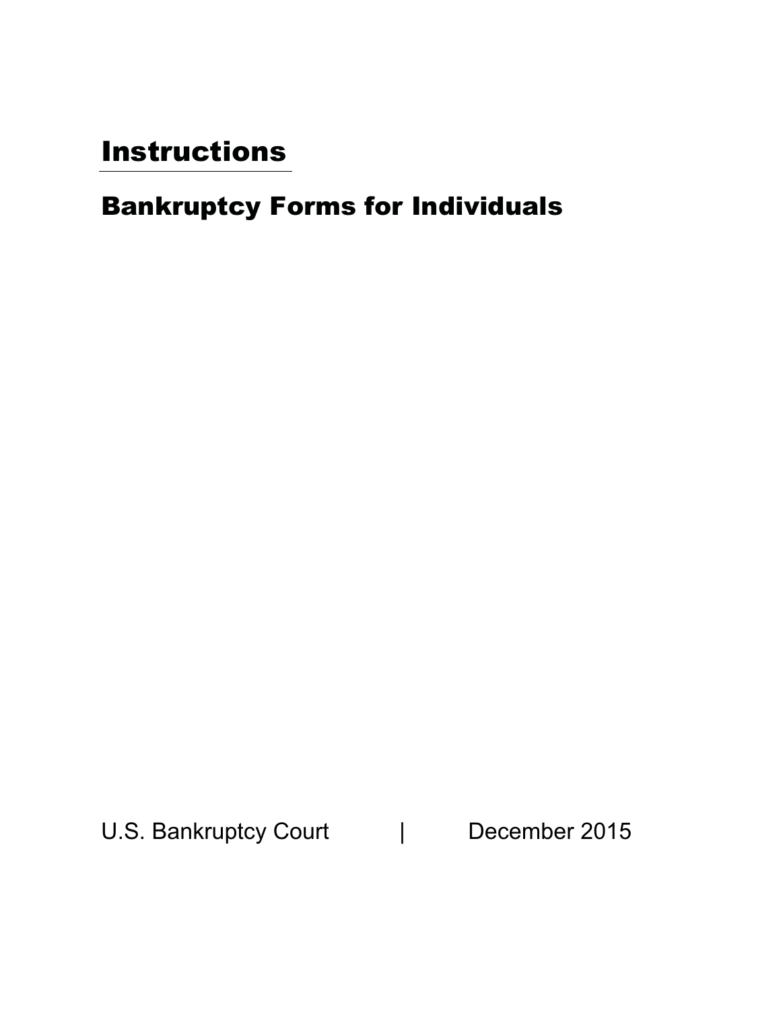# Instructions

## Bankruptcy Forms for Individuals

U.S. Bankruptcy Court | December 2015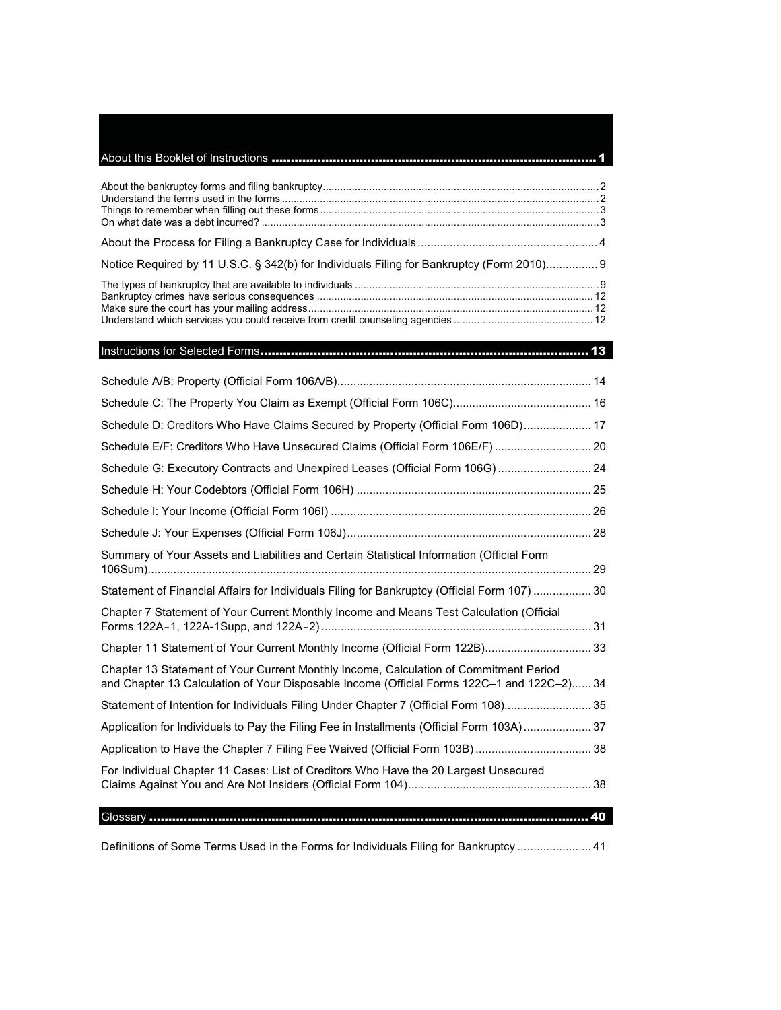| Notice Required by 11 U.S.C. § 342(b) for Individuals Filing for Bankruptcy (Form 2010) 9 |  |
|-------------------------------------------------------------------------------------------|--|
|                                                                                           |  |

#### Instructions for Selected Forms...................................................................................... 13

| Schedule D: Creditors Who Have Claims Secured by Property (Official Form 106D) 17                                                                                                   |  |
|-------------------------------------------------------------------------------------------------------------------------------------------------------------------------------------|--|
| Schedule E/F: Creditors Who Have Unsecured Claims (Official Form 106E/F)  20                                                                                                        |  |
| Schedule G: Executory Contracts and Unexpired Leases (Official Form 106G)  24                                                                                                       |  |
|                                                                                                                                                                                     |  |
|                                                                                                                                                                                     |  |
|                                                                                                                                                                                     |  |
| Summary of Your Assets and Liabilities and Certain Statistical Information (Official Form                                                                                           |  |
| Statement of Financial Affairs for Individuals Filing for Bankruptcy (Official Form 107)  30                                                                                        |  |
| Chapter 7 Statement of Your Current Monthly Income and Means Test Calculation (Official                                                                                             |  |
| Chapter 11 Statement of Your Current Monthly Income (Official Form 122B)33                                                                                                          |  |
| Chapter 13 Statement of Your Current Monthly Income, Calculation of Commitment Period<br>and Chapter 13 Calculation of Your Disposable Income (Official Forms 122C-1 and 122C-2) 34 |  |
| Statement of Intention for Individuals Filing Under Chapter 7 (Official Form 108) 35                                                                                                |  |
| Application for Individuals to Pay the Filing Fee in Installments (Official Form 103A)  37                                                                                          |  |
| Application to Have the Chapter 7 Filing Fee Waived (Official Form 103B)  38                                                                                                        |  |
| For Individual Chapter 11 Cases: List of Creditors Who Have the 20 Largest Unsecured                                                                                                |  |
|                                                                                                                                                                                     |  |

#### Glossary ................................................................................................................... 40

Definitions of Some Terms Used in the Forms for Individuals Filing for Bankruptcy ....................... 41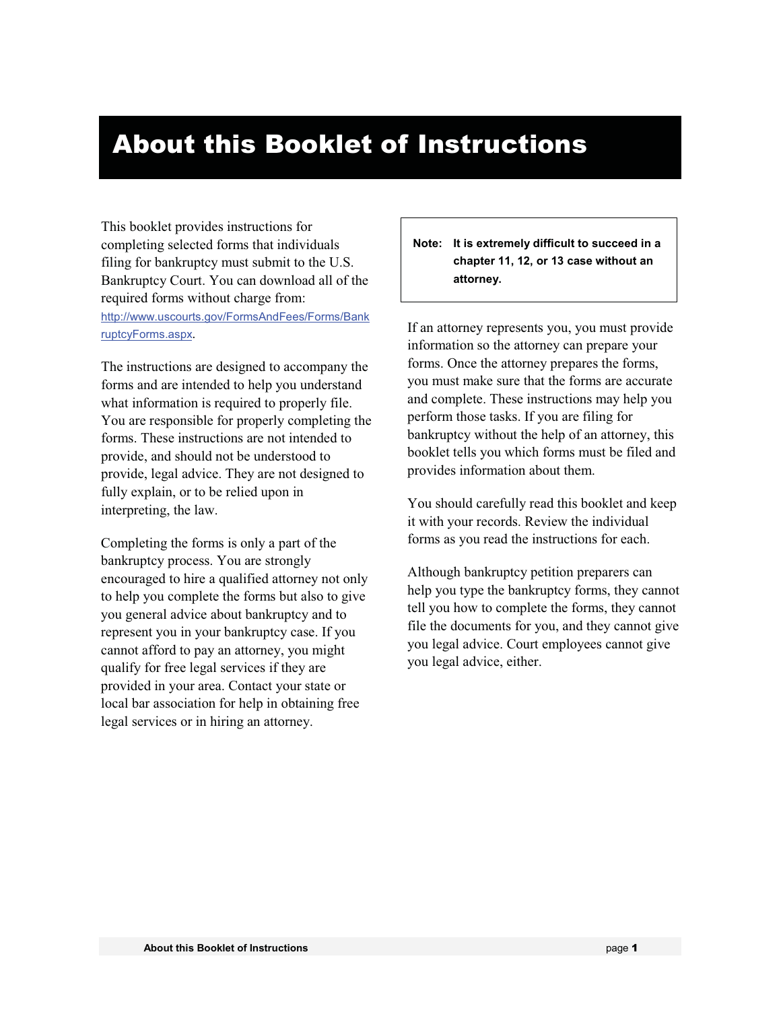### About this Booklet of Instructions

This booklet provides instructions for completing selected forms that individuals filing for bankruptcy must submit to the U.S. Bankruptcy Court. You can download all of the required forms without charge from: http://www.uscourts.gov/FormsAndFees/Forms/Bank ruptcyForms.aspx.

The instructions are designed to accompany the forms and are intended to help you understand what information is required to properly file. You are responsible for properly completing the forms. These instructions are not intended to provide, and should not be understood to provide, legal advice. They are not designed to fully explain, or to be relied upon in interpreting, the law.

Completing the forms is only a part of the bankruptcy process. You are strongly encouraged to hire a qualified attorney not only to help you complete the forms but also to give you general advice about bankruptcy and to represent you in your bankruptcy case. If you cannot afford to pay an attorney, you might qualify for free legal services if they are provided in your area. Contact your state or local bar association for help in obtaining free legal services or in hiring an attorney.

**Note: It is extremely difficult to succeed in a chapter 11, 12, or 13 case without an attorney.**

If an attorney represents you, you must provide information so the attorney can prepare your forms. Once the attorney prepares the forms, you must make sure that the forms are accurate and complete. These instructions may help you perform those tasks. If you are filing for bankruptcy without the help of an attorney, this booklet tells you which forms must be filed and provides information about them.

You should carefully read this booklet and keep it with your records. Review the individual forms as you read the instructions for each.

Although bankruptcy petition preparers can help you type the bankruptcy forms, they cannot tell you how to complete the forms, they cannot file the documents for you, and they cannot give you legal advice. Court employees cannot give you legal advice, either.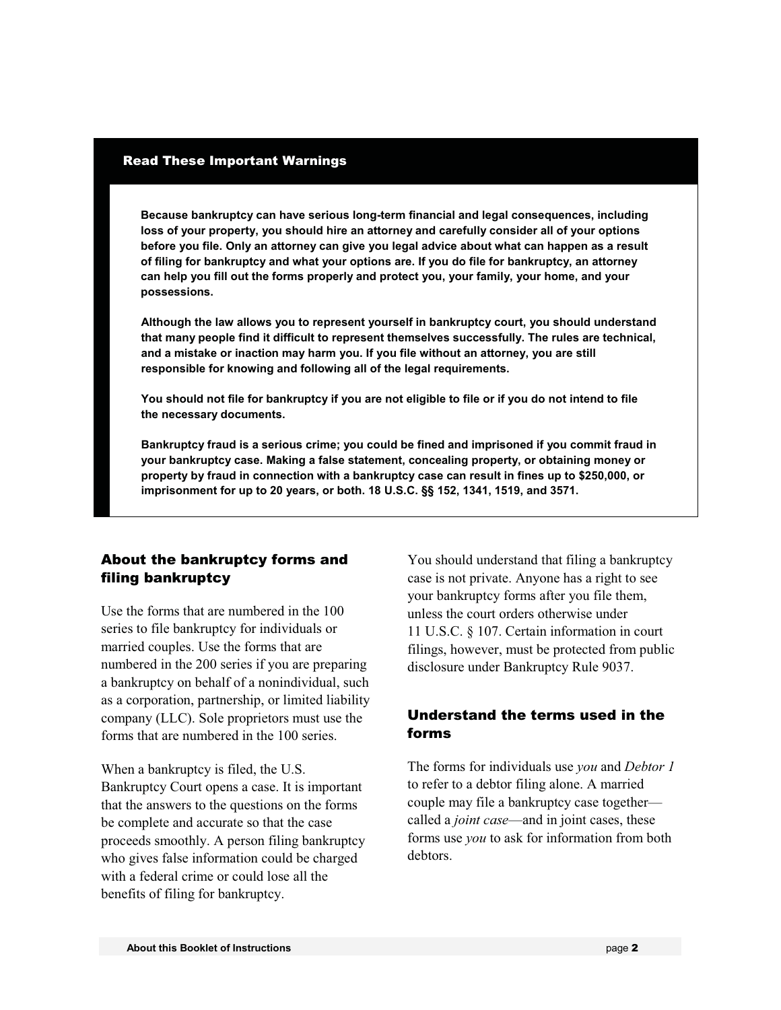#### Read These Important Warnings

**Because bankruptcy can have serious long-term financial and legal consequences, including loss of your property, you should hire an attorney and carefully consider all of your options before you file. Only an attorney can give you legal advice about what can happen as a result of filing for bankruptcy and what your options are. If you do file for bankruptcy, an attorney can help you fill out the forms properly and protect you, your family, your home, and your possessions.** 

**Although the law allows you to represent yourself in bankruptcy court, you should understand that many people find it difficult to represent themselves successfully. The rules are technical, and a mistake or inaction may harm you. If you file without an attorney, you are still responsible for knowing and following all of the legal requirements.** 

**You should not file for bankruptcy if you are not eligible to file or if you do not intend to file the necessary documents.**

**Bankruptcy fraud is a serious crime; you could be fined and imprisoned if you commit fraud in your bankruptcy case. Making a false statement, concealing property, or obtaining money or property by fraud in connection with a bankruptcy case can result in fines up to \$250,000, or imprisonment for up to 20 years, or both. 18 U.S.C. §§ 152, 1341, 1519, and 3571.**

#### About the bankruptcy forms and filing bankruptcy

Use the forms that are numbered in the 100 series to file bankruptcy for individuals or married couples. Use the forms that are numbered in the 200 series if you are preparing a bankruptcy on behalf of a nonindividual, such as a corporation, partnership, or limited liability company (LLC). Sole proprietors must use the forms that are numbered in the 100 series.

When a bankruptcy is filed, the U.S. Bankruptcy Court opens a case. It is important that the answers to the questions on the forms be complete and accurate so that the case proceeds smoothly. A person filing bankruptcy who gives false information could be charged with a federal crime or could lose all the benefits of filing for bankruptcy.

You should understand that filing a bankruptcy case is not private. Anyone has a right to see your bankruptcy forms after you file them, unless the court orders otherwise under 11 U.S.C. § 107. Certain information in court filings, however, must be protected from public disclosure under Bankruptcy Rule 9037.

#### Understand the terms used in the forms

The forms for individuals use *you* and *Debtor 1* to refer to a debtor filing alone. A married couple may file a bankruptcy case together called a *joint case*—and in joint cases, these forms use *you* to ask for information from both debtors.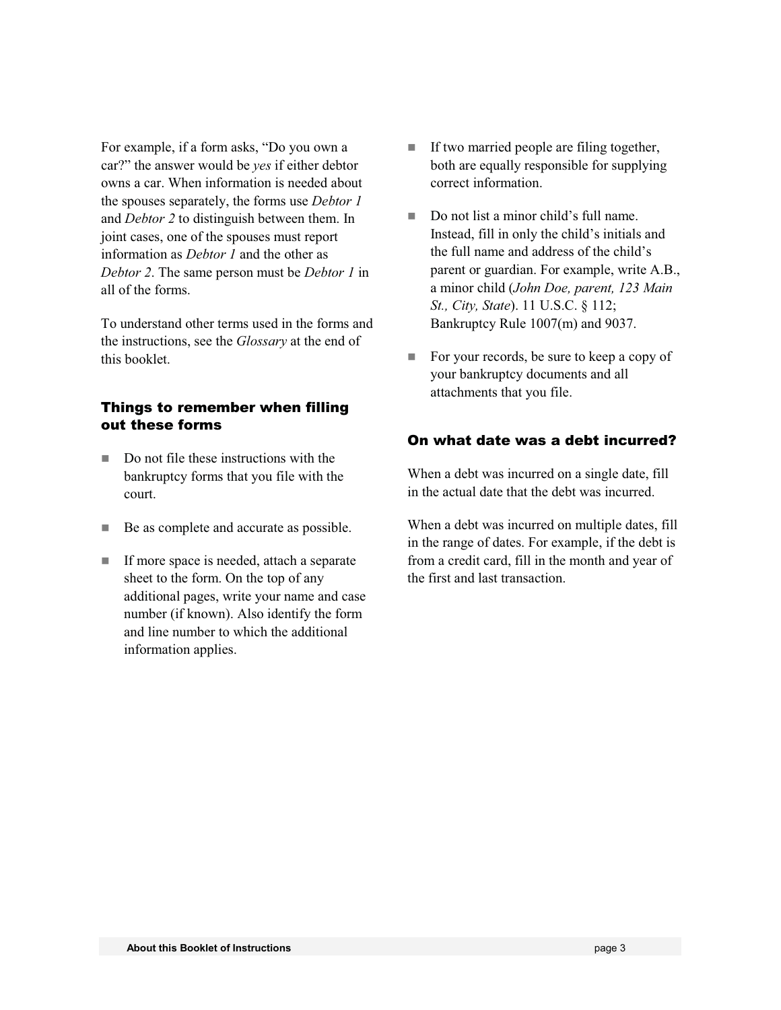For example, if a form asks, "Do you own a car?" the answer would be *yes* if either debtor owns a car. When information is needed about the spouses separately, the forms use *Debtor 1* and *Debtor 2* to distinguish between them. In joint cases, one of the spouses must report information as *Debtor 1* and the other as *Debtor 2*. The same person must be *Debtor 1* in all of the forms.

To understand other terms used in the forms and the instructions, see the *Glossary* at the end of this booklet.

#### Things to remember when filling out these forms

- - Do not file these instructions with the bankruptcy forms that you file with the court.
- -Be as complete and accurate as possible.
- - If more space is needed, attach a separate sheet to the form. On the top of any additional pages, write your name and case number (if known). Also identify the form and line number to which the additional information applies.
- - If two married people are filing together, both are equally responsible for supplying correct information.
- - Do not list a minor child's full name. Instead, fill in only the child's initials and the full name and address of the child's parent or guardian. For example, write A.B., a minor child (*John Doe, parent, 123 Main St., City, State*). 11 U.S.C. § 112; Bankruptcy Rule 1007(m) and 9037.
- - For your records, be sure to keep a copy of your bankruptcy documents and all attachments that you file.

#### On what date was a debt incurred?

When a debt was incurred on a single date, fill in the actual date that the debt was incurred.

When a debt was incurred on multiple dates, fill in the range of dates. For example, if the debt is from a credit card, fill in the month and year of the first and last transaction.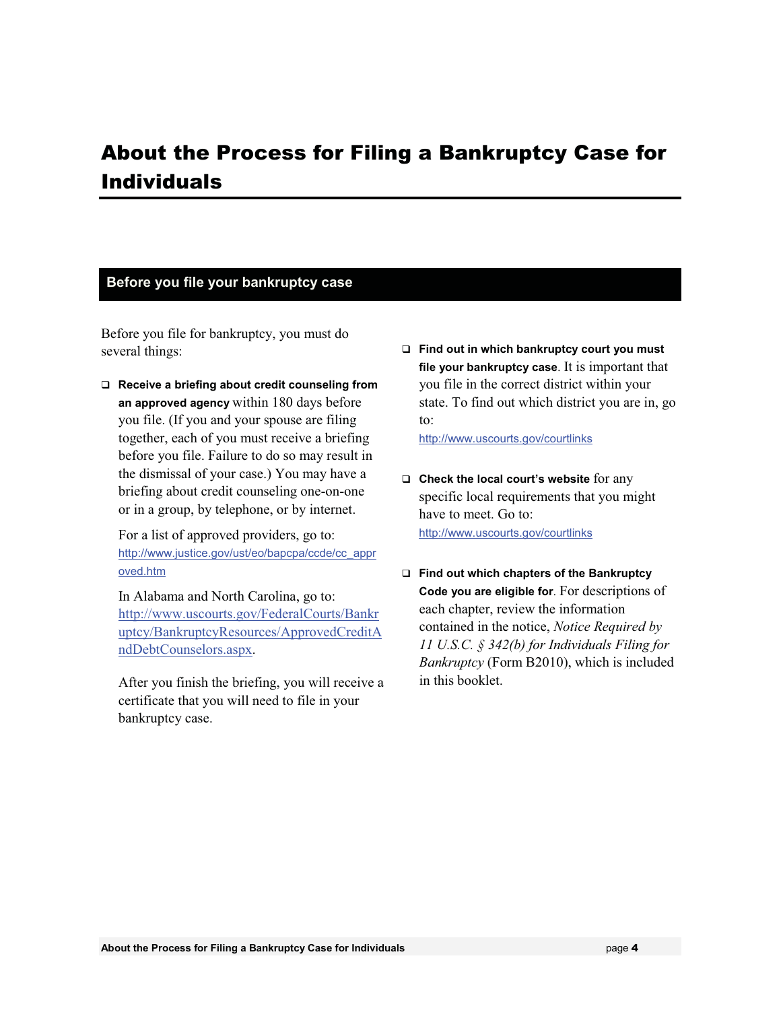### About the Process for Filing a Bankruptcy Case for Individuals

#### **Before you file your bankruptcy case**

Before you file for bankruptcy, you must do several things:

 **Receive a briefing about credit counseling from an approved agency** within 180 days before you file. (If you and your spouse are filing together, each of you must receive a briefing before you file. Failure to do so may result in the dismissal of your case.) You may have a briefing about credit counseling one-on-one or in a group, by telephone, or by internet.

For a list of approved providers, go to: http://www.justice.gov/ust/eo/bapcpa/ccde/cc\_appr oved.htm

In Alabama and North Carolina, go to: http://www.uscourts.gov/FederalCourts/Bankr uptcy/BankruptcyResources/ApprovedCreditA ndDebtCounselors.aspx.

After you finish the briefing, you will receive a certificate that you will need to file in your bankruptcy case.

 **Find out in which bankruptcy court you must file your bankruptcy case**. It is important that you file in the correct district within your state. To find out which district you are in, go to:

http://www.uscourts.gov/courtlinks

- **Check the local court's website** for any specific local requirements that you might have to meet. Go to: http://www.uscourts.gov/courtlinks
- **Find out which chapters of the Bankruptcy Code you are eligible for**. For descriptions of each chapter, review the information contained in the notice, *Notice Required by 11 U.S.C. § 342(b) for Individuals Filing for Bankruptcy* (Form B2010), which is included in this booklet.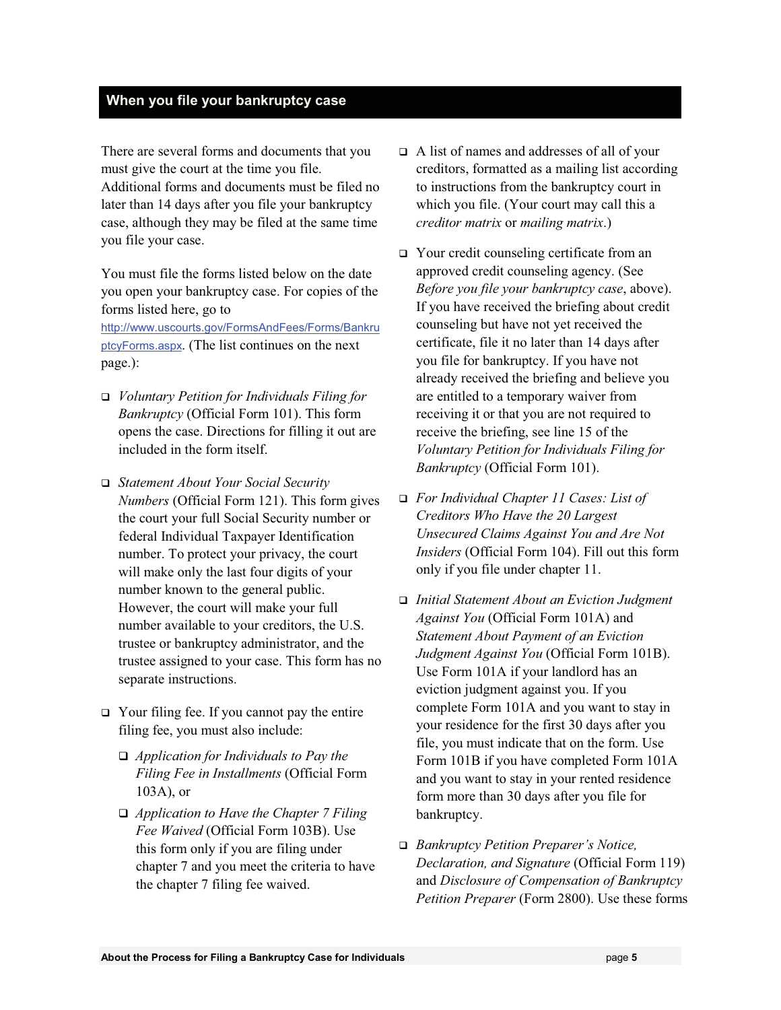#### **When you file your bankruptcy case**

There are several forms and documents that you must give the court at the time you file. Additional forms and documents must be filed no later than 14 days after you file your bankruptcy case, although they may be filed at the same time you file your case.

You must file the forms listed below on the date you open your bankruptcy case. For copies of the forms listed here, go to http://www.uscourts.gov/FormsAndFees/Forms/Bankru

ptcyForms.aspx. (The list continues on the next page.):

- *Voluntary Petition for Individuals Filing for Bankruptcy* (Official Form 101). This form opens the case. Directions for filling it out are included in the form itself.
- *Statement About Your Social Security Numbers* (Official Form 121). This form gives the court your full Social Security number or federal Individual Taxpayer Identification number. To protect your privacy, the court will make only the last four digits of your number known to the general public. However, the court will make your full number available to your creditors, the U.S. trustee or bankruptcy administrator, and the trustee assigned to your case. This form has no separate instructions.
- $\Box$  Your filing fee. If you cannot pay the entire filing fee, you must also include:
	- *Application for Individuals to Pay the Filing Fee in Installments* (Official Form 103A), or
	- *Application to Have the Chapter 7 Filing Fee Waived* (Official Form 103B). Use this form only if you are filing under chapter 7 and you meet the criteria to have the chapter 7 filing fee waived.
- $\Box$  A list of names and addresses of all of your creditors, formatted as a mailing list according to instructions from the bankruptcy court in which you file. (Your court may call this a *creditor matrix* or *mailing matrix*.)
- □ Your credit counseling certificate from an approved credit counseling agency. (See *Before you file your bankruptcy case*, above). If you have received the briefing about credit counseling but have not yet received the certificate, file it no later than 14 days after you file for bankruptcy. If you have not already received the briefing and believe you are entitled to a temporary waiver from receiving it or that you are not required to receive the briefing, see line 15 of the *Voluntary Petition for Individuals Filing for Bankruptcy* (Official Form 101).
- *For Individual Chapter 11 Cases: List of Creditors Who Have the 20 Largest Unsecured Claims Against You and Are Not Insiders* (Official Form 104). Fill out this form only if you file under chapter 11.
- *Initial Statement About an Eviction Judgment Against You* (Official Form 101A) and *Statement About Payment of an Eviction Judgment Against You* (Official Form 101B). Use Form 101A if your landlord has an eviction judgment against you. If you complete Form 101A and you want to stay in your residence for the first 30 days after you file, you must indicate that on the form. Use Form 101B if you have completed Form 101A and you want to stay in your rented residence form more than 30 days after you file for bankruptcy.
- *Bankruptcy Petition Preparer's Notice, Declaration, and Signature* (Official Form 119) and *Disclosure of Compensation of Bankruptcy Petition Preparer* (Form 2800). Use these forms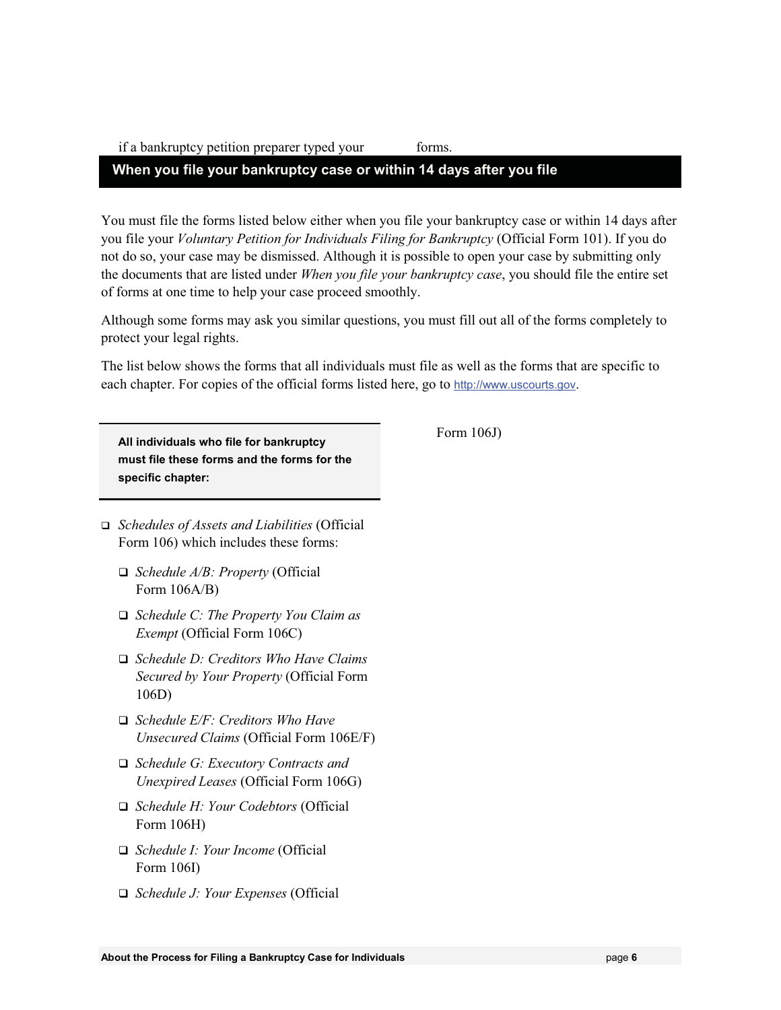### if a bankruptcy petition preparer typed your forms. **When you file your bankruptcy case or within 14 days after you file**

You must file the forms listed below either when you file your bankruptcy case or within 14 days after you file your *Voluntary Petition for Individuals Filing for Bankruptcy* (Official Form 101). If you do not do so, your case may be dismissed. Although it is possible to open your case by submitting only the documents that are listed under *When you file your bankruptcy case*, you should file the entire set of forms at one time to help your case proceed smoothly.

Although some forms may ask you similar questions, you must fill out all of the forms completely to protect your legal rights.

The list below shows the forms that all individuals must file as well as the forms that are specific to each chapter. For copies of the official forms listed here, go to http://www.uscourts.gov.

**All individuals who file for bankruptcy must file these forms and the forms for the specific chapter:**

- *Schedules of Assets and Liabilities* (Official Form 106) which includes these forms:
	- *Schedule A/B: Property* (Official Form 106A/B)
	- *Schedule C: The Property You Claim as Exempt* (Official Form 106C)
	- *Schedule D: Creditors Who Have Claims Secured by Your Property* (Official Form 106D)
	- *Schedule E/F: Creditors Who Have Unsecured Claims* (Official Form 106E/F)
	- *Schedule G: Executory Contracts and Unexpired Leases* (Official Form 106G)
	- *Schedule H: Your Codebtors* (Official Form 106H)
	- *Schedule I: Your Income* (Official Form 106I)
	- *Schedule J: Your Expenses* (Official

Form 106J)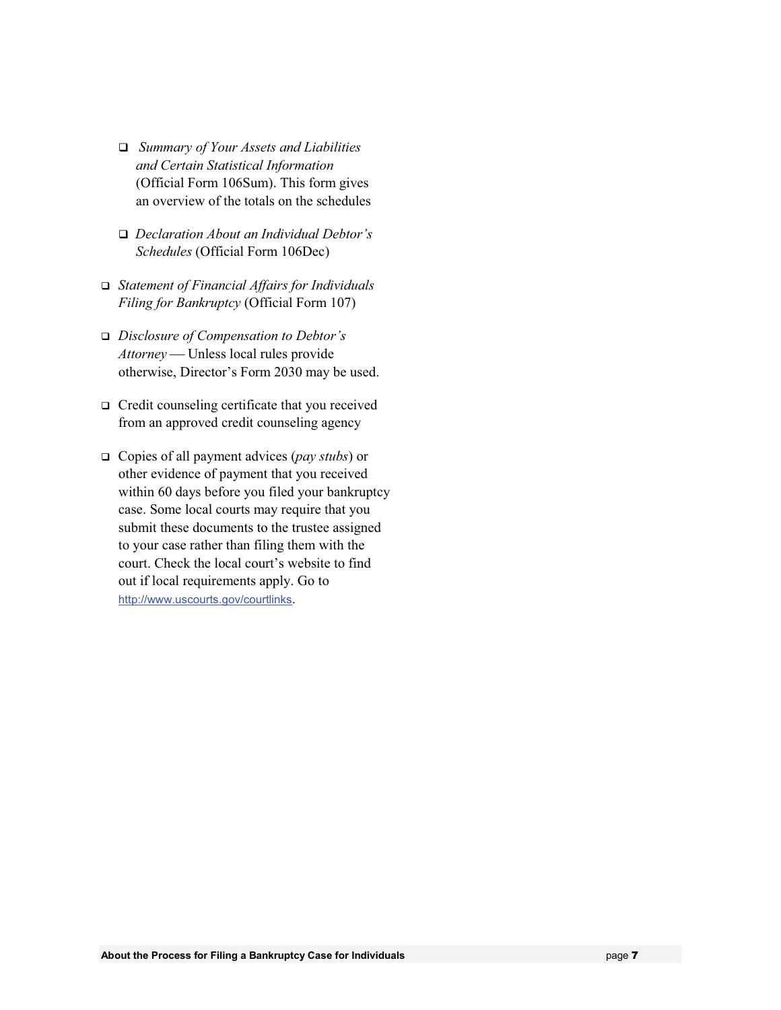- *Summary of Your Assets and Liabilities and Certain Statistical Information*  (Official Form 106Sum). This form gives an overview of the totals on the schedules
- *Declaration About an Individual Debtor's Schedules* (Official Form 106Dec)
- *Statement of Financial Affairs for Individuals Filing for Bankruptcy* (Official Form 107)
- *Disclosure of Compensation to Debtor's*  Attorney - Unless local rules provide otherwise, Director's Form 2030 may be used.
- $\Box$  Credit counseling certificate that you received from an approved credit counseling agency
- Copies of all payment advices (*pay stubs*) or other evidence of payment that you received within 60 days before you filed your bankruptcy case. Some local courts may require that you submit these documents to the trustee assigned to your case rather than filing them with the court. Check the local court's website to find out if local requirements apply. Go to http://www.uscourts.gov/courtlinks.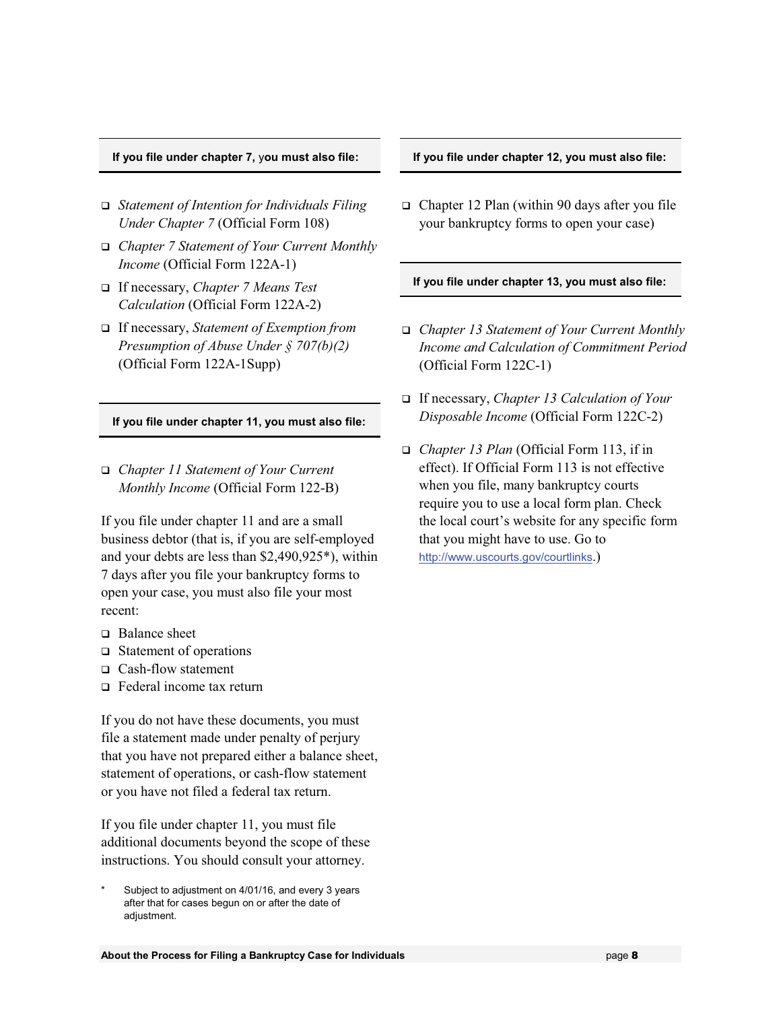#### **If you file under chapter 7,** y**ou must also file:**

- *Statement of Intention for Individuals Filing Under Chapter 7* (Official Form 108)
- *Chapter 7 Statement of Your Current Monthly Income* (Official Form 122A-1)
- If necessary, *Chapter 7 Means Test Calculation* (Official Form 122A-2)
- If necessary, *Statement of Exemption from Presumption of Abuse Under § 707(b)(2)* (Official Form 122A-1Supp)

#### **If you file under chapter 11, you must also file:**

 *Chapter 11 Statement of Your Current Monthly Income* (Official Form 122-B)

If you file under chapter 11 and are a small business debtor (that is, if you are self-employed and your debts are less than \$2,490,925\*), within 7 days after you file your bankruptcy forms to open your case, you must also file your most recent:

- □ Balance sheet
- □ Statement of operations
- Cash-flow statement
- Federal income tax return

If you do not have these documents, you must file a statement made under penalty of perjury that you have not prepared either a balance sheet, statement of operations, or cash-flow statement or you have not filed a federal tax return.

If you file under chapter 11, you must file additional documents beyond the scope of these instructions. You should consult your attorney.

Subject to adjustment on 4/01/16, and every 3 years after that for cases begun on or after the date of adjustment.

#### **If you file under chapter 12, you must also file:**

 $\Box$  Chapter 12 Plan (within 90 days after you file your bankruptcy forms to open your case)

#### **If you file under chapter 13, you must also file:**

- *Chapter 13 Statement of Your Current Monthly Income and Calculation of Commitment Period*  (Official Form 122C-1)
- If necessary, *Chapter 13 Calculation of Your Disposable Income* (Official Form 122C-2)
- *Chapter 13 Plan* (Official Form 113, if in effect). If Official Form 113 is not effective when you file, many bankruptcy courts require you to use a local form plan. Check the local court's website for any specific form that you might have to use. Go to http://www.uscourts.gov/courtlinks.)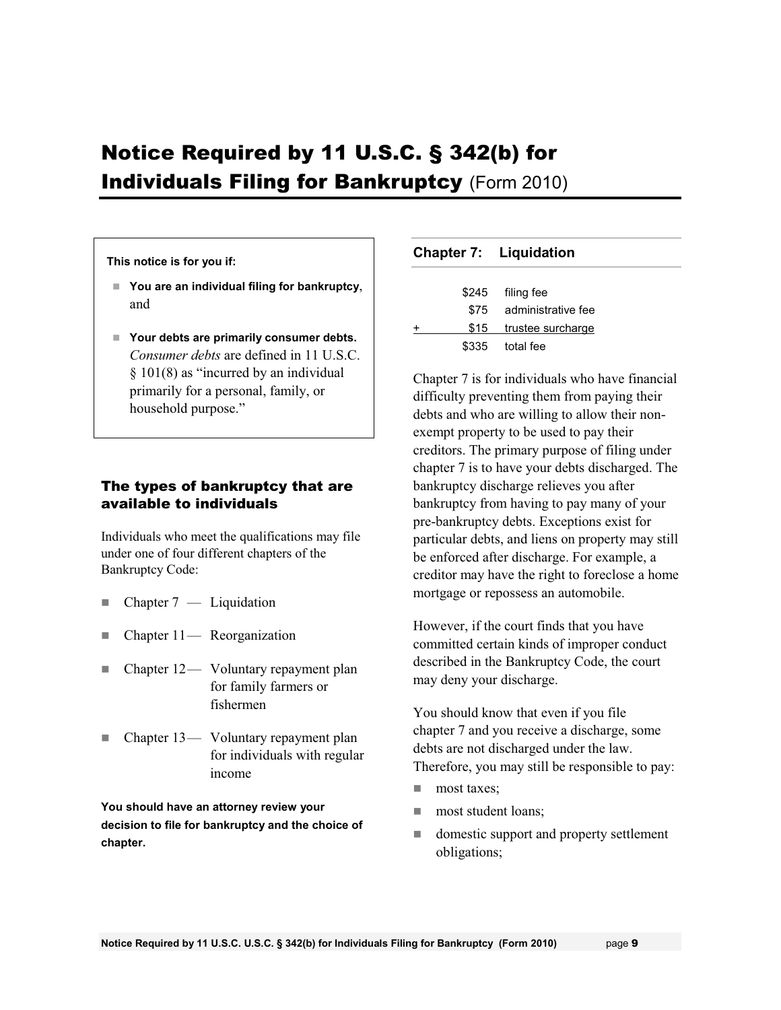### Notice Required by 11 U.S.C. § 342(b) for **Individuals Filing for Bankruptcy (Form 2010)**

#### **This notice is for you if:**

- You are an individual filing for bankruptcy, and
- Your debts are primarily consumer debts. *Consumer debts* are defined in 11 U.S.C. § 101(8) as "incurred by an individual primarily for a personal, family, or household purpose."

#### The types of bankruptcy that are available to individuals

Individuals who meet the qualifications may file under one of four different chapters of the Bankruptcy Code:

- -Chapter 7 — Liquidation
- -Chapter 11 — Reorganization
- -Chapter 12 — Voluntary repayment plan for family farmers or fishermen
- -Chapter 13— Voluntary repayment plan for individuals with regular income

**You should have an attorney review your decision to file for bankruptcy and the choice of chapter.**

#### **Chapter 7: Liquidation**

|   | \$245 | filing fee              |
|---|-------|-------------------------|
|   |       | \$75 administrative fee |
| + |       | \$15 trustee surcharge  |
|   |       | \$335 total fee         |
|   |       |                         |

Chapter 7 is for individuals who have financial difficulty preventing them from paying their debts and who are willing to allow their nonexempt property to be used to pay their creditors. The primary purpose of filing under chapter 7 is to have your debts discharged. The bankruptcy discharge relieves you after bankruptcy from having to pay many of your pre-bankruptcy debts. Exceptions exist for particular debts, and liens on property may still be enforced after discharge. For example, a creditor may have the right to foreclose a home mortgage or repossess an automobile.

However, if the court finds that you have committed certain kinds of improper conduct described in the Bankruptcy Code, the court may deny your discharge.

You should know that even if you file chapter 7 and you receive a discharge, some debts are not discharged under the law. Therefore, you may still be responsible to pay:

- most taxes;
- most student loans;
- domestic support and property settlement obligations;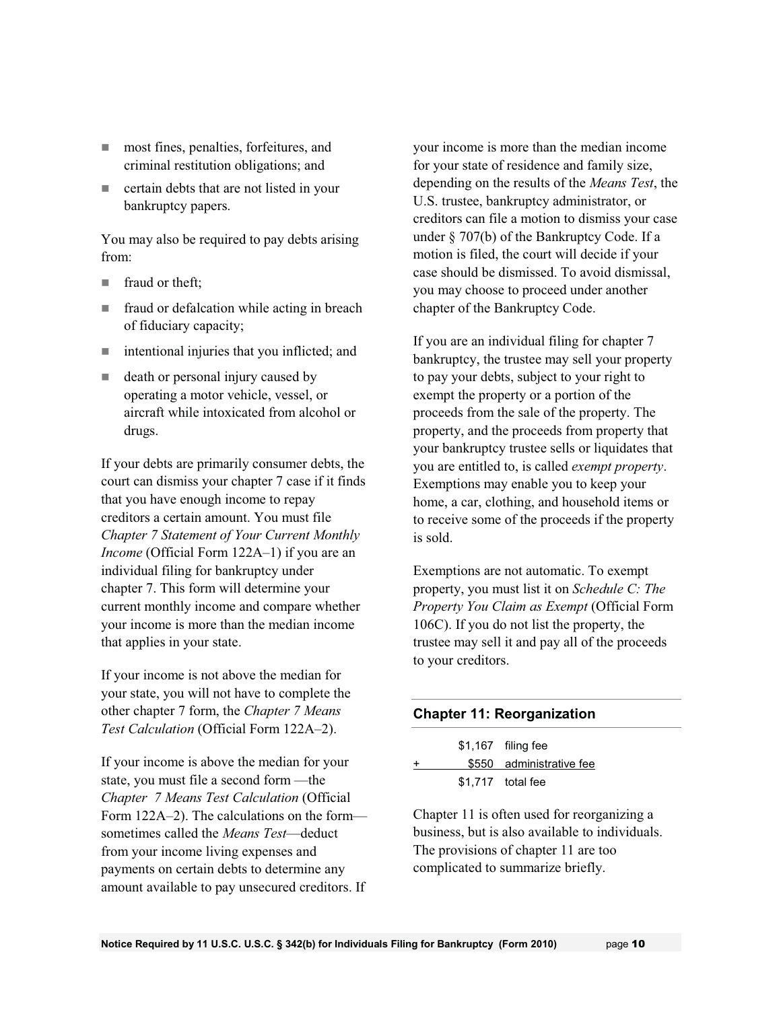- most fines, penalties, forfeitures, and criminal restitution obligations; and
- certain debts that are not listed in your bankruptcy papers.

You may also be required to pay debts arising from:

- **The final final state of the fit:**
- fraud or defalcation while acting in breach of fiduciary capacity;
- intentional injuries that you inflicted; and
- death or personal injury caused by operating a motor vehicle, vessel, or aircraft while intoxicated from alcohol or drugs.

If your debts are primarily consumer debts, the court can dismiss your chapter 7 case if it finds that you have enough income to repay creditors a certain amount. You must file *Chapter 7 Statement of Your Current Monthly Income* (Official Form 122A–1) if you are an individual filing for bankruptcy under chapter 7. This form will determine your current monthly income and compare whether your income is more than the median income that applies in your state.

If your income is not above the median for your state, you will not have to complete the other chapter 7 form, the *Chapter 7 Means Test Calculation* (Official Form 122A–2).

If your income is above the median for your state, you must file a second form —the *Chapter 7 Means Test Calculation* (Official Form 122A–2). The calculations on the form sometimes called the *Means Test*—deduct from your income living expenses and payments on certain debts to determine any amount available to pay unsecured creditors. If your income is more than the median income for your state of residence and family size, depending on the results of the *Means Test*, the U.S. trustee, bankruptcy administrator, or creditors can file a motion to dismiss your case under § 707(b) of the Bankruptcy Code. If a motion is filed, the court will decide if your case should be dismissed. To avoid dismissal, you may choose to proceed under another chapter of the Bankruptcy Code.

If you are an individual filing for chapter 7 bankruptcy, the trustee may sell your property to pay your debts, subject to your right to exempt the property or a portion of the proceeds from the sale of the property. The property, and the proceeds from property that your bankruptcy trustee sells or liquidates that you are entitled to, is called *exempt property*. Exemptions may enable you to keep your home, a car, clothing, and household items or to receive some of the proceeds if the property is sold.

Exemptions are not automatic. To exempt property, you must list it on *Schedule C: The Property You Claim as Exempt* (Official Form 106C). If you do not list the property, the trustee may sell it and pay all of the proceeds to your creditors.

#### **Chapter 11: Reorganization**

|  | $$1,167$ filing fee      |
|--|--------------------------|
|  | \$550 administrative fee |
|  | \$1,717 total fee        |

Chapter 11 is often used for reorganizing a business, but is also available to individuals. The provisions of chapter 11 are too complicated to summarize briefly.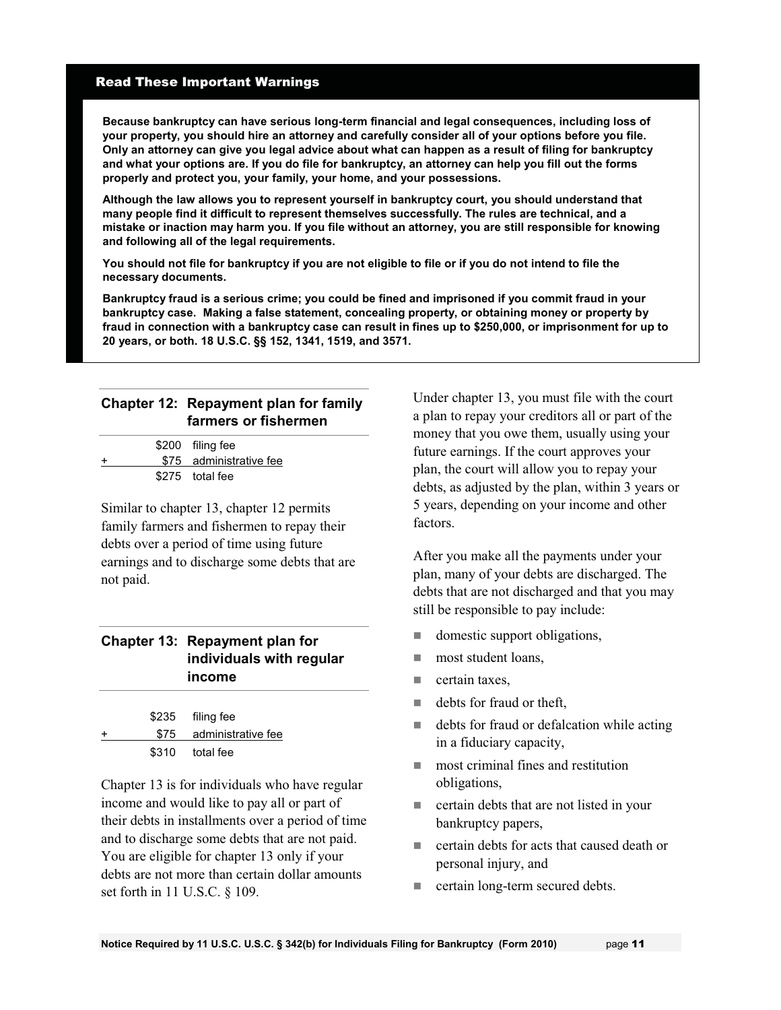#### Read These Important Warnings

**Because bankruptcy can have serious long-term financial and legal consequences, including loss of your property, you should hire an attorney and carefully consider all of your options before you file. Only an attorney can give you legal advice about what can happen as a result of filing for bankruptcy and what your options are. If you do file for bankruptcy, an attorney can help you fill out the forms properly and protect you, your family, your home, and your possessions.** 

**Although the law allows you to represent yourself in bankruptcy court, you should understand that many people find it difficult to represent themselves successfully. The rules are technical, and a mistake or inaction may harm you. If you file without an attorney, you are still responsible for knowing and following all of the legal requirements.** 

**You should not file for bankruptcy if you are not eligible to file or if you do not intend to file the necessary documents.**

**Bankruptcy fraud is a serious crime; you could be fined and imprisoned if you commit fraud in your bankruptcy case. Making a false statement, concealing property, or obtaining money or property by fraud in connection with a bankruptcy case can result in fines up to \$250,000, or imprisonment for up to 20 years, or both. 18 U.S.C. §§ 152, 1341, 1519, and 3571.**

#### **Chapter 12: Repayment plan for family farmers or fishermen**

|        | \$200 filing fee        |
|--------|-------------------------|
| $\div$ | \$75 administrative fee |
|        | \$275 total fee         |

Similar to chapter 13, chapter 12 permits family farmers and fishermen to repay their debts over a period of time using future earnings and to discharge some debts that are not paid.

#### **Chapter 13: Repayment plan for individuals with regular income**

|        | \$235 filing fee        |
|--------|-------------------------|
| $\div$ | \$75 administrative fee |
|        | \$310 total fee         |

Chapter 13 is for individuals who have regular income and would like to pay all or part of their debts in installments over a period of time and to discharge some debts that are not paid. You are eligible for chapter 13 only if your debts are not more than certain dollar amounts set forth in 11 U.S.C. § 109.

Under chapter 13, you must file with the court a plan to repay your creditors all or part of the money that you owe them, usually using your future earnings. If the court approves your plan, the court will allow you to repay your debts, as adjusted by the plan, within 3 years or 5 years, depending on your income and other factors.

After you make all the payments under your plan, many of your debts are discharged. The debts that are not discharged and that you may still be responsible to pay include:

- domestic support obligations,
- most student loans,
- certain taxes,
- debts for fraud or theft,
- debts for fraud or defalcation while acting in a fiduciary capacity,
- most criminal fines and restitution obligations,
- certain debts that are not listed in your bankruptcy papers,
- certain debts for acts that caused death or personal injury, and
- certain long-term secured debts.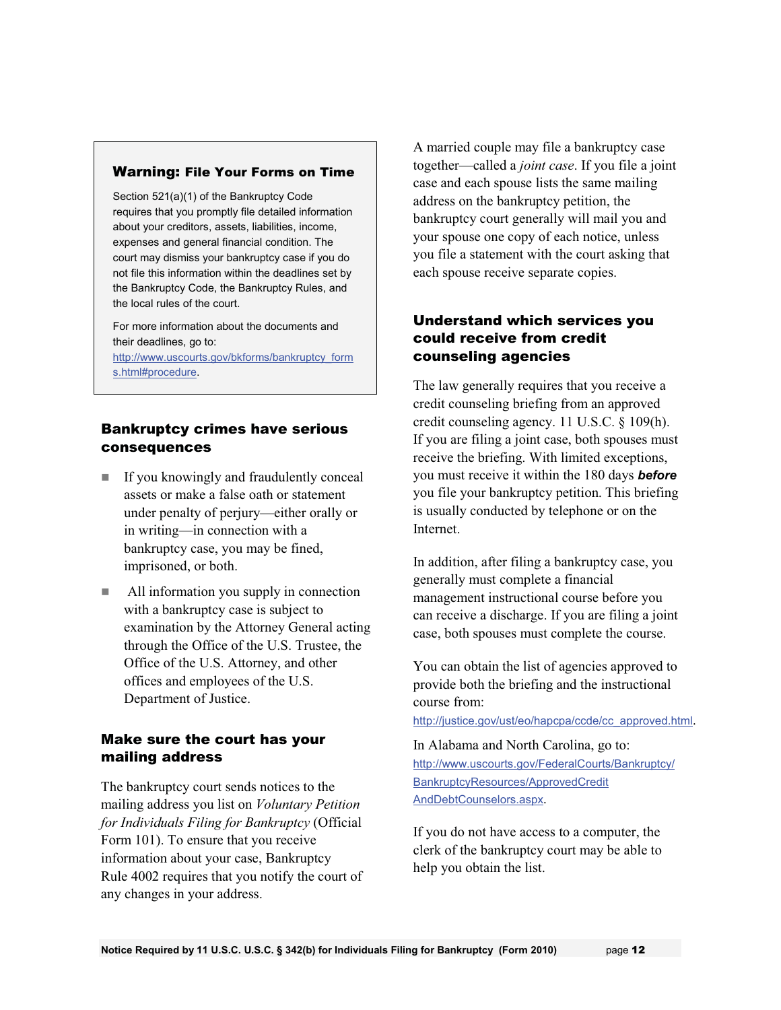#### Warning: File Your Forms on Time

Section 521(a)(1) of the Bankruptcy Code requires that you promptly file detailed information about your creditors, assets, liabilities, income, expenses and general financial condition. The court may dismiss your bankruptcy case if you do not file this information within the deadlines set by the Bankruptcy Code, the Bankruptcy Rules, and the local rules of the court.

For more information about the documents and their deadlines, go to:

http://www.uscourts.gov/bkforms/bankruptcy\_form s.html#procedure.

#### Bankruptcy crimes have serious consequences

- **If you knowingly and fraudulently conceal** assets or make a false oath or statement under penalty of perjury—either orally or in writing—in connection with a bankruptcy case, you may be fined, imprisoned, or both.
- **All information you supply in connection** with a bankruptcy case is subject to examination by the Attorney General acting through the Office of the U.S. Trustee, the Office of the U.S. Attorney, and other offices and employees of the U.S. Department of Justice.

#### Make sure the court has your mailing address

The bankruptcy court sends notices to the mailing address you list on *Voluntary Petition for Individuals Filing for Bankruptcy* (Official Form 101). To ensure that you receive information about your case, Bankruptcy Rule 4002 requires that you notify the court of any changes in your address.

A married couple may file a bankruptcy case together—called a *joint case*. If you file a joint case and each spouse lists the same mailing address on the bankruptcy petition, the bankruptcy court generally will mail you and your spouse one copy of each notice, unless you file a statement with the court asking that each spouse receive separate copies.

#### Understand which services you could receive from credit counseling agencies

The law generally requires that you receive a credit counseling briefing from an approved credit counseling agency. 11 U.S.C. § 109(h). If you are filing a joint case, both spouses must receive the briefing. With limited exceptions, you must receive it within the 180 days *before* you file your bankruptcy petition. This briefing is usually conducted by telephone or on the Internet.

In addition, after filing a bankruptcy case, you generally must complete a financial management instructional course before you can receive a discharge. If you are filing a joint case, both spouses must complete the course.

You can obtain the list of agencies approved to provide both the briefing and the instructional course from:

http://justice.gov/ust/eo/hapcpa/ccde/cc\_approved.html.

In Alabama and North Carolina, go to: http://www.uscourts.gov/FederalCourts/Bankruptcy/ BankruptcyResources/ApprovedCredit AndDebtCounselors.aspx.

If you do not have access to a computer, the clerk of the bankruptcy court may be able to help you obtain the list.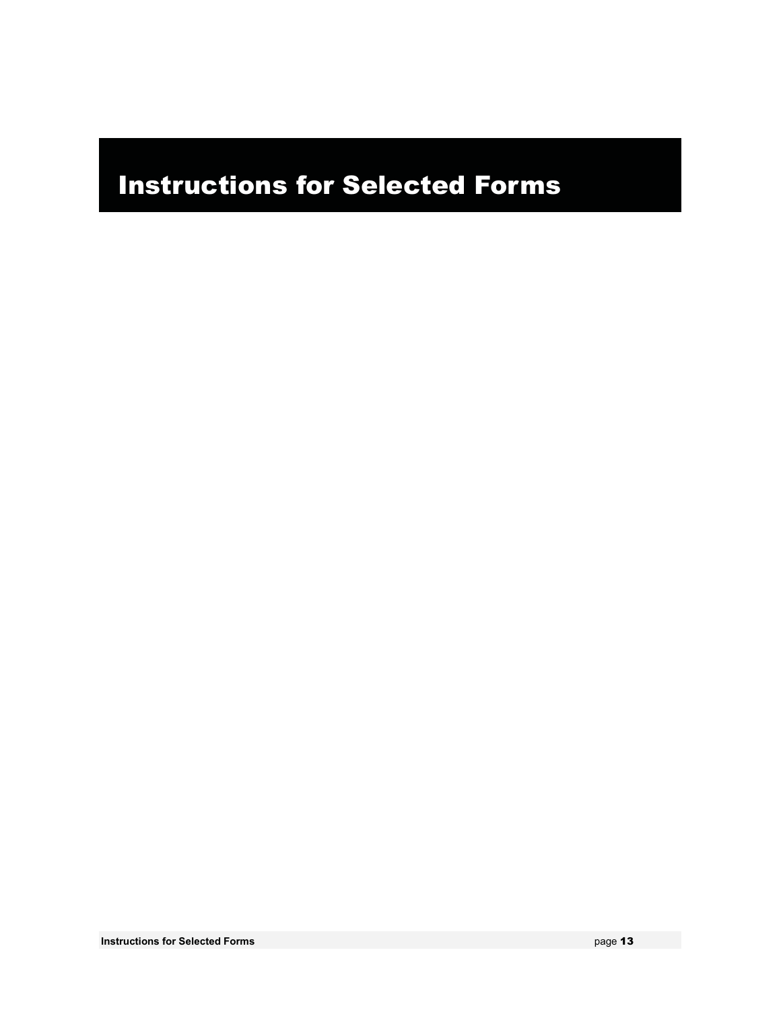# Instructions for Selected Forms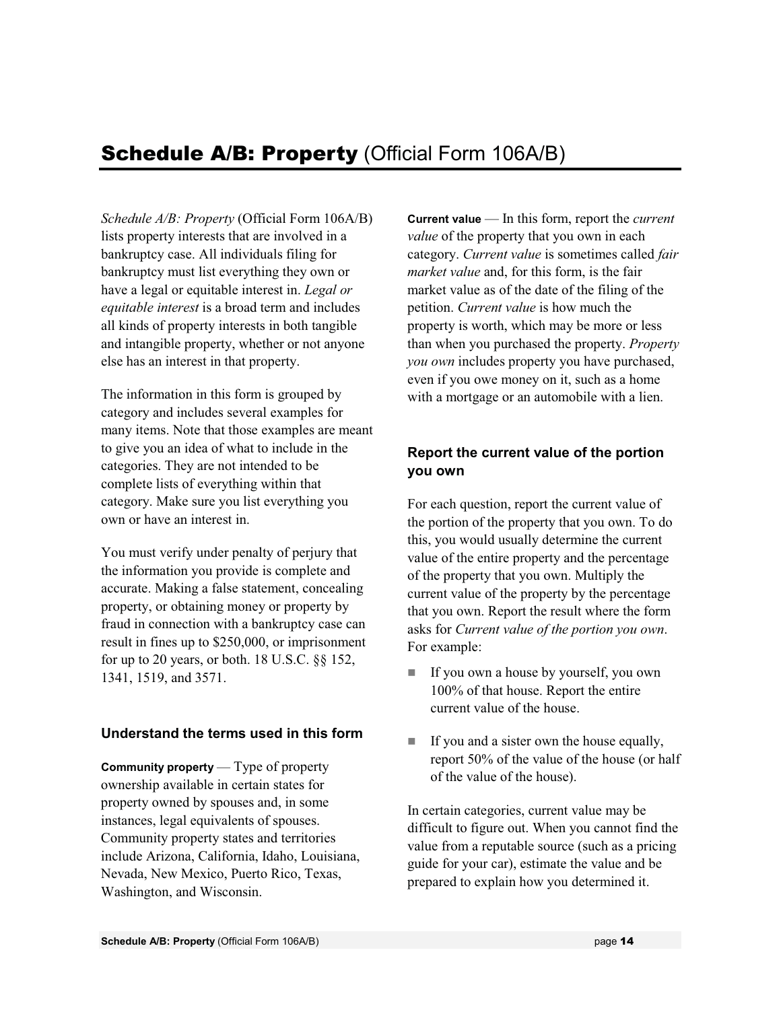*Schedule A/B: Property* (Official Form 106A/B) lists property interests that are involved in a bankruptcy case. All individuals filing for bankruptcy must list everything they own or have a legal or equitable interest in. *Legal or equitable interest* is a broad term and includes all kinds of property interests in both tangible and intangible property, whether or not anyone else has an interest in that property.

The information in this form is grouped by category and includes several examples for many items. Note that those examples are meant to give you an idea of what to include in the categories. They are not intended to be complete lists of everything within that category. Make sure you list everything you own or have an interest in.

You must verify under penalty of perjury that the information you provide is complete and accurate. Making a false statement, concealing property, or obtaining money or property by fraud in connection with a bankruptcy case can result in fines up to \$250,000, or imprisonment for up to 20 years, or both. 18 U.S.C. §§ 152, 1341, 1519, and 3571.

#### **Understand the terms used in this form**

**Community property** — Type of property ownership available in certain states for property owned by spouses and, in some instances, legal equivalents of spouses. Community property states and territories include Arizona, California, Idaho, Louisiana, Nevada, New Mexico, Puerto Rico, Texas, Washington, and Wisconsin.

**Current value** — In this form, report the *current value* of the property that you own in each category. *Current value* is sometimes called *fair market value* and, for this form, is the fair market value as of the date of the filing of the petition. *Current value* is how much the property is worth, which may be more or less than when you purchased the property. *Property you own* includes property you have purchased, even if you owe money on it, such as a home with a mortgage or an automobile with a lien.

### **Report the current value of the portion you own**

For each question, report the current value of the portion of the property that you own. To do this, you would usually determine the current value of the entire property and the percentage of the property that you own. Multiply the current value of the property by the percentage that you own. Report the result where the form asks for *Current value of the portion you own*. For example:

- - If you own a house by yourself, you own 100% of that house. Report the entire current value of the house.
- - If you and a sister own the house equally, report 50% of the value of the house (or half of the value of the house).

In certain categories, current value may be difficult to figure out. When you cannot find the value from a reputable source (such as a pricing guide for your car), estimate the value and be prepared to explain how you determined it.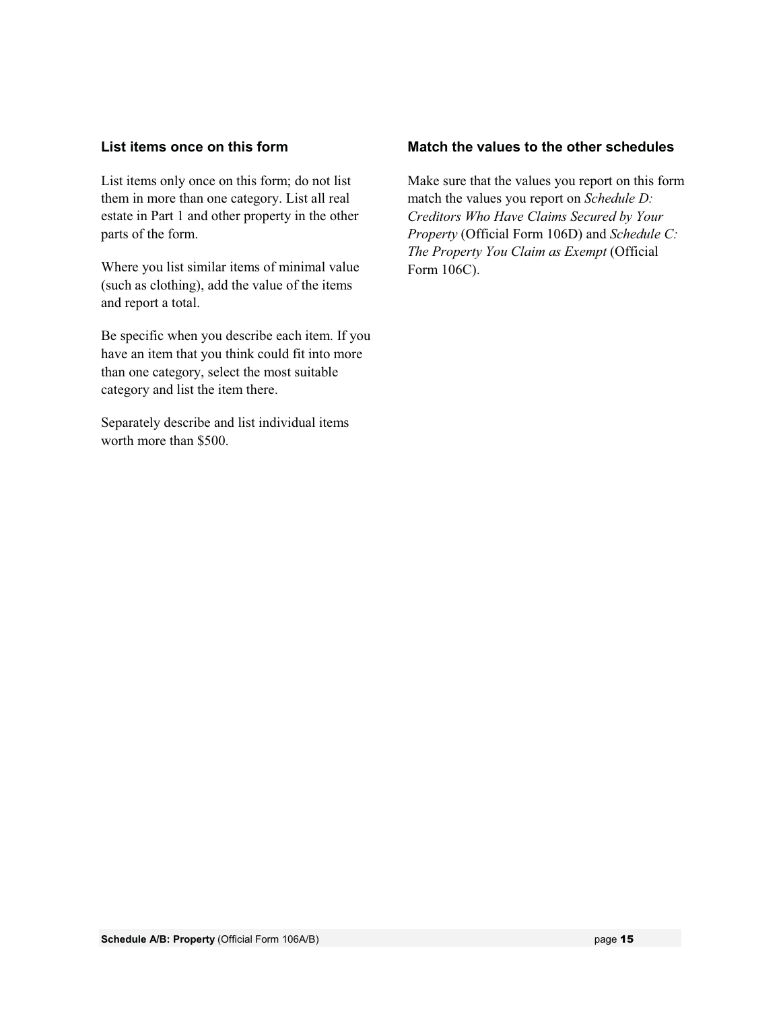#### **List items once on this form**

List items only once on this form; do not list them in more than one category. List all real estate in Part 1 and other property in the other parts of the form.

Where you list similar items of minimal value (such as clothing), add the value of the items and report a total.

Be specific when you describe each item. If you have an item that you think could fit into more than one category, select the most suitable category and list the item there.

Separately describe and list individual items worth more than \$500.

#### **Match the values to the other schedules**

Make sure that the values you report on this form match the values you report on *Schedule D: Creditors Who Have Claims Secured by Your Property* (Official Form 106D) and *Schedule C: The Property You Claim as Exempt* (Official Form 106C).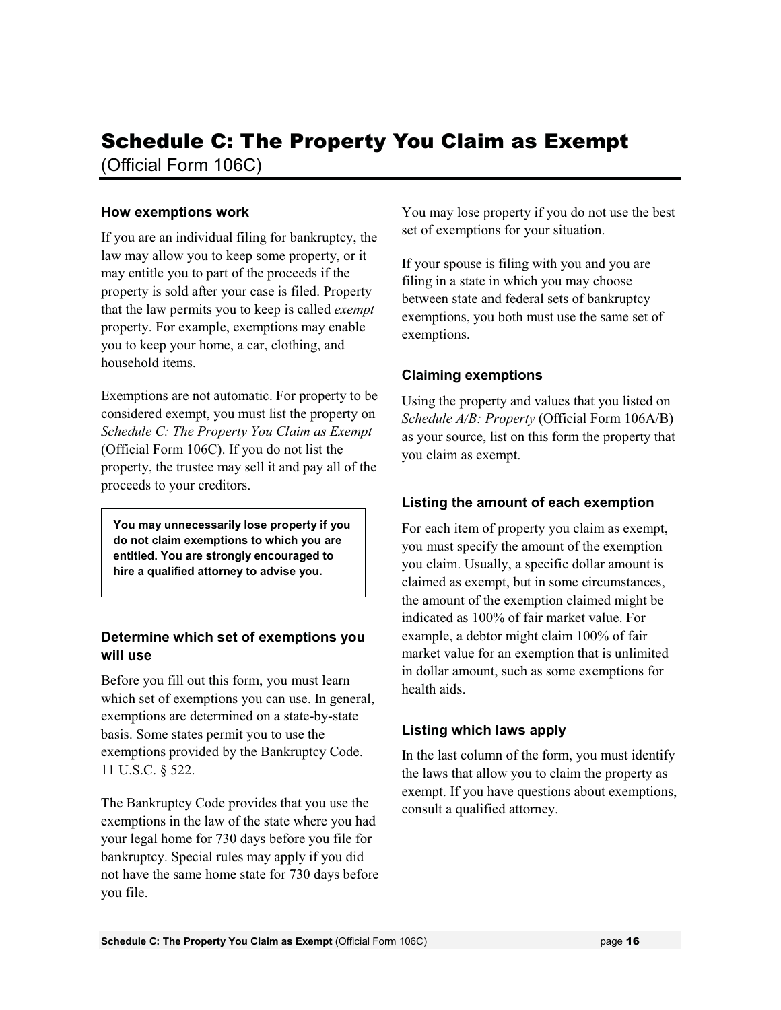# Schedule C: The Property You Claim as Exempt

(Official Form 106C)

#### **How exemptions work**

If you are an individual filing for bankruptcy, the law may allow you to keep some property, or it may entitle you to part of the proceeds if the property is sold after your case is filed. Property that the law permits you to keep is called *exempt* property. For example, exemptions may enable you to keep your home, a car, clothing, and household items.

Exemptions are not automatic. For property to be considered exempt, you must list the property on *Schedule C: The Property You Claim as Exempt*  (Official Form 106C). If you do not list the property, the trustee may sell it and pay all of the proceeds to your creditors.

**You may unnecessarily lose property if you do not claim exemptions to which you are entitled. You are strongly encouraged to hire a qualified attorney to advise you.**

#### **Determine which set of exemptions you will use**

Before you fill out this form, you must learn which set of exemptions you can use. In general, exemptions are determined on a state-by-state basis. Some states permit you to use the exemptions provided by the Bankruptcy Code. 11 U.S.C. § 522.

The Bankruptcy Code provides that you use the exemptions in the law of the state where you had your legal home for 730 days before you file for bankruptcy. Special rules may apply if you did not have the same home state for 730 days before you file.

You may lose property if you do not use the best set of exemptions for your situation.

If your spouse is filing with you and you are filing in a state in which you may choose between state and federal sets of bankruptcy exemptions, you both must use the same set of exemptions.

#### **Claiming exemptions**

Using the property and values that you listed on *Schedule A/B: Property* (Official Form 106A/B) as your source, list on this form the property that you claim as exempt.

#### **Listing the amount of each exemption**

For each item of property you claim as exempt, you must specify the amount of the exemption you claim. Usually, a specific dollar amount is claimed as exempt, but in some circumstances, the amount of the exemption claimed might be indicated as 100% of fair market value. For example, a debtor might claim 100% of fair market value for an exemption that is unlimited in dollar amount, such as some exemptions for health aids.

#### **Listing which laws apply**

In the last column of the form, you must identify the laws that allow you to claim the property as exempt. If you have questions about exemptions, consult a qualified attorney.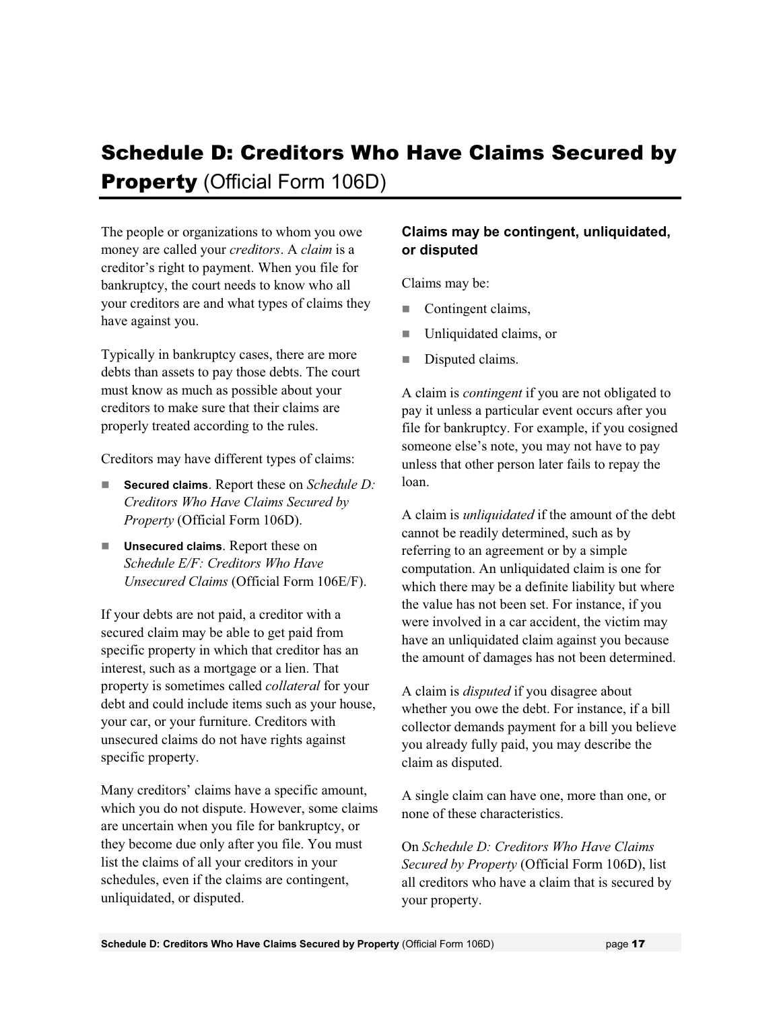### Schedule D: Creditors Who Have Claims Secured by **Property (Official Form 106D)**

The people or organizations to whom you owe money are called your *creditors*. A *claim* is a creditor's right to payment. When you file for bankruptcy, the court needs to know who all your creditors are and what types of claims they have against you.

Typically in bankruptcy cases, there are more debts than assets to pay those debts. The court must know as much as possible about your creditors to make sure that their claims are properly treated according to the rules.

Creditors may have different types of claims:

- - **Secured claims**. Report these on *Schedule D: Creditors Who Have Claims Secured by Property* (Official Form 106D).
- - **Unsecured claims**. Report these on *Schedule E/F: Creditors Who Have Unsecured Claims* (Official Form 106E/F).

If your debts are not paid, a creditor with a secured claim may be able to get paid from specific property in which that creditor has an interest, such as a mortgage or a lien. That property is sometimes called *collateral* for your debt and could include items such as your house, your car, or your furniture. Creditors with unsecured claims do not have rights against specific property.

Many creditors' claims have a specific amount, which you do not dispute. However, some claims are uncertain when you file for bankruptcy, or they become due only after you file. You must list the claims of all your creditors in your schedules, even if the claims are contingent, unliquidated, or disputed.

#### **Claims may be contingent, unliquidated, or disputed**

Claims may be:

- -Contingent claims,
- -Unliquidated claims, or
- -Disputed claims.

A claim is *contingent* if you are not obligated to pay it unless a particular event occurs after you file for bankruptcy. For example, if you cosigned someone else's note, you may not have to pay unless that other person later fails to repay the loan.

A claim is *unliquidated* if the amount of the debt cannot be readily determined, such as by referring to an agreement or by a simple computation. An unliquidated claim is one for which there may be a definite liability but where the value has not been set. For instance, if you were involved in a car accident, the victim may have an unliquidated claim against you because the amount of damages has not been determined.

A claim is *disputed* if you disagree about whether you owe the debt. For instance, if a bill collector demands payment for a bill you believe you already fully paid, you may describe the claim as disputed.

A single claim can have one, more than one, or none of these characteristics.

On *Schedule D: Creditors Who Have Claims Secured by Property* (Official Form 106D), list all creditors who have a claim that is secured by your property.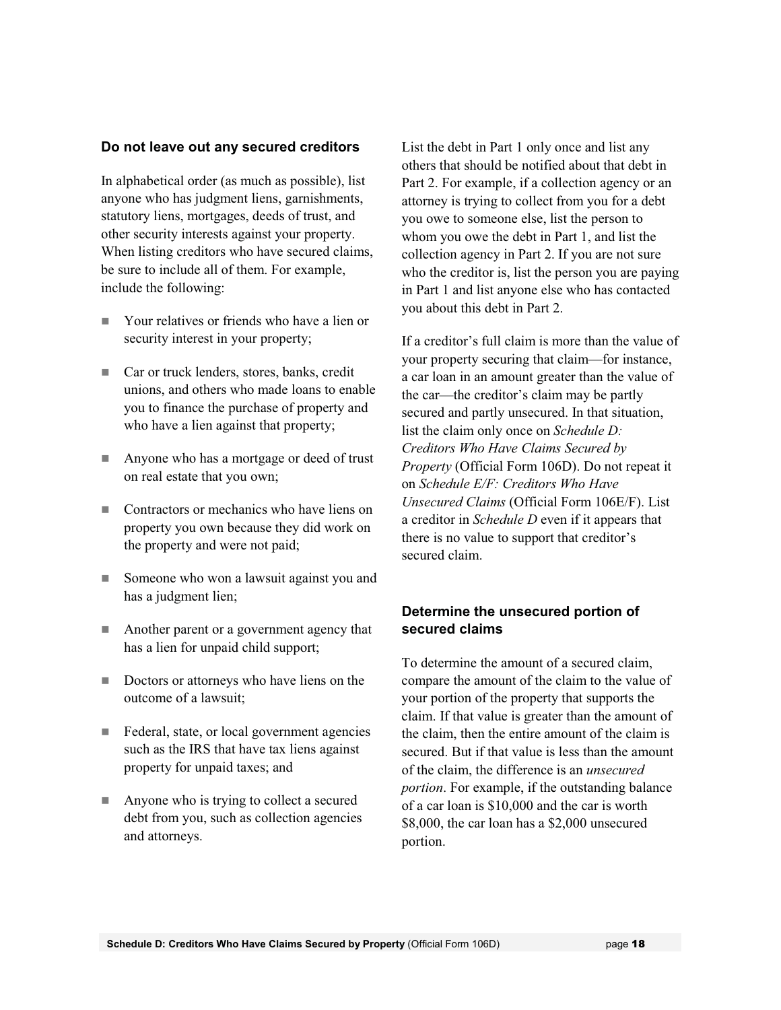#### **Do not leave out any secured creditors**

In alphabetical order (as much as possible), list anyone who has judgment liens, garnishments, statutory liens, mortgages, deeds of trust, and other security interests against your property. When listing creditors who have secured claims, be sure to include all of them. For example, include the following:

- **The Vour relatives or friends who have a lien or** security interest in your property;
- - Car or truck lenders, stores, banks, credit unions, and others who made loans to enable you to finance the purchase of property and who have a lien against that property;
- - Anyone who has a mortgage or deed of trust on real estate that you own;
- **Contractors or mechanics who have liens on** property you own because they did work on the property and were not paid;
- - Someone who won a lawsuit against you and has a judgment lien;
- **Another parent or a government agency that** has a lien for unpaid child support;
- - Doctors or attorneys who have liens on the outcome of a lawsuit;
- Federal, state, or local government agencies such as the IRS that have tax liens against property for unpaid taxes; and
- **Anyone who is trying to collect a secured** debt from you, such as collection agencies and attorneys.

List the debt in Part 1 only once and list any others that should be notified about that debt in Part 2. For example, if a collection agency or an attorney is trying to collect from you for a debt you owe to someone else, list the person to whom you owe the debt in Part 1, and list the collection agency in Part 2. If you are not sure who the creditor is, list the person you are paying in Part 1 and list anyone else who has contacted you about this debt in Part 2.

If a creditor's full claim is more than the value of your property securing that claim—for instance, a car loan in an amount greater than the value of the car—the creditor's claim may be partly secured and partly unsecured. In that situation, list the claim only once on *Schedule D: Creditors Who Have Claims Secured by Property* (Official Form 106D). Do not repeat it on *Schedule E/F: Creditors Who Have Unsecured Claims* (Official Form 106E/F). List a creditor in *Schedule D* even if it appears that there is no value to support that creditor's secured claim.

#### **Determine the unsecured portion of secured claims**

To determine the amount of a secured claim, compare the amount of the claim to the value of your portion of the property that supports the claim. If that value is greater than the amount of the claim, then the entire amount of the claim is secured. But if that value is less than the amount of the claim, the difference is an *unsecured portion*. For example, if the outstanding balance of a car loan is \$10,000 and the car is worth \$8,000, the car loan has a \$2,000 unsecured portion.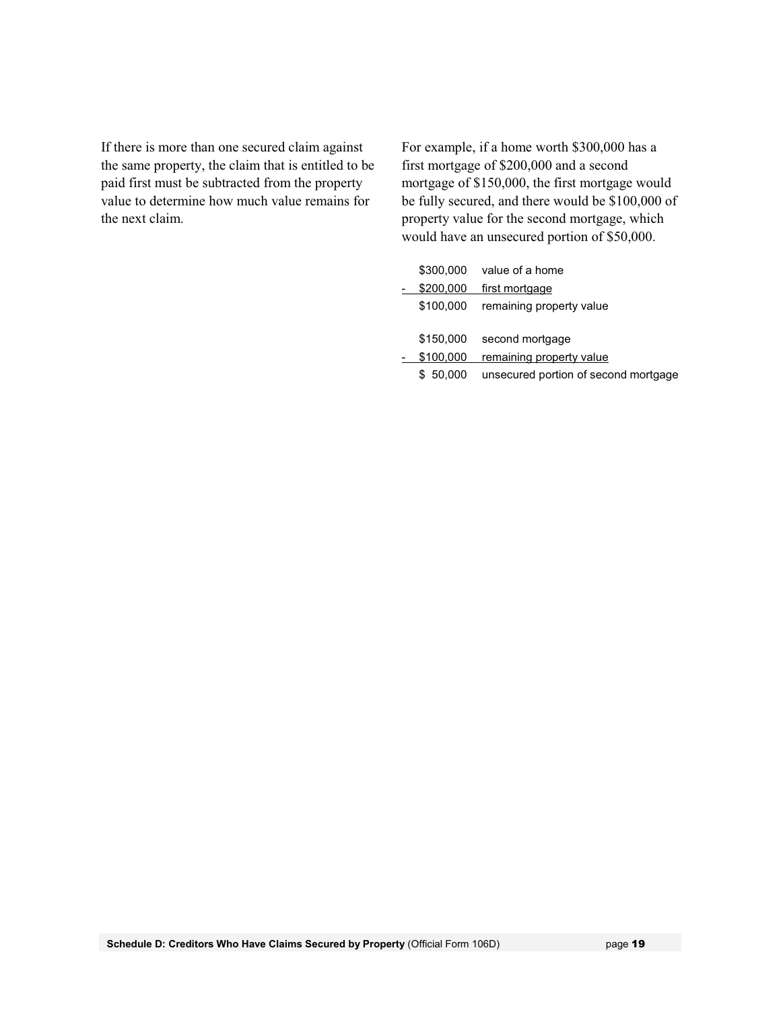If there is more than one secured claim against the same property, the claim that is entitled to be paid first must be subtracted from the property value to determine how much value remains for the next claim.

For example, if a home worth \$300,000 has a first mortgage of \$200,000 and a second mortgage of \$150,000, the first mortgage would be fully secured, and there would be \$100,000 of property value for the second mortgage, which would have an unsecured portion of \$50,000.

| \$300,000 | value of a home                      |
|-----------|--------------------------------------|
| \$200,000 | first mortgage                       |
| \$100,000 | remaining property value             |
| \$150,000 | second mortgage                      |
| \$100,000 | remaining property value             |
| \$50,000  | unsecured portion of second mortgage |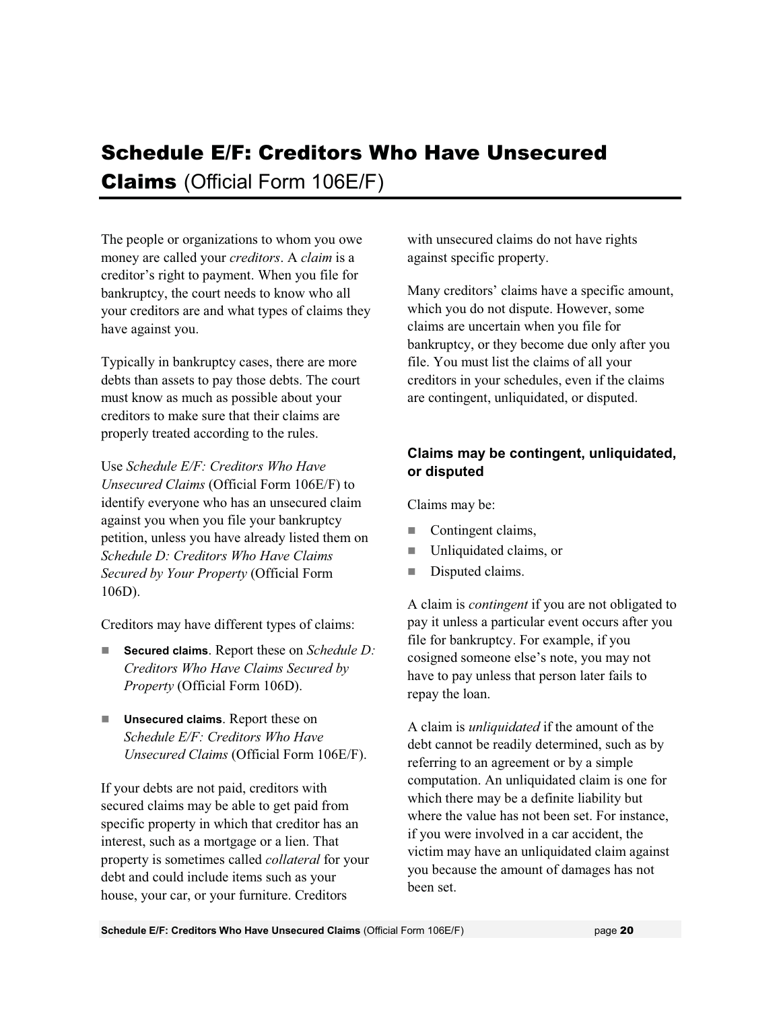### Schedule E/F: Creditors Who Have Unsecured Claims (Official Form 106E/F)

The people or organizations to whom you owe money are called your *creditors*. A *claim* is a creditor's right to payment. When you file for bankruptcy, the court needs to know who all your creditors are and what types of claims they have against you.

Typically in bankruptcy cases, there are more debts than assets to pay those debts. The court must know as much as possible about your creditors to make sure that their claims are properly treated according to the rules.

Use *Schedule E/F: Creditors Who Have Unsecured Claims* (Official Form 106E/F) to identify everyone who has an unsecured claim against you when you file your bankruptcy petition, unless you have already listed them on *Schedule D: Creditors Who Have Claims Secured by Your Property* (Official Form 106D).

Creditors may have different types of claims:

- - **Secured claims**. Report these on *Schedule D: Creditors Who Have Claims Secured by Property* (Official Form 106D).
- **Unsecured claims**. Report these on *Schedule E/F: Creditors Who Have Unsecured Claims* (Official Form 106E/F).

If your debts are not paid, creditors with secured claims may be able to get paid from specific property in which that creditor has an interest, such as a mortgage or a lien. That property is sometimes called *collateral* for your debt and could include items such as your house, your car, or your furniture. Creditors

with unsecured claims do not have rights against specific property.

Many creditors' claims have a specific amount, which you do not dispute. However, some claims are uncertain when you file for bankruptcy, or they become due only after you file. You must list the claims of all your creditors in your schedules, even if the claims are contingent, unliquidated, or disputed.

#### **Claims may be contingent, unliquidated, or disputed**

Claims may be:

- -Contingent claims,
- -Unliquidated claims, or
- -Disputed claims.

A claim is *contingent* if you are not obligated to pay it unless a particular event occurs after you file for bankruptcy. For example, if you cosigned someone else's note, you may not have to pay unless that person later fails to repay the loan.

A claim is *unliquidated* if the amount of the debt cannot be readily determined, such as by referring to an agreement or by a simple computation. An unliquidated claim is one for which there may be a definite liability but where the value has not been set. For instance, if you were involved in a car accident, the victim may have an unliquidated claim against you because the amount of damages has not been set.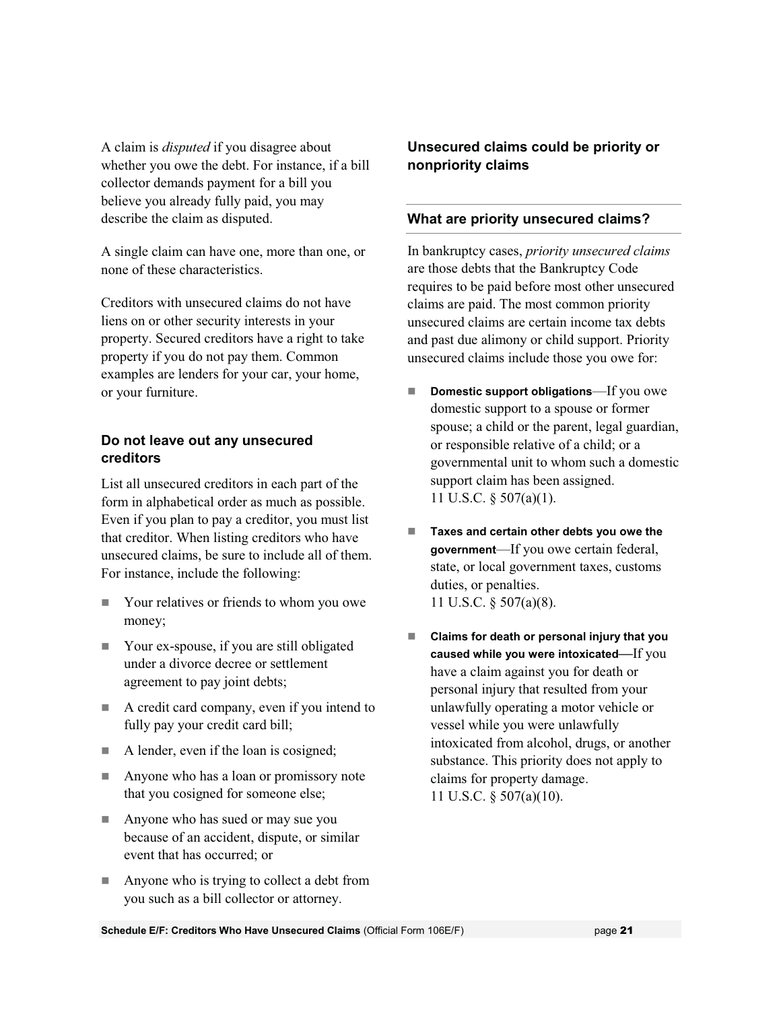A claim is *disputed* if you disagree about whether you owe the debt. For instance, if a bill collector demands payment for a bill you believe you already fully paid, you may describe the claim as disputed.

A single claim can have one, more than one, or none of these characteristics.

Creditors with unsecured claims do not have liens on or other security interests in your property. Secured creditors have a right to take property if you do not pay them. Common examples are lenders for your car, your home, or your furniture.

#### **Do not leave out any unsecured creditors**

List all unsecured creditors in each part of the form in alphabetical order as much as possible. Even if you plan to pay a creditor, you must list that creditor. When listing creditors who have unsecured claims, be sure to include all of them. For instance, include the following:

- - Your relatives or friends to whom you owe money;
- - Your ex-spouse, if you are still obligated under a divorce decree or settlement agreement to pay joint debts;
- A credit card company, even if you intend to fully pay your credit card bill;
- -A lender, even if the loan is cosigned;
- - Anyone who has a loan or promissory note that you cosigned for someone else;
- **Anyone who has sued or may sue you** because of an accident, dispute, or similar event that has occurred; or
- **Anyone who is trying to collect a debt from** you such as a bill collector or attorney.

#### **Unsecured claims could be priority or nonpriority claims**

#### **What are priority unsecured claims?**

In bankruptcy cases, *priority unsecured claims* are those debts that the Bankruptcy Code requires to be paid before most other unsecured claims are paid. The most common priority unsecured claims are certain income tax debts and past due alimony or child support. Priority unsecured claims include those you owe for:

- - **Domestic support obligations**—If you owe domestic support to a spouse or former spouse; a child or the parent, legal guardian, or responsible relative of a child; or a governmental unit to whom such a domestic support claim has been assigned. 11 U.S.C. § 507(a)(1).
- - **Taxes and certain other debts you owe the government**—If you owe certain federal, state, or local government taxes, customs duties, or penalties. 11 U.S.C. § 507(a)(8).
- - **Claims for death or personal injury that you caused while you were intoxicated—**If you have a claim against you for death or personal injury that resulted from your unlawfully operating a motor vehicle or vessel while you were unlawfully intoxicated from alcohol, drugs, or another substance. This priority does not apply to claims for property damage. 11 U.S.C. § 507(a)(10).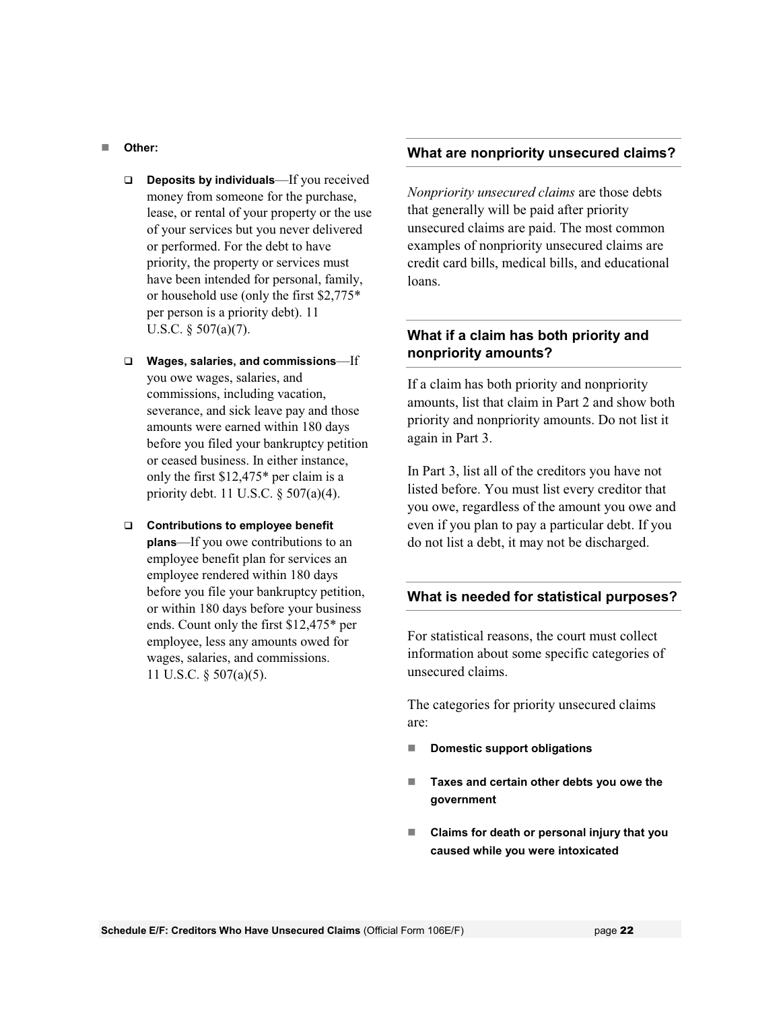#### -**Other:**

- **Deposits by individuals**—If you received money from someone for the purchase, lease, or rental of your property or the use of your services but you never delivered or performed. For the debt to have priority, the property or services must have been intended for personal, family, or household use (only the first \$2,775\* per person is a priority debt). 11 U.S.C. § 507(a)(7).
- **Wages, salaries, and commissions**—If you owe wages, salaries, and commissions, including vacation, severance, and sick leave pay and those amounts were earned within 180 days before you filed your bankruptcy petition or ceased business. In either instance, only the first \$12,475\* per claim is a priority debt. 11 U.S.C. § 507(a)(4).
- **Contributions to employee benefit plans**—If you owe contributions to an employee benefit plan for services an employee rendered within 180 days before you file your bankruptcy petition, or within 180 days before your business ends. Count only the first \$12,475\* per employee, less any amounts owed for wages, salaries, and commissions. 11 U.S.C. § 507(a)(5).

#### **What are nonpriority unsecured claims?**

*Nonpriority unsecured claims* are those debts that generally will be paid after priority unsecured claims are paid. The most common examples of nonpriority unsecured claims are credit card bills, medical bills, and educational loans.

#### **What if a claim has both priority and nonpriority amounts?**

If a claim has both priority and nonpriority amounts, list that claim in Part 2 and show both priority and nonpriority amounts. Do not list it again in Part 3.

In Part 3, list all of the creditors you have not listed before. You must list every creditor that you owe, regardless of the amount you owe and even if you plan to pay a particular debt. If you do not list a debt, it may not be discharged.

#### **What is needed for statistical purposes?**

For statistical reasons, the court must collect information about some specific categories of unsecured claims.

The categories for priority unsecured claims are:

- -**Domestic support obligations**
- - **Taxes and certain other debts you owe the government**
- Claims for death or personal injury that you **caused while you were intoxicated**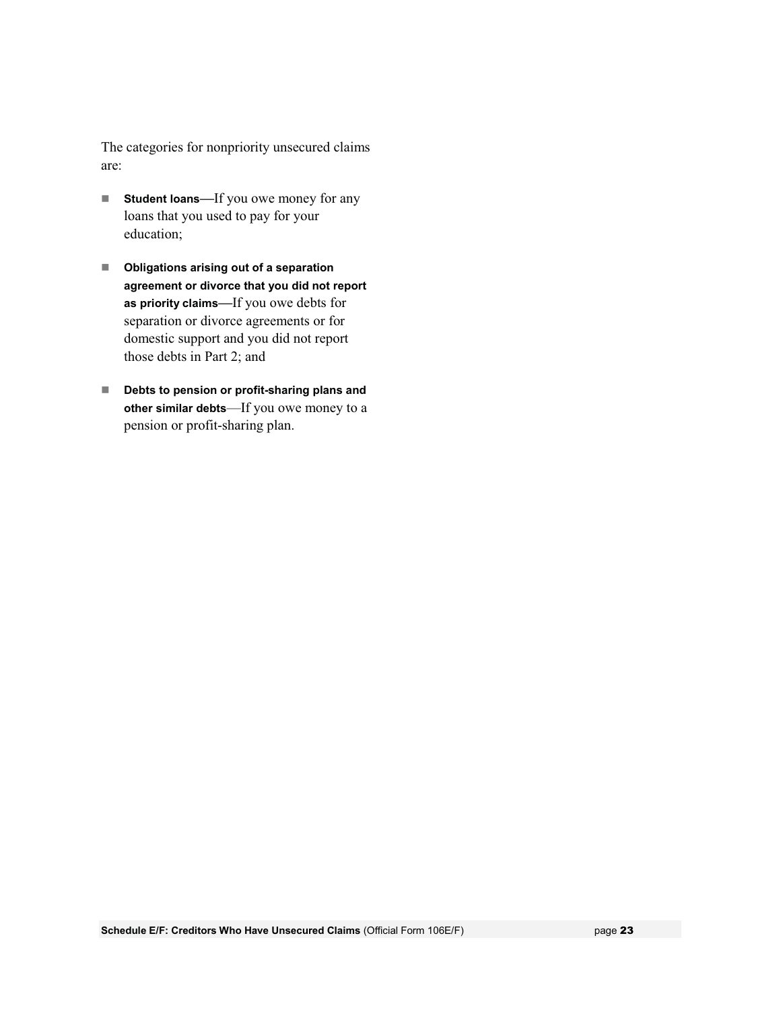The categories for nonpriority unsecured claims are:

- **Student loans**—If you owe money for any loans that you used to pay for your education;
- Obligations arising out of a separation **agreement or divorce that you did not report as priority claims—**If you owe debts for separation or divorce agreements or for domestic support and you did not report those debts in Part 2; and
- - **Debts to pension or profit-sharing plans and other similar debts**—If you owe money to a pension or profit-sharing plan.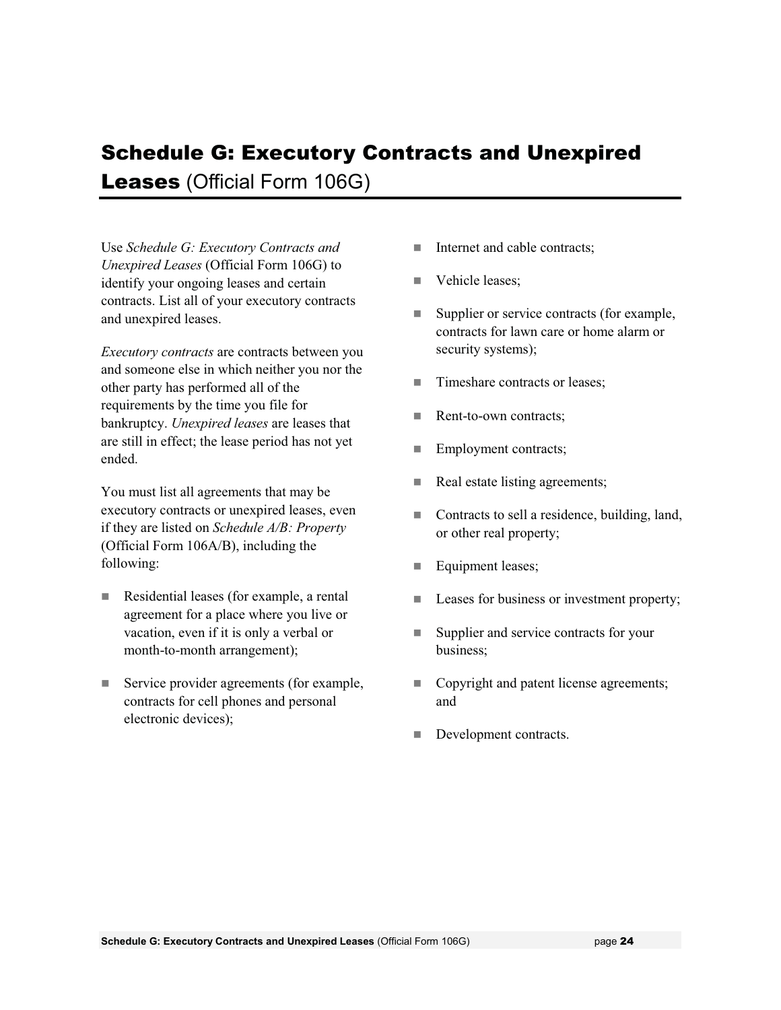### Schedule G: Executory Contracts and Unexpired Leases (Official Form 106G)

Use *Schedule G: Executory Contracts and Unexpired Leases* (Official Form 106G) to identify your ongoing leases and certain contracts. List all of your executory contracts and unexpired leases.

*Executory contracts* are contracts between you and someone else in which neither you nor the other party has performed all of the requirements by the time you file for bankruptcy. *Unexpired leases* are leases that are still in effect; the lease period has not yet ended.

You must list all agreements that may be executory contracts or unexpired leases, even if they are listed on *Schedule A/B: Property* (Official Form 106A/B), including the following:

- **Residential leases (for example, a rental** agreement for a place where you live or vacation, even if it is only a verbal or month-to-month arrangement);
- - Service provider agreements (for example, contracts for cell phones and personal electronic devices);
- -Internet and cable contracts;
- -Vehicle leases;
- - Supplier or service contracts (for example, contracts for lawn care or home alarm or security systems);
- -Timeshare contracts or leases;
- -Rent-to-own contracts;
- -Employment contracts;
- -Real estate listing agreements;
- - Contracts to sell a residence, building, land, or other real property;
- -Equipment leases;
- -Leases for business or investment property;
- - Supplier and service contracts for your business;
- - Copyright and patent license agreements; and
- -Development contracts.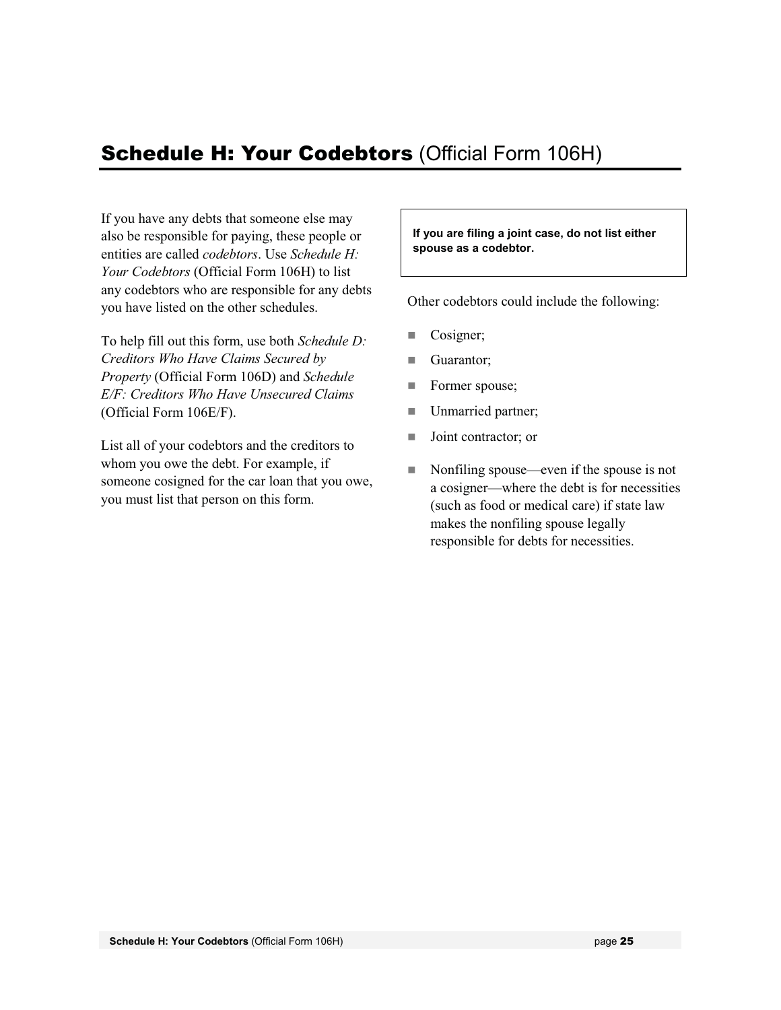### Schedule H: Your Codebtors (Official Form 106H)

If you have any debts that someone else may also be responsible for paying, these people or entities are called *codebtors*. Use *Schedule H: Your Codebtors* (Official Form 106H) to list any codebtors who are responsible for any debts you have listed on the other schedules.

To help fill out this form, use both *Schedule D: Creditors Who Have Claims Secured by Property* (Official Form 106D) and *Schedule E/F: Creditors Who Have Unsecured Claims* (Official Form 106E/F).

List all of your codebtors and the creditors to whom you owe the debt. For example, if someone cosigned for the car loan that you owe, you must list that person on this form.

**If you are filing a joint case, do not list either spouse as a codebtor.**

Other codebtors could include the following:

- -Cosigner;
- -Guarantor;
- -Former spouse;
- -Unmarried partner;
- -Joint contractor; or
- - Nonfiling spouse—even if the spouse is not a cosigner—where the debt is for necessities (such as food or medical care) if state law makes the nonfiling spouse legally responsible for debts for necessities.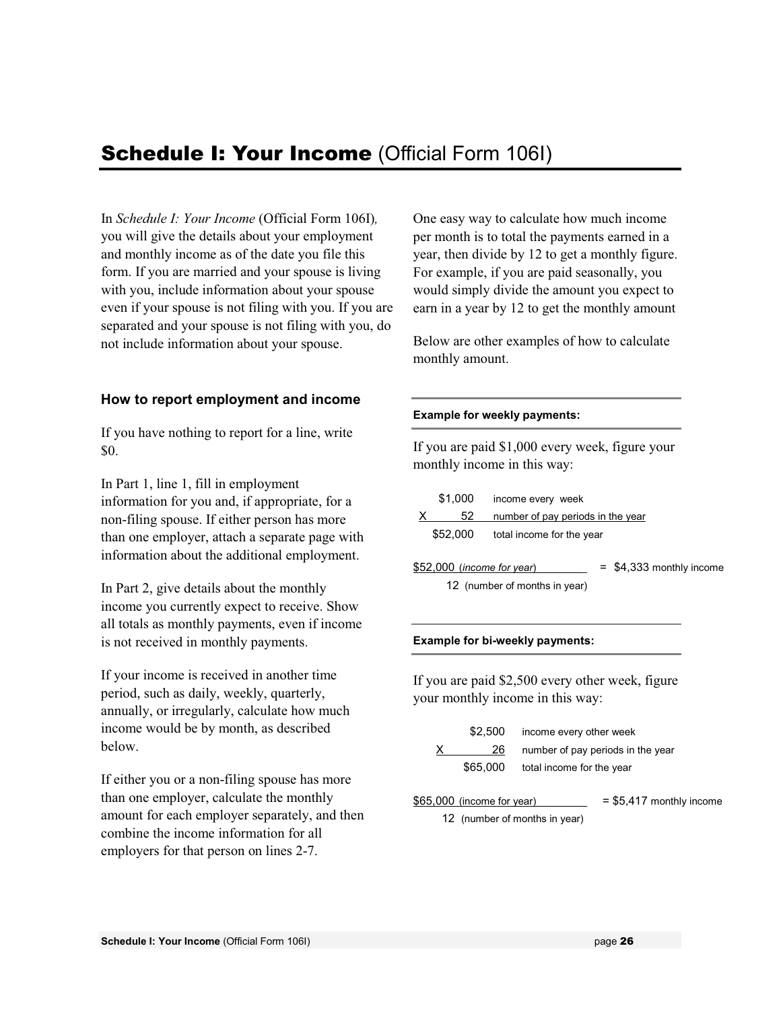### **Schedule I: Your Income (Official Form 1061)**

In *Schedule I: Your Income* (Official Form 106I)*,* you will give the details about your employment and monthly income as of the date you file this form. If you are married and your spouse is living with you, include information about your spouse even if your spouse is not filing with you. If you are separated and your spouse is not filing with you, do not include information about your spouse.

#### **How to report employment and income**

If you have nothing to report for a line, write \$0.

In Part 1, line 1, fill in employment information for you and, if appropriate, for a non-filing spouse. If either person has more than one employer, attach a separate page with information about the additional employment.

In Part 2, give details about the monthly income you currently expect to receive. Show all totals as monthly payments, even if income is not received in monthly payments.

If your income is received in another time period, such as daily, weekly, quarterly, annually, or irregularly, calculate how much income would be by month, as described below.

If either you or a non-filing spouse has more than one employer, calculate the monthly amount for each employer separately, and then combine the income information for all employers for that person on lines 2-7.

One easy way to calculate how much income per month is to total the payments earned in a year, then divide by 12 to get a monthly figure. For example, if you are paid seasonally, you would simply divide the amount you expect to earn in a year by 12 to get the monthly amount

Below are other examples of how to calculate monthly amount.

#### **Example for weekly payments:**

If you are paid \$1,000 every week, figure your monthly income in this way:

| \$1.000  | income every week                    |
|----------|--------------------------------------|
|          | 52 number of pay periods in the year |
| \$52.000 | total income for the year            |

 $$52,000$  (*income for year*) =  $$4,333$  monthly income 12 (number of months in year)

#### **Example for bi-weekly payments:**

If you are paid \$2,500 every other week, figure your monthly income in this way:

|   | \$2.500                    | income every other week       |                                   |
|---|----------------------------|-------------------------------|-----------------------------------|
| x | 26                         |                               | number of pay periods in the year |
|   | \$65.000                   | total income for the year     |                                   |
|   | \$65,000 (income for year) |                               | $=$ \$5,417 monthly income        |
|   |                            | 12 (number of months in year) |                                   |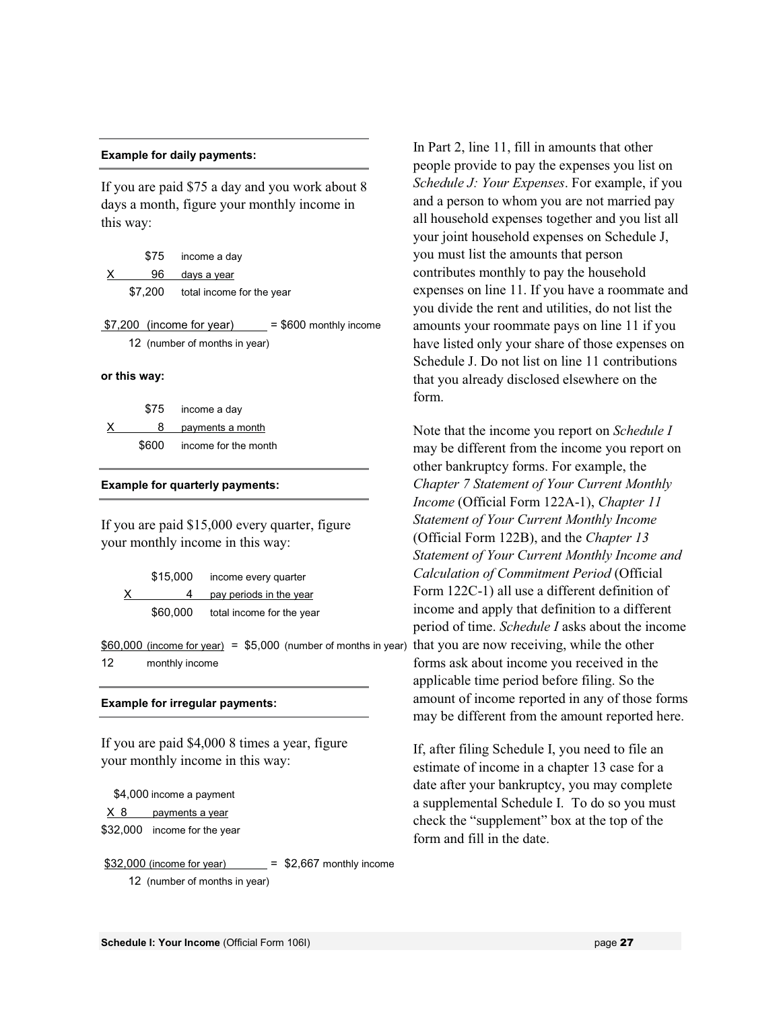#### **Example for daily payments:**

If you are paid \$75 a day and you work about 8 days a month, figure your monthly income in this way:

|   | \$75 income a day                 |
|---|-----------------------------------|
| X | 96 days a year                    |
|   | \$7,200 total income for the year |

 $$7,200$  (income for year) = \$600 monthly income 12 (number of months in year)

#### **or this way:**

|   | \$75  | income a day         |
|---|-------|----------------------|
| х | 8     | payments a month     |
|   | \$600 | income for the month |

#### **Example for quarterly payments:**

If you are paid \$15,000 every quarter, figure your monthly income in this way:

|   | \$15,000 | income every quarter      |
|---|----------|---------------------------|
| х | 4        | pay periods in the year   |
|   | \$60,000 | total income for the year |

 $$60,000$  (income for year) = \$5,000 (number of months in year) 12 monthly income

#### **Example for irregular payments:**

If you are paid \$4,000 8 times a year, figure your monthly income in this way:

\$4,000 income a payment

X 8 payments a year \$32,000 income for the year

In Part 2, line 11, fill in amounts that other people provide to pay the expenses you list on *Schedule J: Your Expenses*. For example, if you and a person to whom you are not married pay all household expenses together and you list all your joint household expenses on Schedule J, you must list the amounts that person contributes monthly to pay the household expenses on line 11. If you have a roommate and you divide the rent and utilities, do not list the amounts your roommate pays on line 11 if you have listed only your share of those expenses on Schedule J. Do not list on line 11 contributions that you already disclosed elsewhere on the form.

Note that the income you report on *Schedule I* may be different from the income you report on other bankruptcy forms. For example, the *Chapter 7 Statement of Your Current Monthly Income* (Official Form 122A-1), *Chapter 11 Statement of Your Current Monthly Income* (Official Form 122B), and the *Chapter 13 Statement of Your Current Monthly Income and Calculation of Commitment Period* (Official Form 122C-1) all use a different definition of income and apply that definition to a different period of time. *Schedule I* asks about the income that you are now receiving, while the other forms ask about income you received in the applicable time period before filing. So the amount of income reported in any of those forms may be different from the amount reported here.

If, after filing Schedule I, you need to file an estimate of income in a chapter 13 case for a date after your bankruptcy, you may complete a supplemental Schedule I. To do so you must check the "supplement" box at the top of the form and fill in the date.

 $$32,000$  (income for year)  $= $2,667$  monthly income 12 (number of months in year)

**Schedule I: Your Income** (Official Form 106I) **page 27 page 27**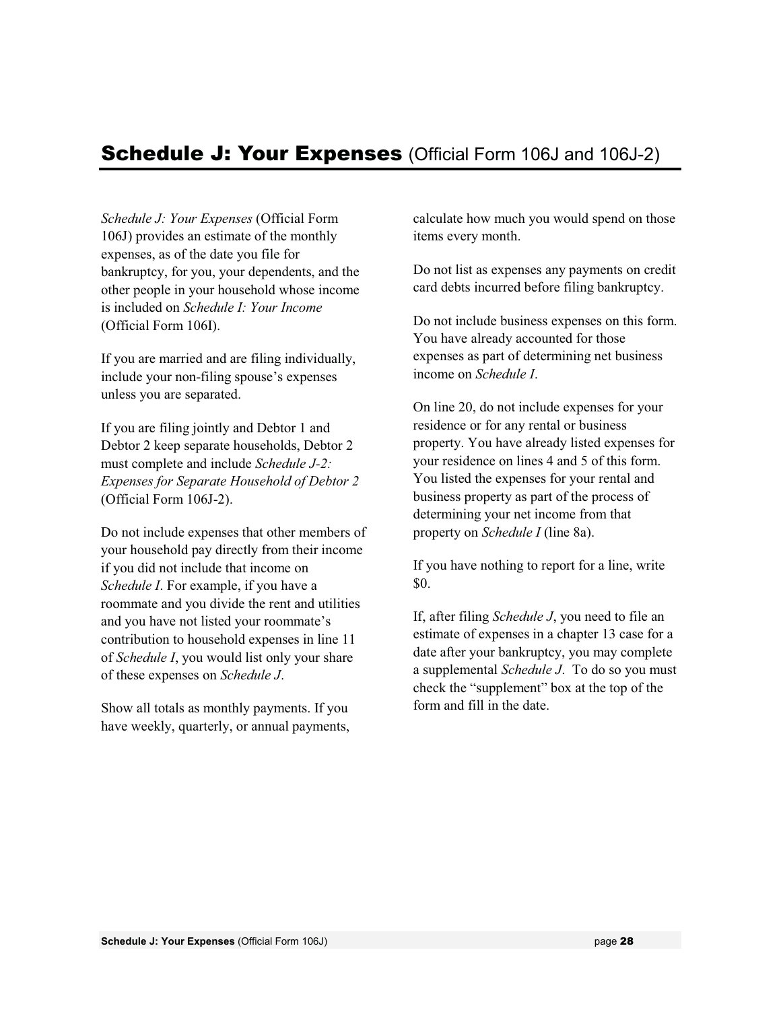### **Schedule J: Your Expenses** (Official Form 106J and 106J-2)

*Schedule J: Your Expenses* (Official Form 106J) provides an estimate of the monthly expenses, as of the date you file for bankruptcy, for you, your dependents, and the other people in your household whose income is included on *Schedule I: Your Income* (Official Form 106I).

If you are married and are filing individually, include your non-filing spouse's expenses unless you are separated.

If you are filing jointly and Debtor 1 and Debtor 2 keep separate households, Debtor 2 must complete and include *Schedule J-2: Expenses for Separate Household of Debtor 2* (Official Form 106J-2).

Do not include expenses that other members of your household pay directly from their income if you did not include that income on *Schedule I*. For example, if you have a roommate and you divide the rent and utilities and you have not listed your roommate's contribution to household expenses in line 11 of *Schedule I*, you would list only your share of these expenses on *Schedule J*.

Show all totals as monthly payments. If you have weekly, quarterly, or annual payments, calculate how much you would spend on those items every month.

Do not list as expenses any payments on credit card debts incurred before filing bankruptcy.

Do not include business expenses on this form. You have already accounted for those expenses as part of determining net business income on *Schedule I*.

On line 20, do not include expenses for your residence or for any rental or business property. You have already listed expenses for your residence on lines 4 and 5 of this form. You listed the expenses for your rental and business property as part of the process of determining your net income from that property on *Schedule I* (line 8a).

If you have nothing to report for a line, write \$0.

If, after filing *Schedule J*, you need to file an estimate of expenses in a chapter 13 case for a date after your bankruptcy, you may complete a supplemental *Schedule J*. To do so you must check the "supplement" box at the top of the form and fill in the date.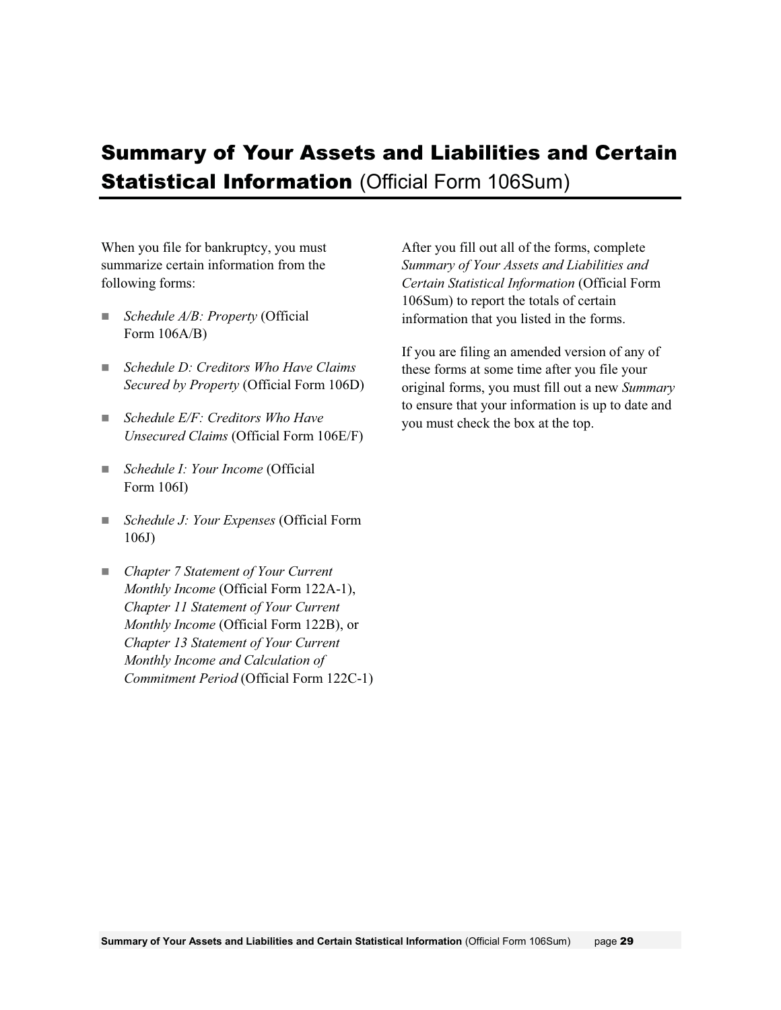### Summary of Your Assets and Liabilities and Certain **Statistical Information (Official Form 106Sum)**

When you file for bankruptcy, you must summarize certain information from the following forms:

- *Schedule A/B: Property* (Official Form  $106A/B$ )
- *Schedule D: Creditors Who Have Claims Secured by Property* (Official Form 106D)
- **E** Schedule E/F: Creditors Who Have *Unsecured Claims* (Official Form 106E/F)
- **EX** Schedule I: Your Income (Official Form 106I)
- *Schedule J: Your Expenses* (Official Form 106J)
- *Chapter 7 Statement of Your Current Monthly Income* (Official Form 122A-1), *Chapter 11 Statement of Your Current Monthly Income* (Official Form 122B), or *Chapter 13 Statement of Your Current Monthly Income and Calculation of Commitment Period* (Official Form 122C-1)

After you fill out all of the forms, complete *Summary of Your Assets and Liabilities and Certain Statistical Information* (Official Form 106Sum) to report the totals of certain information that you listed in the forms.

If you are filing an amended version of any of these forms at some time after you file your original forms, you must fill out a new *Summary* to ensure that your information is up to date and you must check the box at the top.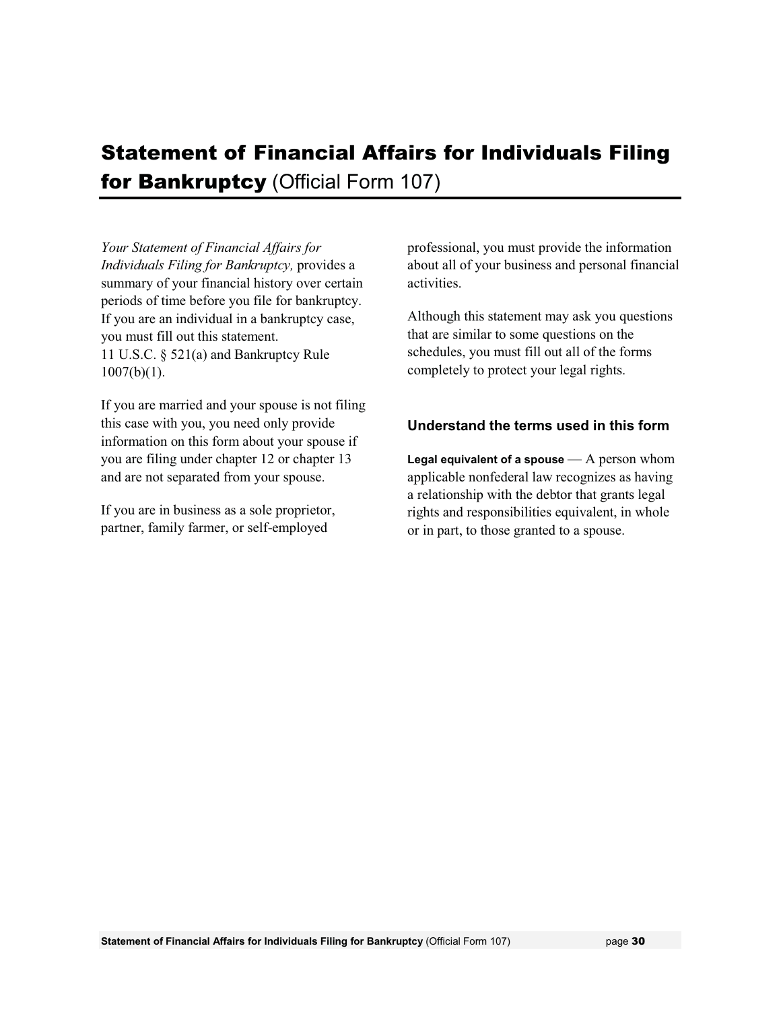### Statement of Financial Affairs for Individuals Filing for Bankruptcy (Official Form 107)

*Your Statement of Financial Affairs for Individuals Filing for Bankruptcy,* provides a summary of your financial history over certain periods of time before you file for bankruptcy. If you are an individual in a bankruptcy case, you must fill out this statement. 11 U.S.C. § 521(a) and Bankruptcy Rule  $1007(b)(1)$ .

If you are married and your spouse is not filing this case with you, you need only provide information on this form about your spouse if you are filing under chapter 12 or chapter 13 and are not separated from your spouse.

If you are in business as a sole proprietor, partner, family farmer, or self-employed

professional, you must provide the information about all of your business and personal financial activities.

Although this statement may ask you questions that are similar to some questions on the schedules, you must fill out all of the forms completely to protect your legal rights.

#### **Understand the terms used in this form**

Legal equivalent of a spouse  $- A$  person whom applicable nonfederal law recognizes as having a relationship with the debtor that grants legal rights and responsibilities equivalent, in whole or in part, to those granted to a spouse.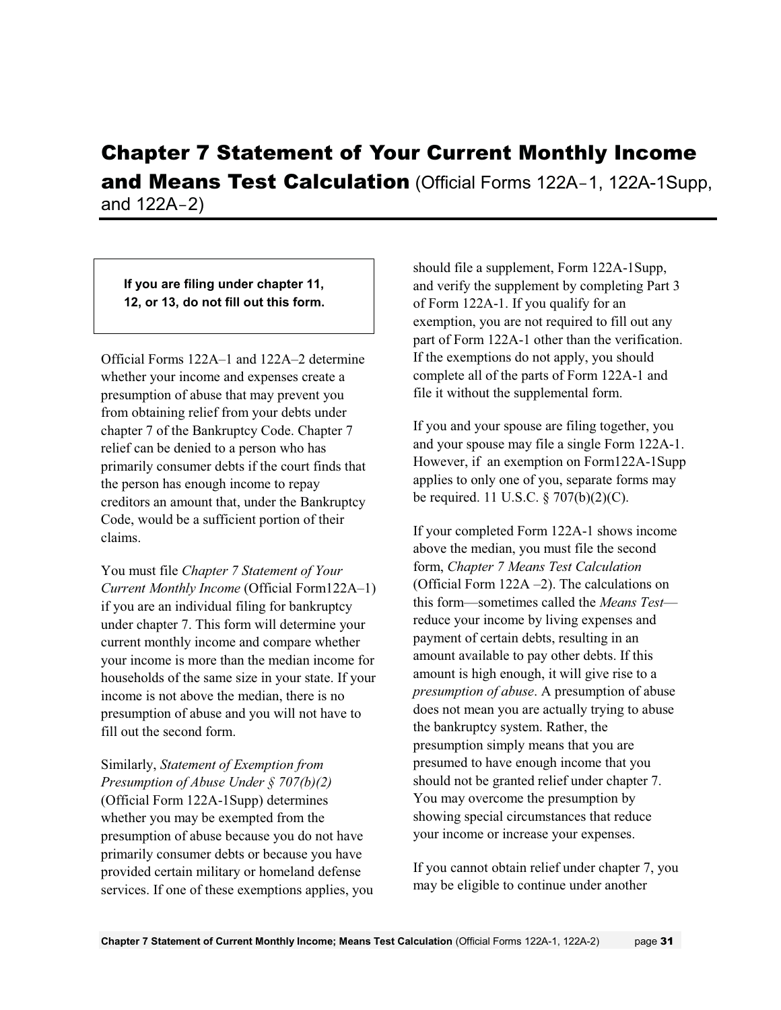### Chapter 7 Statement of Your Current Monthly Income and Means Test Calculation (Official Forms 122A–1, 122A-1Supp,

and 122A–2)

#### **If you are filing under chapter 11, 12, or 13, do not fill out this form.**

Official Forms 122A–1 and 122A–2 determine whether your income and expenses create a presumption of abuse that may prevent you from obtaining relief from your debts under chapter 7 of the Bankruptcy Code. Chapter 7 relief can be denied to a person who has primarily consumer debts if the court finds that the person has enough income to repay creditors an amount that, under the Bankruptcy Code, would be a sufficient portion of their claims.

You must file *Chapter 7 Statement of Your Current Monthly Income* (Official Form122A–1) if you are an individual filing for bankruptcy under chapter 7. This form will determine your current monthly income and compare whether your income is more than the median income for households of the same size in your state. If your income is not above the median, there is no presumption of abuse and you will not have to fill out the second form.

Similarly, *Statement of Exemption from Presumption of Abuse Under § 707(b)(2)* (Official Form 122A-1Supp) determines whether you may be exempted from the presumption of abuse because you do not have primarily consumer debts or because you have provided certain military or homeland defense services. If one of these exemptions applies, you

should file a supplement, Form 122A-1Supp, and verify the supplement by completing Part 3 of Form 122A-1. If you qualify for an exemption, you are not required to fill out any part of Form 122A-1 other than the verification. If the exemptions do not apply, you should complete all of the parts of Form 122A-1 and file it without the supplemental form.

If you and your spouse are filing together, you and your spouse may file a single Form 122A-1. However, if an exemption on Form122A-1Supp applies to only one of you, separate forms may be required. 11 U.S.C. § 707(b)(2)(C).

If your completed Form 122A-1 shows income above the median, you must file the second form, *Chapter 7 Means Test Calculation* (Official Form 122A –2). The calculations on this form—sometimes called the *Means Test* reduce your income by living expenses and payment of certain debts, resulting in an amount available to pay other debts. If this amount is high enough, it will give rise to a *presumption of abuse*. A presumption of abuse does not mean you are actually trying to abuse the bankruptcy system. Rather, the presumption simply means that you are presumed to have enough income that you should not be granted relief under chapter 7. You may overcome the presumption by showing special circumstances that reduce your income or increase your expenses.

If you cannot obtain relief under chapter 7, you may be eligible to continue under another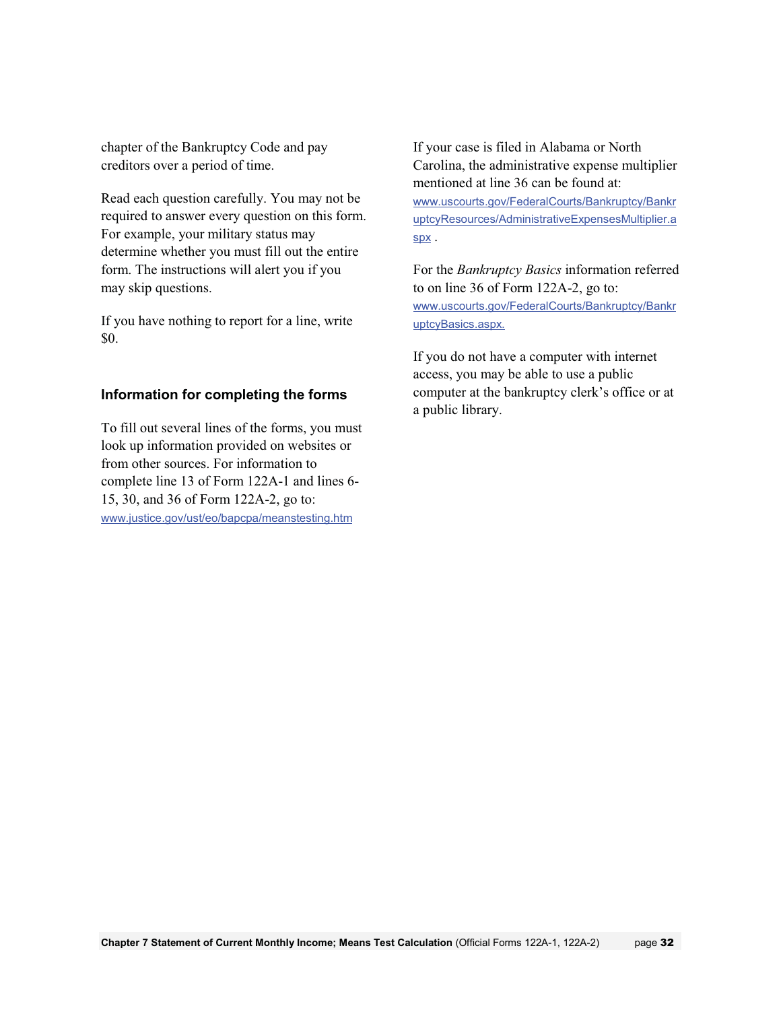chapter of the Bankruptcy Code and pay creditors over a period of time.

Read each question carefully. You may not be required to answer every question on this form. For example, your military status may determine whether you must fill out the entire form. The instructions will alert you if you may skip questions.

If you have nothing to report for a line, write \$0.

#### **Information for completing the forms**

To fill out several lines of the forms, you must look up information provided on websites or from other sources. For information to complete line 13 of Form 122A-1 and lines 6- 15, 30, and 36 of Form 122A-2, go to: www.justice.gov/ust/eo/bapcpa/meanstesting.htm

If your case is filed in Alabama or North Carolina, the administrative expense multiplier mentioned at line 36 can be found at:

www.uscourts.gov/FederalCourts/Bankruptcy/Bankr uptcyResources/AdministrativeExpensesMultiplier.a spx .

For the *Bankruptcy Basics* information referred to on line 36 of Form 122A-2, go to: www.uscourts.gov/FederalCourts/Bankruptcy/Bankr uptcyBasics.aspx.

If you do not have a computer with internet access, you may be able to use a public computer at the bankruptcy clerk's office or at a public library.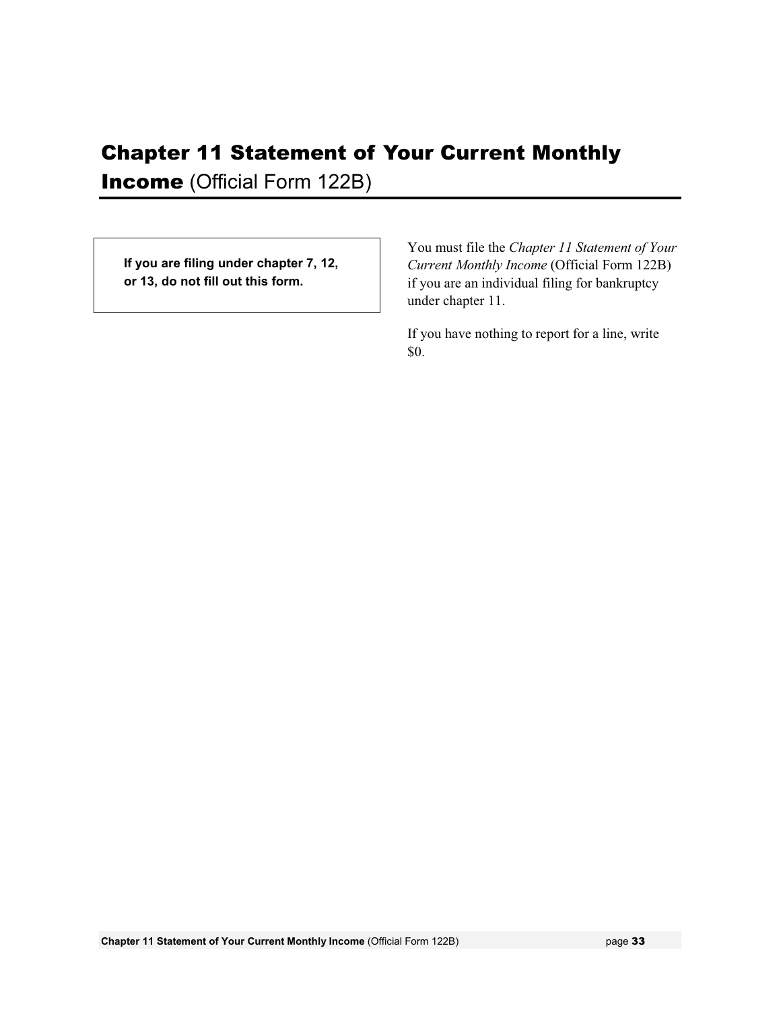### Chapter 11 Statement of Your Current Monthly

Income (Official Form 122B)

**If you are filing under chapter 7, 12, or 13, do not fill out this form.**

You must file the *Chapter 11 Statement of Your Current Monthly Income* (Official Form 122B) if you are an individual filing for bankruptcy under chapter 11.

If you have nothing to report for a line, write \$0.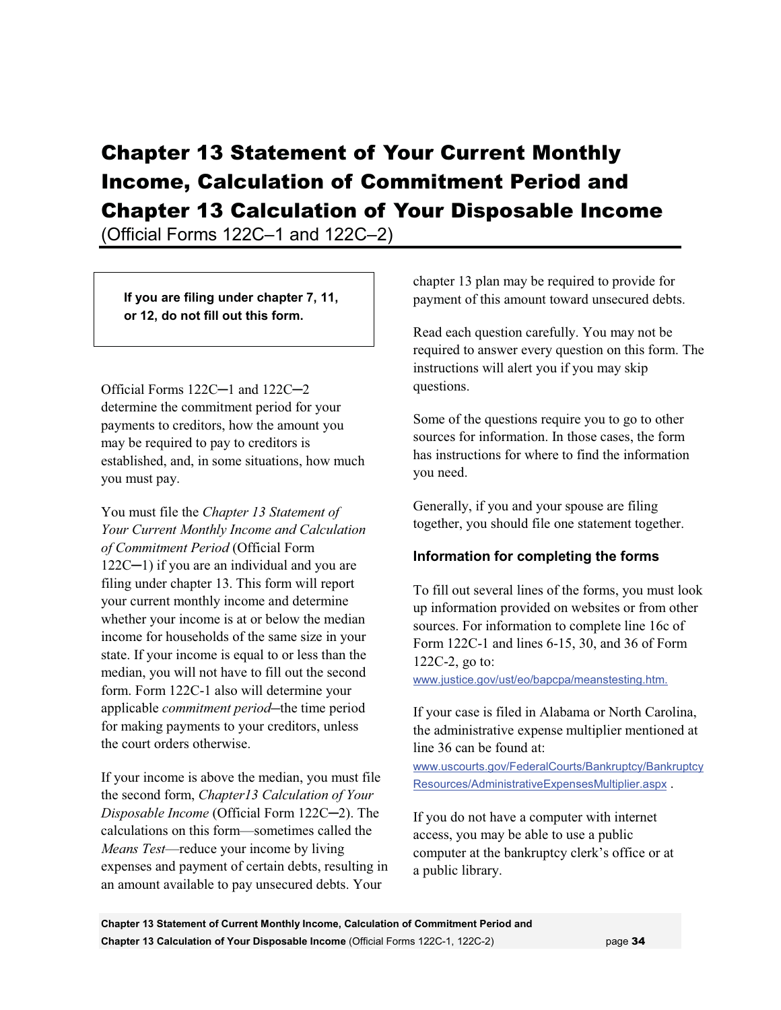### Chapter 13 Statement of Your Current Monthly Income, Calculation of Commitment Period and Chapter 13 Calculation of Your Disposable Income

(Official Forms 122C–1 and 122C–2)

**If you are filing under chapter 7, 11, or 12, do not fill out this form.**

Official Forms 122C-1 and 122C-2 determine the commitment period for your payments to creditors, how the amount you may be required to pay to creditors is established, and, in some situations, how much you must pay.

You must file the *Chapter 13 Statement of Your Current Monthly Income and Calculation of Commitment Period* (Official Form 122C-1) if you are an individual and you are filing under chapter 13. This form will report your current monthly income and determine whether your income is at or below the median income for households of the same size in your state. If your income is equal to or less than the median, you will not have to fill out the second form. Form 122C-1 also will determine your applicable *commitment period*—the time period for making payments to your creditors, unless the court orders otherwise.

If your income is above the median, you must file the second form, *Chapter13 Calculation of Your*  Disposable Income (Official Form 122C-2). The calculations on this form—sometimes called the *Means Test*—reduce your income by living expenses and payment of certain debts, resulting in an amount available to pay unsecured debts. Your

chapter 13 plan may be required to provide for payment of this amount toward unsecured debts.

Read each question carefully. You may not be required to answer every question on this form. The instructions will alert you if you may skip questions.

Some of the questions require you to go to other sources for information. In those cases, the form has instructions for where to find the information you need.

Generally, if you and your spouse are filing together, you should file one statement together.

#### **Information for completing the forms**

To fill out several lines of the forms, you must look up information provided on websites or from other sources. For information to complete line 16c of Form 122C-1 and lines 6-15, 30, and 36 of Form 122C-2, go to:

www.justice.gov/ust/eo/bapcpa/meanstesting.htm.

If your case is filed in Alabama or North Carolina, the administrative expense multiplier mentioned at line 36 can be found at:

www.uscourts.gov/FederalCourts/Bankruptcy/Bankruptcy Resources/AdministrativeExpensesMultiplier.aspx .

If you do not have a computer with internet access, you may be able to use a public computer at the bankruptcy clerk's office or at a public library.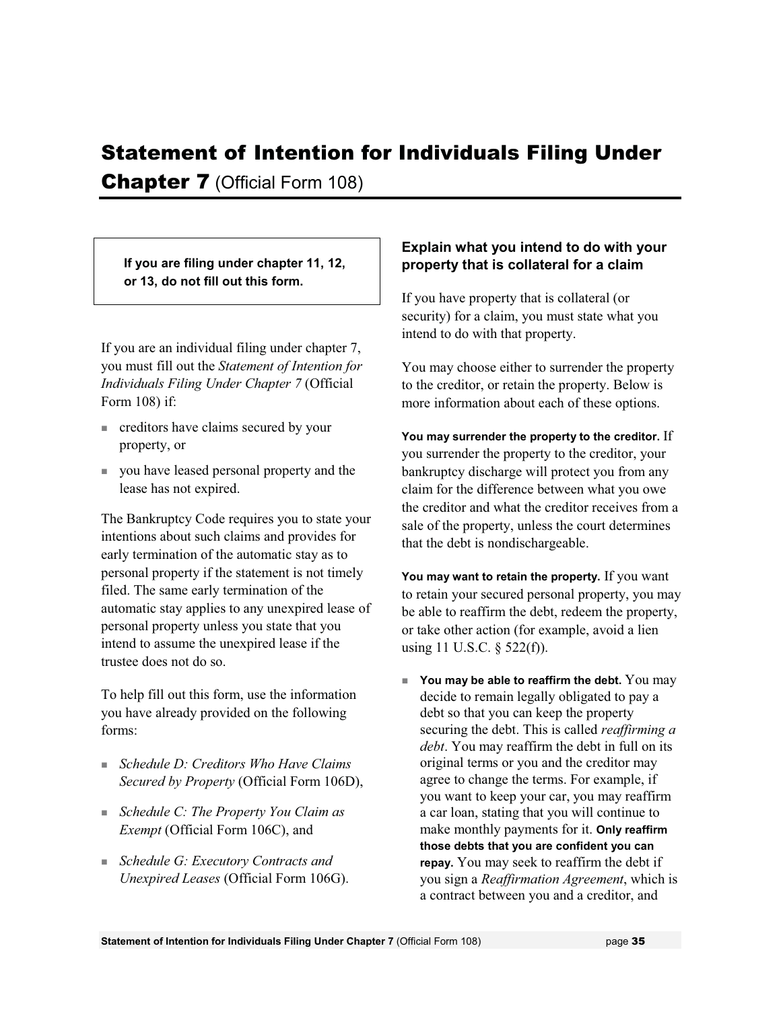### Statement of Intention for Individuals Filing Under

**Chapter 7** (Official Form 108)

**If you are filing under chapter 11, 12, or 13, do not fill out this form.**

If you are an individual filing under chapter 7, you must fill out the *Statement of Intention for Individuals Filing Under Chapter 7* (Official Form 108) if:

- **Exercise 1** creditors have claims secured by your property, or
- you have leased personal property and the lease has not expired.

The Bankruptcy Code requires you to state your intentions about such claims and provides for early termination of the automatic stay as to personal property if the statement is not timely filed. The same early termination of the automatic stay applies to any unexpired lease of personal property unless you state that you intend to assume the unexpired lease if the trustee does not do so.

To help fill out this form, use the information you have already provided on the following forms:

- *Schedule D: Creditors Who Have Claims Secured by Property* (Official Form 106D),
- *Schedule C: The Property You Claim as Exempt* (Official Form 106C), and
- *Schedule G: Executory Contracts and Unexpired Leases* (Official Form 106G).

#### **Explain what you intend to do with your property that is collateral for a claim**

If you have property that is collateral (or security) for a claim, you must state what you intend to do with that property.

You may choose either to surrender the property to the creditor, or retain the property. Below is more information about each of these options.

**You may surrender the property to the creditor.** If you surrender the property to the creditor, your bankruptcy discharge will protect you from any claim for the difference between what you owe the creditor and what the creditor receives from a sale of the property, unless the court determines that the debt is nondischargeable.

**You may want to retain the property.** If you want to retain your secured personal property, you may be able to reaffirm the debt, redeem the property, or take other action (for example, avoid a lien using 11 U.S.C. § 522(f)).

**Theory 1 You may be able to reaffirm the debt.** You may decide to remain legally obligated to pay a debt so that you can keep the property securing the debt. This is called *reaffirming a debt*. You may reaffirm the debt in full on its original terms or you and the creditor may agree to change the terms. For example, if you want to keep your car, you may reaffirm a car loan, stating that you will continue to make monthly payments for it. **Only reaffirm those debts that you are confident you can repay.** You may seek to reaffirm the debt if you sign a *Reaffirmation Agreement*, which is a contract between you and a creditor, and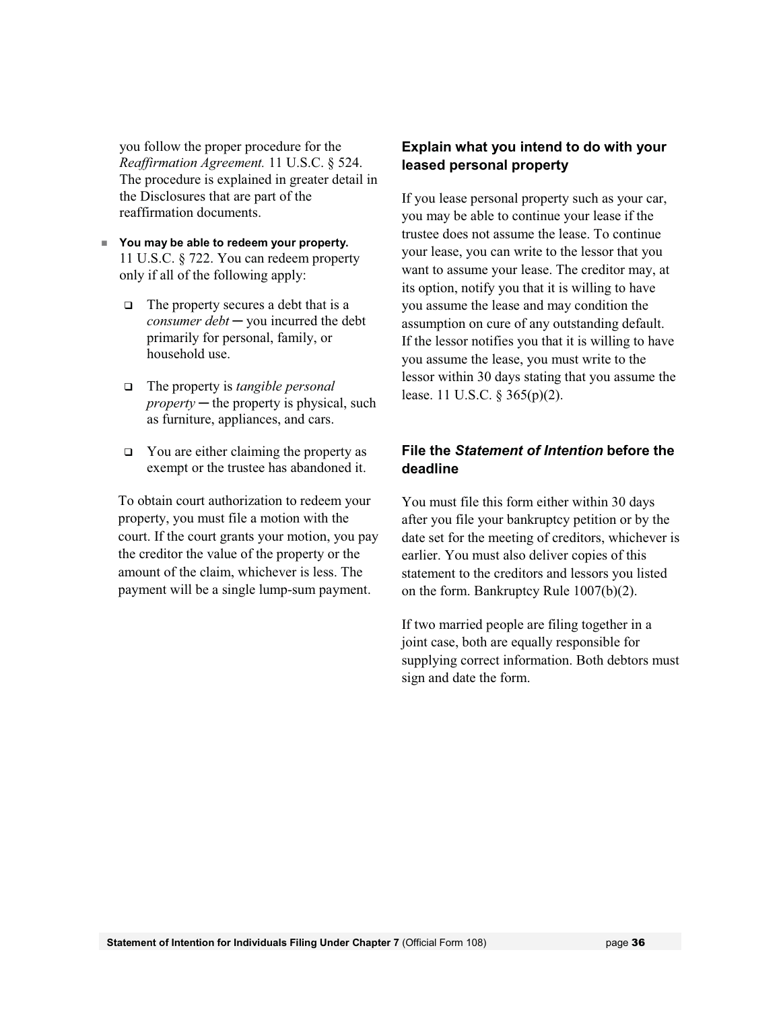you follow the proper procedure for the *Reaffirmation Agreement.* 11 U.S.C. § 524. The procedure is explained in greater detail in the Disclosures that are part of the reaffirmation documents.

- You may be able to redeem your property. 11 U.S.C. § 722. You can redeem property only if all of the following apply:
	- $\Box$  The property secures a debt that is a *consumer debt* — you incurred the debt primarily for personal, family, or household use.
	- The property is *tangible personal property* — the property is physical, such as furniture, appliances, and cars.
	- $\Box$  You are either claiming the property as exempt or the trustee has abandoned it.

To obtain court authorization to redeem your property, you must file a motion with the court. If the court grants your motion, you pay the creditor the value of the property or the amount of the claim, whichever is less. The payment will be a single lump-sum payment.

#### **Explain what you intend to do with your leased personal property**

If you lease personal property such as your car, you may be able to continue your lease if the trustee does not assume the lease. To continue your lease, you can write to the lessor that you want to assume your lease. The creditor may, at its option, notify you that it is willing to have you assume the lease and may condition the assumption on cure of any outstanding default. If the lessor notifies you that it is willing to have you assume the lease, you must write to the lessor within 30 days stating that you assume the lease. 11 U.S.C. § 365(p)(2).

#### **File the** *Statement of Intention* **before the deadline**

You must file this form either within 30 days after you file your bankruptcy petition or by the date set for the meeting of creditors, whichever is earlier. You must also deliver copies of this statement to the creditors and lessors you listed on the form. Bankruptcy Rule 1007(b)(2).

If two married people are filing together in a joint case, both are equally responsible for supplying correct information. Both debtors must sign and date the form.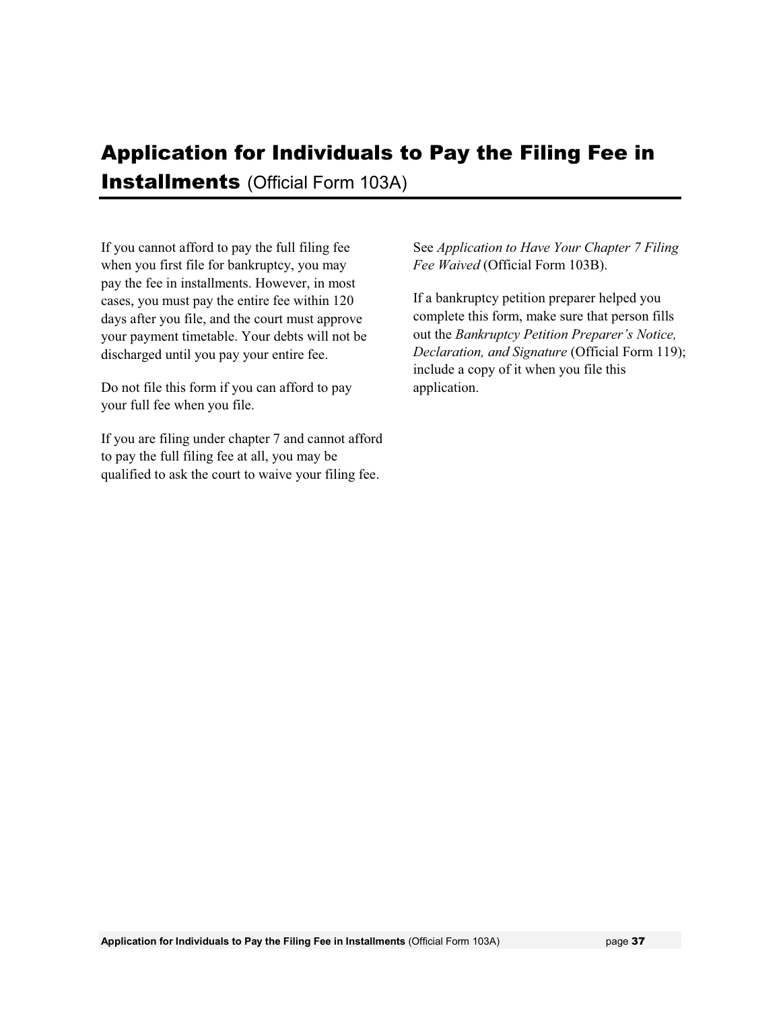### Application for Individuals to Pay the Filing Fee in **Installments** (Official Form 103A)

If you cannot afford to pay the full filing fee when you first file for bankruptcy, you may pay the fee in installments. However, in most cases, you must pay the entire fee within 120 days after you file, and the court must approve your payment timetable. Your debts will not be discharged until you pay your entire fee.

Do not file this form if you can afford to pay your full fee when you file.

If you are filing under chapter 7 and cannot afford to pay the full filing fee at all, you may be qualified to ask the court to waive your filing fee.

See *Application to Have Your Chapter 7 Filing Fee Waived* (Official Form 103B).

If a bankruptcy petition preparer helped you complete this form, make sure that person fills out the *Bankruptcy Petition Preparer's Notice, Declaration, and Signature* (Official Form 119); include a copy of it when you file this application.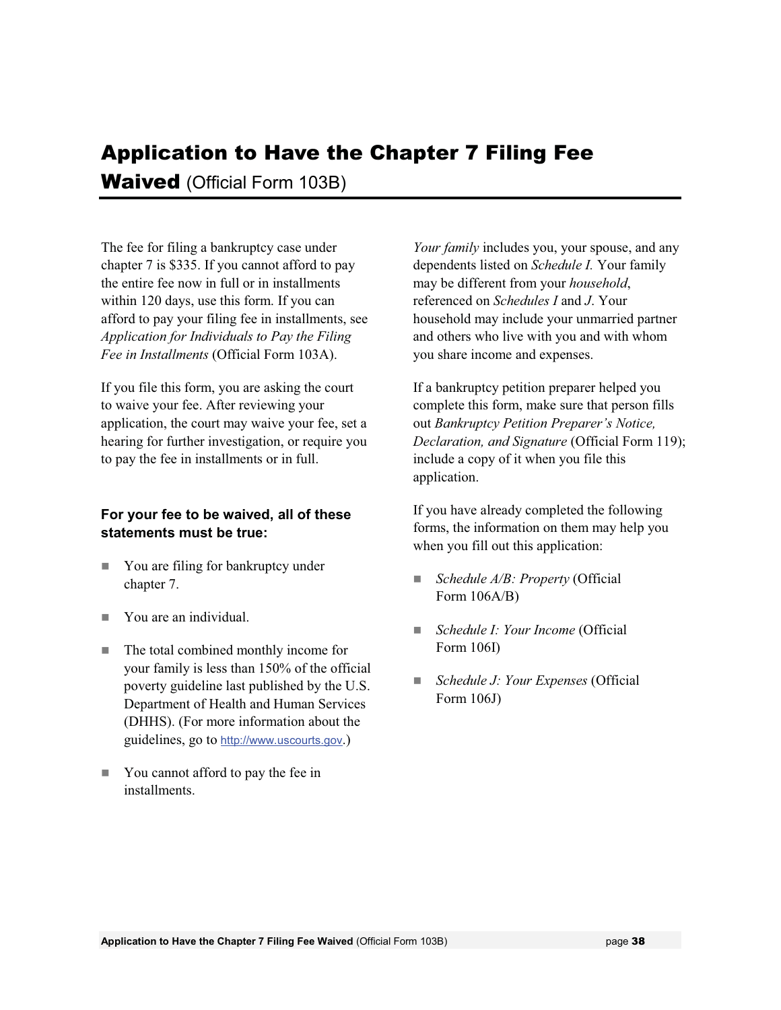### Application to Have the Chapter 7 Filing Fee

Waived (Official Form 103B)

The fee for filing a bankruptcy case under chapter 7 is \$335. If you cannot afford to pay the entire fee now in full or in installments within 120 days, use this form. If you can afford to pay your filing fee in installments, see *Application for Individuals to Pay the Filing Fee in Installments* (Official Form 103A).

If you file this form, you are asking the court to waive your fee. After reviewing your application, the court may waive your fee, set a hearing for further investigation, or require you to pay the fee in installments or in full.

#### **For your fee to be waived, all of these statements must be true:**

- - You are filing for bankruptcy under chapter 7.
- -You are an individual.
- $\blacksquare$  The total combined monthly income for your family is less than 150% of the official poverty guideline last published by the U.S. Department of Health and Human Services (DHHS). (For more information about the guidelines, go to http://www.uscourts.gov.)
- **Theorem** You cannot afford to pay the fee in installments.

*Your family* includes you, your spouse, and any dependents listed on *Schedule I.* Your family may be different from your *household*, referenced on *Schedules I* and *J*. Your household may include your unmarried partner and others who live with you and with whom you share income and expenses.

If a bankruptcy petition preparer helped you complete this form, make sure that person fills out *Bankruptcy Petition Preparer's Notice, Declaration, and Signature* (Official Form 119); include a copy of it when you file this application.

If you have already completed the following forms, the information on them may help you when you fill out this application:

- - *Schedule A/B: Property* (Official Form 106A/B)
- - *Schedule I: Your Income* (Official Form 106I)
- - *Schedule J: Your Expenses* (Official Form 106J)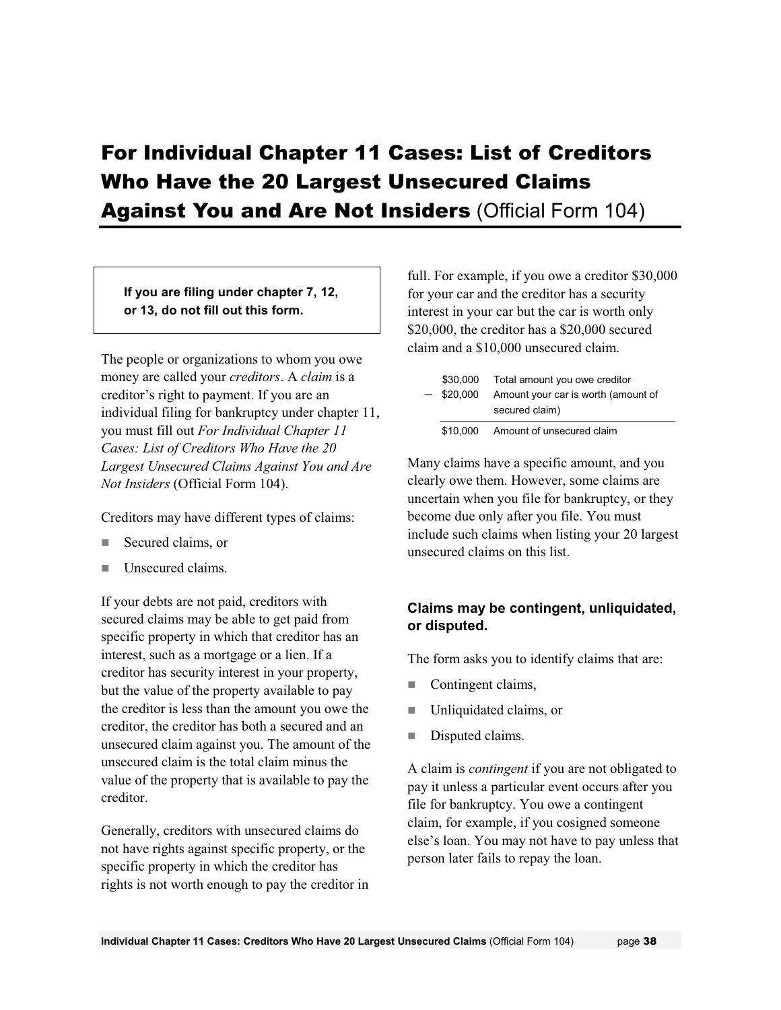## For Individual Chapter 11 Cases: List of Creditors Who Have the 20 Largest Unsecured Claims Against You and Are Not Insiders (Official Form 104)

**If you are filing under chapter 7, 12, or 13, do not fill out this form.**

The people or organizations to whom you owe money are called your *creditors*. A *claim* is a creditor's right to payment. If you are an individual filing for bankruptcy under chapter 11, you must fill out *For Individual Chapter 11 Cases: List of Creditors Who Have the 20 Largest Unsecured Claims Against You and Are Not Insiders* (Official Form 104).

Creditors may have different types of claims:

- -Secured claims, or
- -Unsecured claims.

If your debts are not paid, creditors with secured claims may be able to get paid from specific property in which that creditor has an interest, such as a mortgage or a lien. If a creditor has security interest in your property, but the value of the property available to pay the creditor is less than the amount you owe the creditor, the creditor has both a secured and an unsecured claim against you. The amount of the unsecured claim is the total claim minus the value of the property that is available to pay the creditor.

Generally, creditors with unsecured claims do not have rights against specific property, or the specific property in which the creditor has rights is not worth enough to pay the creditor in

full. For example, if you owe a creditor \$30,000 for your car and the creditor has a security interest in your car but the car is worth only \$20,000, the creditor has a \$20,000 secured claim and a \$10,000 unsecured claim.

| \$30,000<br>— \$20.000 | Total amount you owe creditor<br>Amount your car is worth (amount of<br>secured claim) |
|------------------------|----------------------------------------------------------------------------------------|
| \$10,000               | Amount of unsecured claim                                                              |

Many claims have a specific amount, and you clearly owe them. However, some claims are uncertain when you file for bankruptcy, or they become due only after you file. You must include such claims when listing your 20 largest unsecured claims on this list.

#### **Claims may be contingent, unliquidated, or disputed.**

The form asks you to identify claims that are:

- -Contingent claims,
- -Unliquidated claims, or
- -Disputed claims.

A claim is *contingent* if you are not obligated to pay it unless a particular event occurs after you file for bankruptcy. You owe a contingent claim, for example, if you cosigned someone else's loan. You may not have to pay unless that person later fails to repay the loan.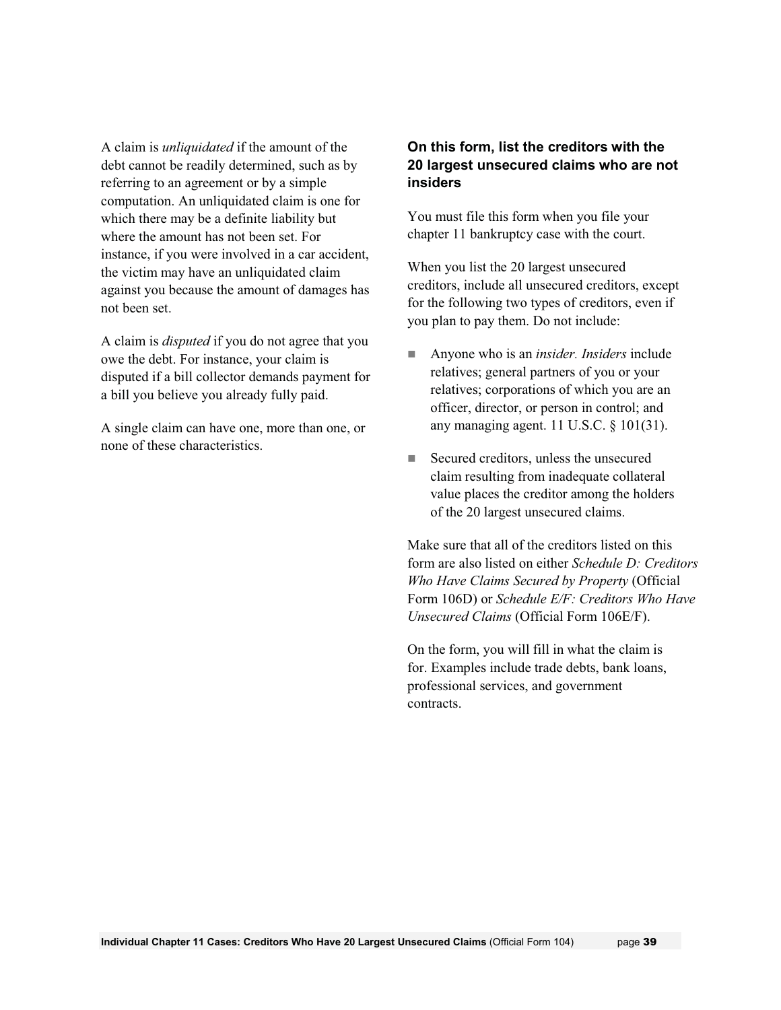A claim is *unliquidated* if the amount of the debt cannot be readily determined, such as by referring to an agreement or by a simple computation. An unliquidated claim is one for which there may be a definite liability but where the amount has not been set. For instance, if you were involved in a car accident, the victim may have an unliquidated claim against you because the amount of damages has not been set.

A claim is *disputed* if you do not agree that you owe the debt. For instance, your claim is disputed if a bill collector demands payment for a bill you believe you already fully paid.

A single claim can have one, more than one, or none of these characteristics.

#### **On this form, list the creditors with the 20 largest unsecured claims who are not insiders**

You must file this form when you file your chapter 11 bankruptcy case with the court.

When you list the 20 largest unsecured creditors, include all unsecured creditors, except for the following two types of creditors, even if you plan to pay them. Do not include:

- - Anyone who is an *insider. Insiders* include relatives; general partners of you or your relatives; corporations of which you are an officer, director, or person in control; and any managing agent. 11 U.S.C. § 101(31).
- **EXECUTE:** Secured creditors, unless the unsecured claim resulting from inadequate collateral value places the creditor among the holders of the 20 largest unsecured claims.

Make sure that all of the creditors listed on this form are also listed on either *Schedule D: Creditors Who Have Claims Secured by Property* (Official Form 106D) or *Schedule E/F: Creditors Who Have Unsecured Claims* (Official Form 106E/F).

On the form, you will fill in what the claim is for. Examples include trade debts, bank loans, professional services, and government contracts.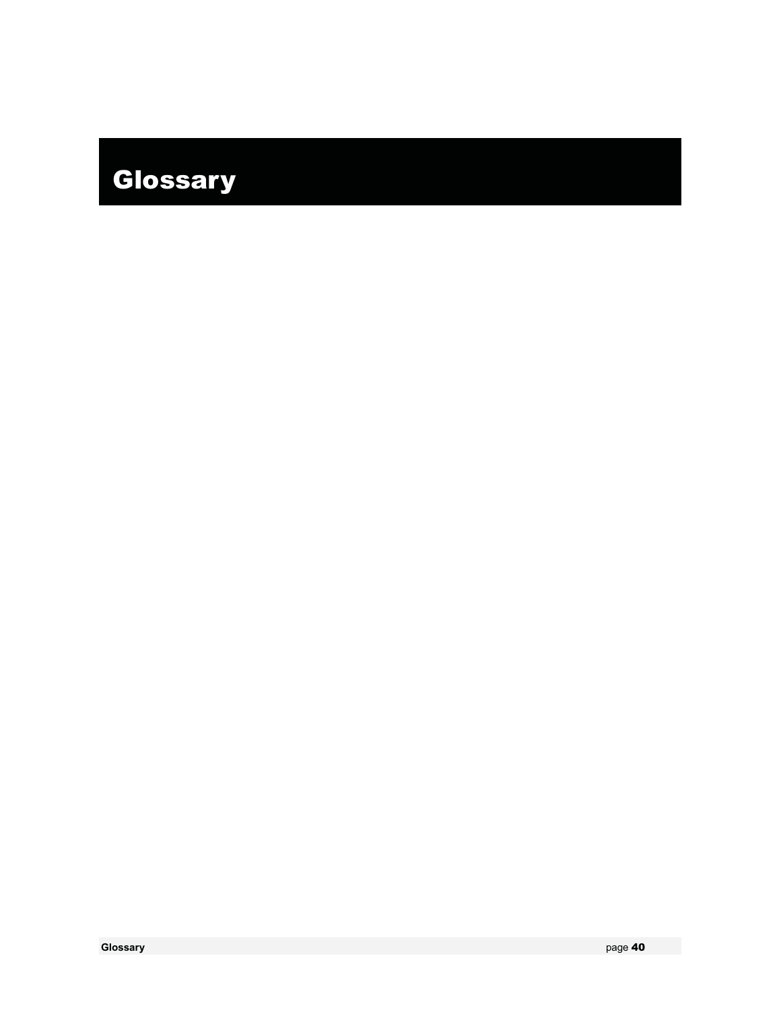# Glossary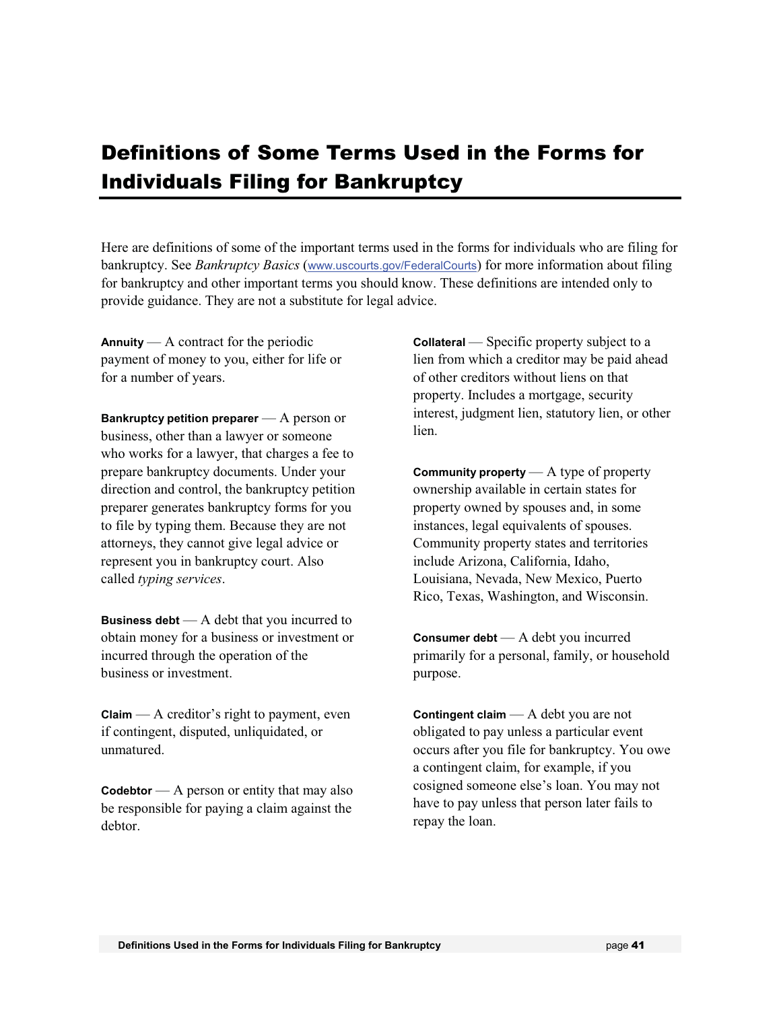### Definitions of Some Terms Used in the Forms for Individuals Filing for Bankruptcy

Here are definitions of some of the important terms used in the forms for individuals who are filing for bankruptcy. See *Bankruptcy Basics* (www.uscourts.gov/FederalCourts) for more information about filing for bankruptcy and other important terms you should know. These definitions are intended only to provide guidance. They are not a substitute for legal advice.

**Annuity** — A contract for the periodic payment of money to you, either for life or for a number of years.

**Bankruptcy petition preparer** — A person or business, other than a lawyer or someone who works for a lawyer, that charges a fee to prepare bankruptcy documents. Under your direction and control, the bankruptcy petition preparer generates bankruptcy forms for you to file by typing them. Because they are not attorneys, they cannot give legal advice or represent you in bankruptcy court. Also called *typing services*.

**Business debt** — A debt that you incurred to obtain money for a business or investment or incurred through the operation of the business or investment.

**Claim** — A creditor's right to payment, even if contingent, disputed, unliquidated, or unmatured.

**Codebtor** — A person or entity that may also be responsible for paying a claim against the debtor.

**Collateral** — Specific property subject to a lien from which a creditor may be paid ahead of other creditors without liens on that property. Includes a mortgage, security interest, judgment lien, statutory lien, or other lien.

**Community property** — A type of property ownership available in certain states for property owned by spouses and, in some instances, legal equivalents of spouses. Community property states and territories include Arizona, California, Idaho, Louisiana, Nevada, New Mexico, Puerto Rico, Texas, Washington, and Wisconsin.

**Consumer debt** — A debt you incurred primarily for a personal, family, or household purpose.

**Contingent claim** — A debt you are not obligated to pay unless a particular event occurs after you file for bankruptcy. You owe a contingent claim, for example, if you cosigned someone else's loan. You may not have to pay unless that person later fails to repay the loan.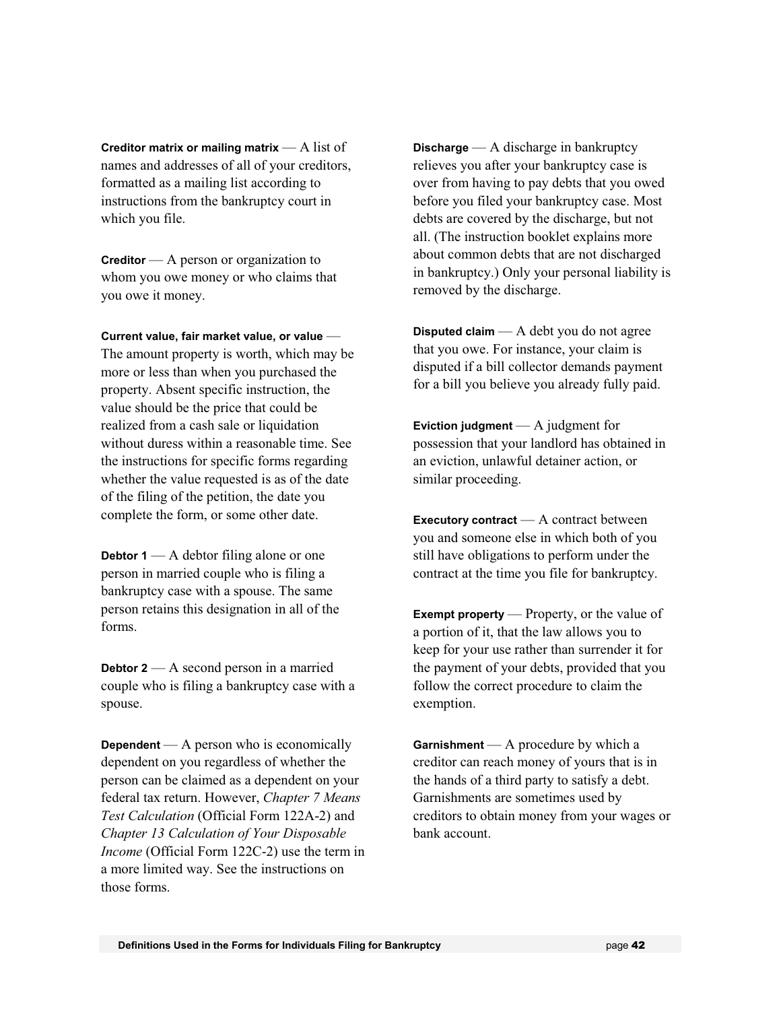**Creditor matrix or mailing matrix — A list of** names and addresses of all of your creditors, formatted as a mailing list according to instructions from the bankruptcy court in which you file.

**Creditor** — A person or organization to whom you owe money or who claims that you owe it money.

**Current value, fair market value, or value** — The amount property is worth, which may be more or less than when you purchased the property. Absent specific instruction, the value should be the price that could be realized from a cash sale or liquidation without duress within a reasonable time. See the instructions for specific forms regarding whether the value requested is as of the date of the filing of the petition, the date you complete the form, or some other date.

**Debtor 1** — A debtor filing alone or one person in married couple who is filing a bankruptcy case with a spouse. The same person retains this designation in all of the forms.

**Debtor 2** — A second person in a married couple who is filing a bankruptcy case with a spouse.

**Dependent** — A person who is economically dependent on you regardless of whether the person can be claimed as a dependent on your federal tax return. However, *Chapter 7 Means Test Calculation* (Official Form 122A-2) and *Chapter 13 Calculation of Your Disposable Income* (Official Form 122C-2) use the term in a more limited way. See the instructions on those forms.

**Discharge** — A discharge in bankruptcy relieves you after your bankruptcy case is over from having to pay debts that you owed before you filed your bankruptcy case. Most debts are covered by the discharge, but not all. (The instruction booklet explains more about common debts that are not discharged in bankruptcy.) Only your personal liability is removed by the discharge.

**Disputed claim** — A debt you do not agree that you owe. For instance, your claim is disputed if a bill collector demands payment for a bill you believe you already fully paid.

**Eviction judgment**  $\rightarrow$  A judgment for possession that your landlord has obtained in an eviction, unlawful detainer action, or similar proceeding.

**Executory contract** — A contract between you and someone else in which both of you still have obligations to perform under the contract at the time you file for bankruptcy.

**Exempt property** — Property, or the value of a portion of it, that the law allows you to keep for your use rather than surrender it for the payment of your debts, provided that you follow the correct procedure to claim the exemption.

**Garnishment** — A procedure by which a creditor can reach money of yours that is in the hands of a third party to satisfy a debt. Garnishments are sometimes used by creditors to obtain money from your wages or bank account.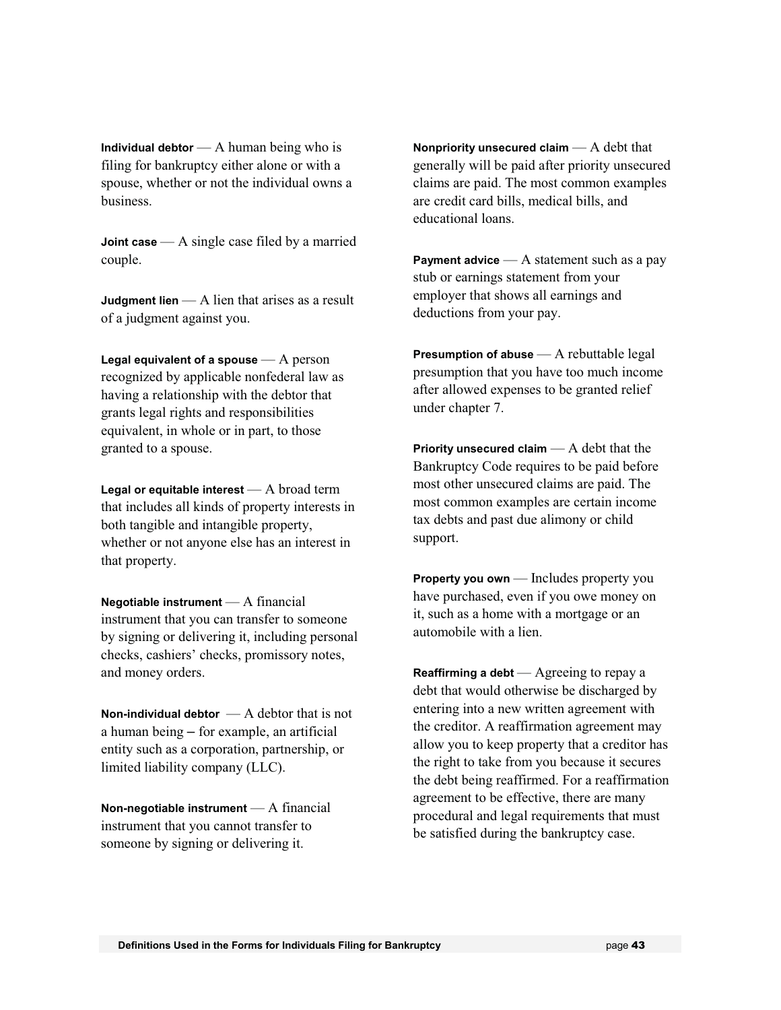**Individual debtor** — A human being who is filing for bankruptcy either alone or with a spouse, whether or not the individual owns a business.

**Joint case** — A single case filed by a married couple.

**Judgment lien** — A lien that arises as a result of a judgment against you.

**Legal equivalent of a spouse** — A person recognized by applicable nonfederal law as having a relationship with the debtor that grants legal rights and responsibilities equivalent, in whole or in part, to those granted to a spouse.

**Legal or equitable interest** — A broad term that includes all kinds of property interests in both tangible and intangible property, whether or not anyone else has an interest in that property.

**Negotiable instrument** — A financial instrument that you can transfer to someone by signing or delivering it, including personal checks, cashiers' checks, promissory notes, and money orders.

**Non-individual debtor** — A debtor that is not a human being – for example, an artificial entity such as a corporation, partnership, or limited liability company (LLC).

**Non-negotiable instrument** — A financial instrument that you cannot transfer to someone by signing or delivering it.

**Nonpriority unsecured claim** — A debt that generally will be paid after priority unsecured claims are paid. The most common examples are credit card bills, medical bills, and educational loans.

**Payment advice** — A statement such as a pay stub or earnings statement from your employer that shows all earnings and deductions from your pay.

**Presumption of abuse** — A rebuttable legal presumption that you have too much income after allowed expenses to be granted relief under chapter 7.

**Priority unsecured claim** — A debt that the Bankruptcy Code requires to be paid before most other unsecured claims are paid. The most common examples are certain income tax debts and past due alimony or child support.

**Property you own** — Includes property you have purchased, even if you owe money on it, such as a home with a mortgage or an automobile with a lien.

**Reaffirming a debt** — Agreeing to repay a debt that would otherwise be discharged by entering into a new written agreement with the creditor. A reaffirmation agreement may allow you to keep property that a creditor has the right to take from you because it secures the debt being reaffirmed. For a reaffirmation agreement to be effective, there are many procedural and legal requirements that must be satisfied during the bankruptcy case.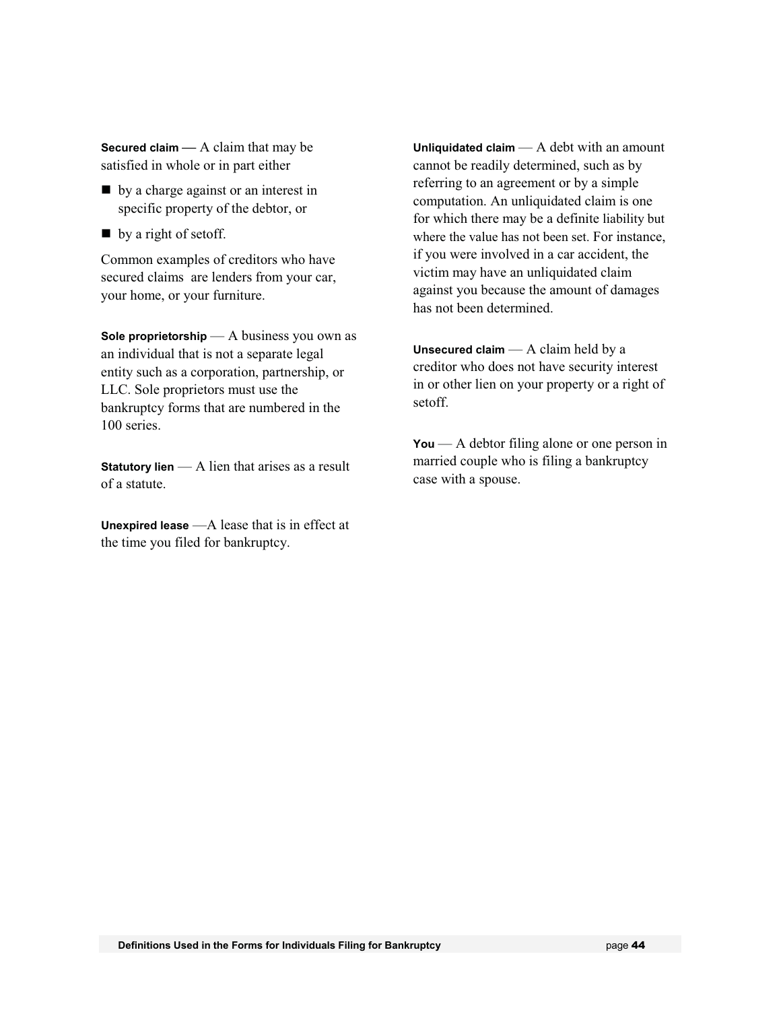**Secured claim —** A claim that may be satisfied in whole or in part either

- $\blacksquare$  by a charge against or an interest in specific property of the debtor, or
- **U** by a right of setoff.

Common examples of creditors who have secured claims are lenders from your car, your home, or your furniture.

**Sole proprietorship** — A business you own as an individual that is not a separate legal entity such as a corporation, partnership, or LLC. Sole proprietors must use the bankruptcy forms that are numbered in the 100 series.

**Statutory lien** — A lien that arises as a result of a statute.

**Unexpired lease** —A lease that is in effect at the time you filed for bankruptcy.

**Unliquidated claim** — A debt with an amount cannot be readily determined, such as by referring to an agreement or by a simple computation. An unliquidated claim is one for which there may be a definite liability but where the value has not been set. For instance, if you were involved in a car accident, the victim may have an unliquidated claim against you because the amount of damages has not been determined.

**Unsecured claim** — A claim held by a creditor who does not have security interest in or other lien on your property or a right of setoff.

**You** — A debtor filing alone or one person in married couple who is filing a bankruptcy case with a spouse.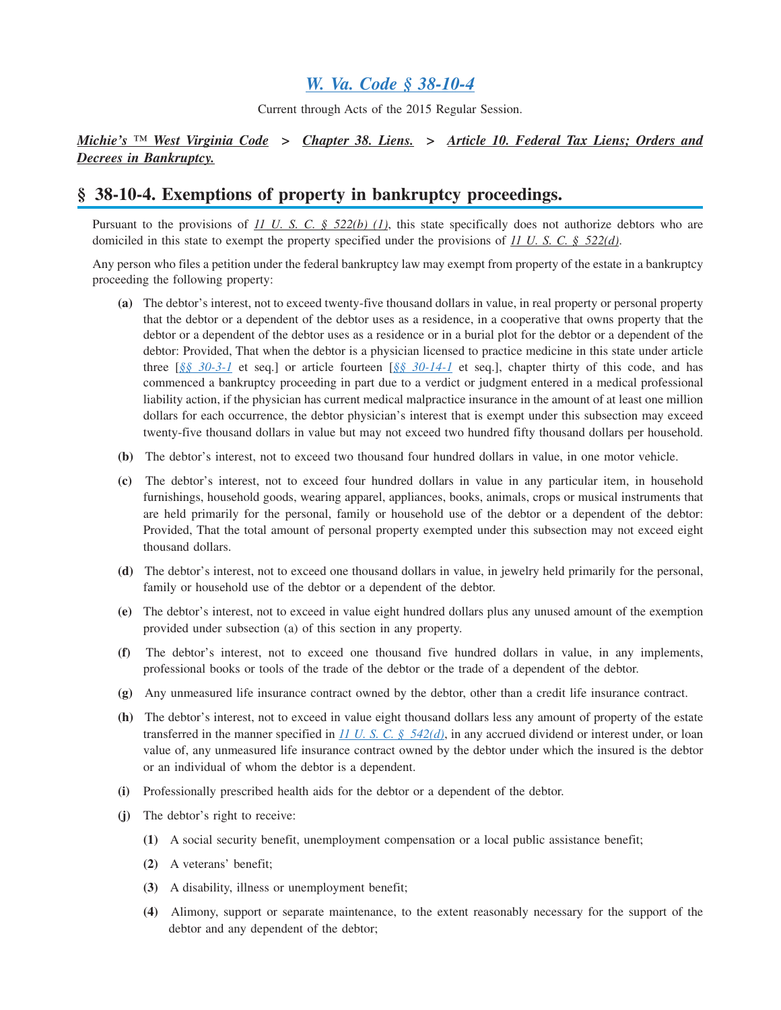## *W. Va. Code § 38-10-4*

Current through Acts of the 2015 Regular Session.

## *Michie's ™ West Virginia Code* **>** *Chapter 38. Liens.* **>** *Article 10. Federal Tax Liens; Orders and Decrees in Bankruptcy.*

## **§ 38-10-4. Exemptions of property in bankruptcy proceedings.**

Pursuant to the provisions of *11 U. S. C. § 522(b) (1)*, this state specifically does not authorize debtors who are domiciled in this state to exempt the property specified under the provisions of *11 U. S. C. § 522(d)*.

Any person who files a petition under the federal bankruptcy law may exempt from property of the estate in a bankruptcy proceeding the following property:

- **(a)** The debtor's interest, not to exceed twenty-five thousand dollars in value, in real property or personal property that the debtor or a dependent of the debtor uses as a residence, in a cooperative that owns property that the debtor or a dependent of the debtor uses as a residence or in a burial plot for the debtor or a dependent of the debtor: Provided, That when the debtor is a physician licensed to practice medicine in this state under article three [*§§ 30-3-1* et seq.] or article fourteen [*§§ 30-14-1* et seq.], chapter thirty of this code, and has commenced a bankruptcy proceeding in part due to a verdict or judgment entered in a medical professional liability action, if the physician has current medical malpractice insurance in the amount of at least one million dollars for each occurrence, the debtor physician's interest that is exempt under this subsection may exceed twenty-five thousand dollars in value but may not exceed two hundred fifty thousand dollars per household.
- **(b)** The debtor's interest, not to exceed two thousand four hundred dollars in value, in one motor vehicle.
- **(c)** The debtor's interest, not to exceed four hundred dollars in value in any particular item, in household furnishings, household goods, wearing apparel, appliances, books, animals, crops or musical instruments that are held primarily for the personal, family or household use of the debtor or a dependent of the debtor: Provided, That the total amount of personal property exempted under this subsection may not exceed eight thousand dollars.
- **(d)** The debtor's interest, not to exceed one thousand dollars in value, in jewelry held primarily for the personal, family or household use of the debtor or a dependent of the debtor.
- **(e)** The debtor's interest, not to exceed in value eight hundred dollars plus any unused amount of the exemption provided under subsection (a) of this section in any property.
- **(f)** The debtor's interest, not to exceed one thousand five hundred dollars in value, in any implements, professional books or tools of the trade of the debtor or the trade of a dependent of the debtor.
- **(g)** Any unmeasured life insurance contract owned by the debtor, other than a credit life insurance contract.
- **(h)** The debtor's interest, not to exceed in value eight thousand dollars less any amount of property of the estate transferred in the manner specified in  $11 \, U$ . S. C. § 542(d), in any accrued dividend or interest under, or loan value of, any unmeasured life insurance contract owned by the debtor under which the insured is the debtor or an individual of whom the debtor is a dependent.
- **(i)** Professionally prescribed health aids for the debtor or a dependent of the debtor.
- **(j)** The debtor's right to receive:
	- **(1)** A social security benefit, unemployment compensation or a local public assistance benefit;
	- **(2)** A veterans' benefit;
	- **(3)** A disability, illness or unemployment benefit;
	- **(4)** Alimony, support or separate maintenance, to the extent reasonably necessary for the support of the debtor and any dependent of the debtor;